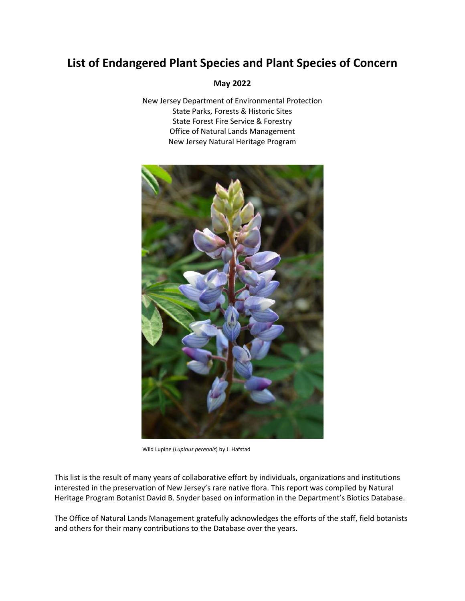#### **May 2022**

New Jersey Department of Environmental Protection State Parks, Forests & Historic Sites State Forest Fire Service & Forestry Office of Natural Lands Management New Jersey Natural Heritage Program



Wild Lupine (*Lupinus perennis*) by J. Hafstad

This list is the result of many years of collaborative effort by individuals, organizations and institutions interested in the preservation of New Jersey's rare native flora. This report was compiled by Natural Heritage Program Botanist David B. Snyder based on information in the Department's Biotics Database.

The Office of Natural Lands Management gratefully acknowledges the efforts of the staff, field botanists and others for their many contributions to the Database over the years.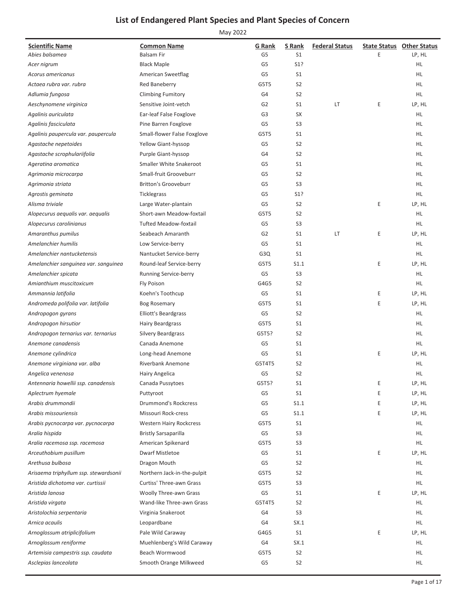| <b>Scientific Name</b>                | <b>Common Name</b>             | <b>G</b> Rank  | S Rank         | <b>Federal Status</b> |   | <b>State Status Other Status</b> |
|---------------------------------------|--------------------------------|----------------|----------------|-----------------------|---|----------------------------------|
| Abies balsamea                        | <b>Balsam Fir</b>              | G5             | S1             |                       | Ε | LP, HL                           |
| Acer nigrum                           | <b>Black Maple</b>             | G <sub>5</sub> | S1?            |                       |   | HL.                              |
| Acorus americanus                     | American Sweetflag             | G <sub>5</sub> | S <sub>1</sub> |                       |   | HL.                              |
| Actaea rubra var. rubra               | Red Baneberry                  | G5T5           | S <sub>2</sub> |                       |   | HL.                              |
| Adlumia fungosa                       | <b>Climbing Fumitory</b>       | G4             | S <sub>2</sub> |                       |   | HL.                              |
| Aeschynomene virginica                | Sensitive Joint-vetch          | G <sub>2</sub> | S <sub>1</sub> | LT                    | Ε | LP, HL                           |
| Agalinis auriculata                   | Ear-leaf False Foxglove        | G <sub>3</sub> | SX             |                       |   | HL.                              |
| Agalinis fasciculata                  | Pine Barren Foxglove           | G <sub>5</sub> | S <sub>3</sub> |                       |   | HL.                              |
| Agalinis paupercula var. paupercula   | Small-flower False Foxglove    | G5T5           | S <sub>1</sub> |                       |   | HL.                              |
| Agastache nepetoides                  | Yellow Giant-hyssop            | G5             | S <sub>2</sub> |                       |   | HL.                              |
| Agastache scrophulariifolia           | Purple Giant-hyssop            | G4             | S <sub>2</sub> |                       |   | HL                               |
| Ageratina aromatica                   | Smaller White Snakeroot        | G5             | S <sub>1</sub> |                       |   | HL.                              |
| Agrimonia microcarpa                  | Small-fruit Grooveburr         | G <sub>5</sub> | S <sub>2</sub> |                       |   | HL.                              |
| Agrimonia striata                     | <b>Britton's Grooveburr</b>    | G5             | S <sub>3</sub> |                       |   | HL.                              |
| Agrostis geminata                     | <b>Ticklegrass</b>             | G <sub>5</sub> | S1?            |                       |   | HL.                              |
| Alisma triviale                       | Large Water-plantain           | G <sub>5</sub> | S <sub>2</sub> |                       | Ε | LP, HL                           |
| Alopecurus aequalis var. aequalis     | Short-awn Meadow-foxtail       | G5T5           | S <sub>2</sub> |                       |   | HL.                              |
| Alopecurus carolinianus               | <b>Tufted Meadow-foxtail</b>   | G <sub>5</sub> | S <sub>3</sub> |                       |   | HL.                              |
| Amaranthus pumilus                    | Seabeach Amaranth              | G <sub>2</sub> | S <sub>1</sub> | LT                    | Ε | LP, HL                           |
| Amelanchier humilis                   | Low Service-berry              | G5             | S <sub>1</sub> |                       |   | HL.                              |
| Amelanchier nantucketensis            | Nantucket Service-berry        | G3Q            | S <sub>1</sub> |                       |   | HL.                              |
| Amelanchier sanguinea var. sanguinea  | Round-leaf Service-berry       | G5T5           | S1.1           |                       | Ε | LP, HL                           |
| Amelanchier spicata                   | Running Service-berry          | G <sub>5</sub> | S <sub>3</sub> |                       |   | HL.                              |
| Amianthium muscitoxicum               | Fly Poison                     | G4G5           | S <sub>2</sub> |                       |   | HL.                              |
| Ammannia latifolia                    | Koehn's Toothcup               | G5             | S <sub>1</sub> |                       | Ε | LP, HL                           |
| Andromeda polifolia var. latifolia    | <b>Bog Rosemary</b>            | G5T5           | S <sub>1</sub> |                       | E | LP, HL                           |
| Andropogon gyrans                     | Elliott's Beardgrass           | G <sub>5</sub> | S <sub>2</sub> |                       |   | HL                               |
| Andropogon hirsutior                  | <b>Hairy Beardgrass</b>        | G5T5           | S <sub>1</sub> |                       |   | HL.                              |
| Andropogon ternarius var. ternarius   | Silvery Beardgrass             | G5T5?          | S <sub>2</sub> |                       |   | HL.                              |
| Anemone canadensis                    | Canada Anemone                 | G <sub>5</sub> | S <sub>1</sub> |                       |   | HL.                              |
| Anemone cylindrica                    | Long-head Anemone              | G5             | S <sub>1</sub> |                       | Ε | LP, HL                           |
| Anemone virginiana var. alba          | <b>Riverbank Anemone</b>       | G5T4T5         | S <sub>2</sub> |                       |   | HL                               |
| Angelica venenosa                     | Hairy Angelica                 | G <sub>5</sub> | S <sub>2</sub> |                       |   | HL                               |
| Antennaria howellii ssp. canadensis   | Canada Pussytoes               | G5T5?          | S <sub>1</sub> |                       | Ε | LP, HL                           |
| Aplectrum hyemale                     | Puttyroot                      | G5             | S <sub>1</sub> |                       | E | LP, HL                           |
| Arabis drummondii                     | <b>Drummond's Rockcress</b>    | G5             | S1.1           |                       | Ε | LP, HL                           |
| Arabis missouriensis                  | Missouri Rock-cress            | G5             | S1.1           |                       | Ε | LP, HL                           |
| Arabis pycnocarpa var. pycnocarpa     | <b>Western Hairy Rockcress</b> | G5T5           | S <sub>1</sub> |                       |   | HL.                              |
| Aralia hispida                        | <b>Bristly Sarsaparilla</b>    | G5             | S <sub>3</sub> |                       |   | HL.                              |
| Aralia racemosa ssp. racemosa         | American Spikenard             | G5T5           | S <sub>3</sub> |                       |   | HL.                              |
| Arceuthobium pusillum                 | <b>Dwarf Mistletoe</b>         | G5             | S <sub>1</sub> |                       | Ε | LP, HL                           |
| Arethusa bulbosa                      | Dragon Mouth                   | G5             | S <sub>2</sub> |                       |   | HL.                              |
| Arisaema triphyllum ssp. stewardsonii | Northern Jack-in-the-pulpit    | G5T5           | S <sub>2</sub> |                       |   | HL.                              |
| Aristida dichotoma var. curtissii     | Curtiss' Three-awn Grass       | G5T5           | S <sub>3</sub> |                       |   | HL.                              |
| Aristida lanosa                       | Woolly Three-awn Grass         | G5             | S <sub>1</sub> |                       | Ε | LP, HL                           |
| Aristida virgata                      | Wand-like Three-awn Grass      | G5T4T5         | S <sub>2</sub> |                       |   | HL.                              |
| Aristolochia serpentaria              | Virginia Snakeroot             | G4             | S <sub>3</sub> |                       |   | HL.                              |
| Arnica acaulis                        | Leopardbane                    | G4             | SX.1           |                       |   | HL.                              |
| Arnoglossum atriplicifolium           | Pale Wild Caraway              | G4G5           | S <sub>1</sub> |                       | Ε | LP, HL                           |
| Arnoglossum reniforme                 | Muehlenberg's Wild Caraway     | G4             | SX.1           |                       |   | HL.                              |
| Artemisia campestris ssp. caudata     | Beach Wormwood                 | G5T5           | S <sub>2</sub> |                       |   | HL.                              |
| Asclepias lanceolata                  | Smooth Orange Milkweed         | G <sub>5</sub> | S <sub>2</sub> |                       |   | HL.                              |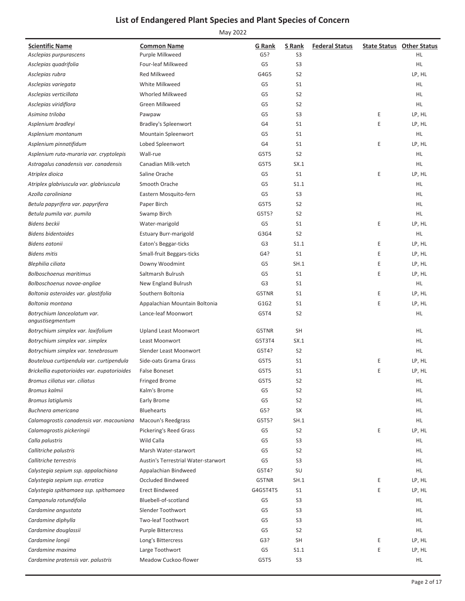| <b>Scientific Name</b>                          | <b>Common Name</b>                  | <b>G</b> Rank  | S Rank         | <b>Federal Status</b> |   | <b>State Status Other Status</b> |
|-------------------------------------------------|-------------------------------------|----------------|----------------|-----------------------|---|----------------------------------|
| Asclepias purpurascens                          | Purple Milkweed                     | G5?            | S3             |                       |   | HL.                              |
| Asclepias quadrifolia                           | Four-leaf Milkweed                  | G5             | S3             |                       |   | HL.                              |
| Asclepias rubra                                 | <b>Red Milkweed</b>                 | G4G5           | S <sub>2</sub> |                       |   | LP, HL                           |
| Asclepias variegata                             | White Milkweed                      | G5             | S <sub>1</sub> |                       |   | HL                               |
| Asclepias verticillata                          | Whorled Milkweed                    | G <sub>5</sub> | S <sub>2</sub> |                       |   | HL.                              |
| Asclepias viridiflora                           | Green Milkweed                      | G5             | S <sub>2</sub> |                       |   | HL                               |
| Asimina triloba                                 | Pawpaw                              | G5             | S <sub>3</sub> |                       | Ε | LP, HL                           |
| Asplenium bradleyi                              | <b>Bradley's Spleenwort</b>         | G4             | S <sub>1</sub> |                       | E | LP, HL                           |
| Asplenium montanum                              | Mountain Spleenwort                 | G5             | S <sub>1</sub> |                       |   | HL                               |
| Asplenium pinnatifidum                          | Lobed Spleenwort                    | G4             | S <sub>1</sub> |                       | Ε | LP, HL                           |
| Asplenium ruta-muraria var. cryptolepis         | Wall-rue                            | G5T5           | S <sub>2</sub> |                       |   | HL                               |
| Astragalus canadensis var. canadensis           | Canadian Milk-vetch                 | G5T5           | SX.1           |                       |   | <b>HL</b>                        |
| Atriplex dioica                                 | Saline Orache                       | G5             | S <sub>1</sub> |                       | Ε | LP, HL                           |
| Atriplex glabriuscula var. glabriuscula         | Smooth Orache                       | G5             | S1.1           |                       |   | HL                               |
| Azolla caroliniana                              | Eastern Mosquito-fern               | G5             | S <sub>3</sub> |                       |   | HL.                              |
| Betula papyrifera var. papyrifera               | Paper Birch                         | G5T5           | S <sub>2</sub> |                       |   | HL                               |
| Betula pumila var. pumila                       | Swamp Birch                         | G5T5?          | S <sub>2</sub> |                       |   | HL                               |
| <b>Bidens beckii</b>                            | Water-marigold                      | G5             | S <sub>1</sub> |                       | Ε | LP, HL                           |
| <b>Bidens bidentoides</b>                       | <b>Estuary Burr-marigold</b>        | G3G4           | S <sub>2</sub> |                       |   | HL                               |
| <b>Bidens eatonii</b>                           | Eaton's Beggar-ticks                | G <sub>3</sub> | S1.1           |                       | Ε | LP, HL                           |
| <b>Bidens mitis</b>                             | Small-fruit Beggars-ticks           | G4?            | S <sub>1</sub> |                       | Ε | LP, HL                           |
| Blephilia ciliata                               | Downy Woodmint                      | G5             | SH.1           |                       | Ε | LP, HL                           |
| <b>Bolboschoenus maritimus</b>                  | Saltmarsh Bulrush                   | G5             | S <sub>1</sub> |                       | Ε | LP, HL                           |
| Bolboschoenus novae-angliae                     | New England Bulrush                 | G <sub>3</sub> | S <sub>1</sub> |                       |   | HL                               |
| Boltonia asteroides var. glastifolia            | Southern Boltonia                   | G5TNR          | S <sub>1</sub> |                       | Ε | LP, HL                           |
| Boltonia montana                                | Appalachian Mountain Boltonia       | G1G2           | S <sub>1</sub> |                       | E | LP, HL                           |
| Botrychium lanceolatum var.<br>angustisegmentum | Lance-leaf Moonwort                 | G5T4           | S <sub>2</sub> |                       |   | HL                               |
| Botrychium simplex var. laxifolium              | <b>Upland Least Moonwort</b>        | G5TNR          | SH             |                       |   | HL.                              |
| Botrychium simplex var. simplex                 | Least Moonwort                      | G5T3T4         | SX.1           |                       |   | HL.                              |
| Botrychium simplex var. tenebrosum              | Slender Least Moonwort              | G5T4?          | S <sub>2</sub> |                       |   | <b>HL</b>                        |
| Bouteloua curtipendula var. curtipendula        | Side-oats Grama Grass               | G5T5           | S <sub>1</sub> |                       | Ε | LP, HL                           |
| Brickellia eupatorioides var. eupatorioides     | <b>False Boneset</b>                | G5T5           | S <sub>1</sub> |                       | E | LP, HL                           |
| Bromus ciliatus var. ciliatus                   | Fringed Brome                       | G5T5           | S2             |                       |   | HL                               |
| Bromus kalmii                                   | Kalm's Brome                        | G <sub>5</sub> | S <sub>2</sub> |                       |   | HL                               |
| Bromus latiglumis                               | Early Brome                         | G5             | S <sub>2</sub> |                       |   | HL.                              |
| Buchnera americana                              | <b>Bluehearts</b>                   | G5?            | SX             |                       |   | HL                               |
| Calamagrostis canadensis var. macouniana        | Macoun's Reedgrass                  | G5T5?          | SH.1           |                       |   | HL.                              |
| Calamagrostis pickeringii                       | Pickering's Reed Grass              | G5             | S <sub>2</sub> |                       | Ε | LP, HL                           |
| Calla palustris                                 | Wild Calla                          | G5             | S <sub>3</sub> |                       |   | HL.                              |
| Callitriche palustris                           | Marsh Water-starwort                | G5             | S <sub>2</sub> |                       |   | HL                               |
| Callitriche terrestris                          | Austin's Terrestrial Water-starwort | G5             | S3             |                       |   | HL                               |
| Calystegia sepium ssp. appalachiana             | Appalachian Bindweed                | G5T4?          | SU             |                       |   | HL.                              |
| Calystegia sepium ssp. erratica                 | Occluded Bindweed                   | G5TNR          | SH.1           |                       | Ε | LP, HL                           |
| Calystegia spithamaea ssp. spithamaea           | <b>Erect Bindweed</b>               | G4G5T4T5       | S1             |                       | E | LP, HL                           |
| Campanula rotundifolia                          | Bluebell-of-scotland                | G5             | S <sub>3</sub> |                       |   | HL                               |
| Cardamine angustata                             | Slender Toothwort                   | G5             | S <sub>3</sub> |                       |   | HL                               |
| Cardamine diphylla                              | Two-leaf Toothwort                  | G5             | S <sub>3</sub> |                       |   | HL                               |
| Cardamine douglassii                            | <b>Purple Bittercress</b>           | G5             | S <sub>2</sub> |                       |   | HL.                              |
| Cardamine longii                                | Long's Bittercress                  | G3?            | <b>SH</b>      |                       | Ε | LP, HL                           |
| Cardamine maxima                                | Large Toothwort                     | G5             | S1.1           |                       | Ε | LP, HL                           |
| Cardamine pratensis var. palustris              | Meadow Cuckoo-flower                | G5T5           | S <sub>3</sub> |                       |   | HL.                              |
|                                                 |                                     |                |                |                       |   |                                  |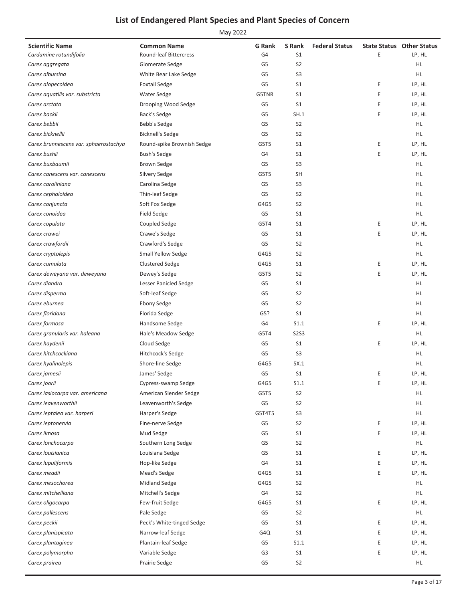| <b>Scientific Name</b>                | <b>Common Name</b>         | <b>G</b> Rank  | S Rank         | <b>Federal Status</b> |   | <b>State Status Other Status</b> |
|---------------------------------------|----------------------------|----------------|----------------|-----------------------|---|----------------------------------|
| Cardamine rotundifolia                | Round-leaf Bittercress     | G4             | S <sub>1</sub> |                       | Ε | LP, HL                           |
| Carex aggregata                       | Glomerate Sedge            | G <sub>5</sub> | S <sub>2</sub> |                       |   | HL                               |
| Carex albursina                       | White Bear Lake Sedge      | G <sub>5</sub> | S <sub>3</sub> |                       |   | <b>HL</b>                        |
| Carex alopecoidea                     | <b>Foxtail Sedge</b>       | G <sub>5</sub> | S <sub>1</sub> |                       | Ε | LP, HL                           |
| Carex aquatilis var. substricta       | Water Sedge                | G5TNR          | S <sub>1</sub> |                       | Ε | LP, HL                           |
| Carex arctata                         | Drooping Wood Sedge        | G5             | S <sub>1</sub> |                       | Ε | LP, HL                           |
| Carex backii                          | Back's Sedge               | G <sub>5</sub> | SH.1           |                       | E | LP, HL                           |
| Carex bebbii                          | Bebb's Sedge               | G <sub>5</sub> | S <sub>2</sub> |                       |   | HL                               |
| Carex bicknellii                      | <b>Bicknell's Sedge</b>    | G <sub>5</sub> | S <sub>2</sub> |                       |   | HL.                              |
| Carex brunnescens var. sphaerostachya | Round-spike Brownish Sedge | G5T5           | S <sub>1</sub> |                       | Ε | LP, HL                           |
| Carex bushii                          | <b>Bush's Sedge</b>        | G4             | S <sub>1</sub> |                       | E | LP, HL                           |
| Carex buxbaumii                       | <b>Brown Sedge</b>         | G <sub>5</sub> | S <sub>3</sub> |                       |   | HL.                              |
| Carex canescens var. canescens        | Silvery Sedge              | G5T5           | <b>SH</b>      |                       |   | HL                               |
| Carex caroliniana                     | Carolina Sedge             | G5             | S <sub>3</sub> |                       |   | HL                               |
| Carex cephaloidea                     | Thin-leaf Sedge            | G <sub>5</sub> | S <sub>2</sub> |                       |   | HL.                              |
| Carex conjuncta                       | Soft Fox Sedge             | G4G5           | S <sub>2</sub> |                       |   | HL                               |
| Carex conoidea                        | <b>Field Sedge</b>         | G5             | S <sub>1</sub> |                       |   | HL                               |
| Carex copulata                        | Coupled Sedge              | G5T4           | S <sub>1</sub> |                       | Ε | LP, HL                           |
| Carex crawei                          | Crawe's Sedge              | G5             | S <sub>1</sub> |                       | E | LP, HL                           |
| Carex crawfordii                      | Crawford's Sedge           | G5             | S <sub>2</sub> |                       |   | HL                               |
| Carex cryptolepis                     | Small Yellow Sedge         | G4G5           | S <sub>2</sub> |                       |   | HL                               |
| Carex cumulata                        | <b>Clustered Sedge</b>     | G4G5           | S1             |                       | Ε | LP, HL                           |
| Carex deweyana var. deweyana          | Dewey's Sedge              | G5T5           | S <sub>2</sub> |                       | E | LP, HL                           |
| Carex diandra                         | Lesser Panicled Sedge      | G5             | S <sub>1</sub> |                       |   | HL                               |
| Carex disperma                        | Soft-leaf Sedge            | G5             | S <sub>2</sub> |                       |   | HL                               |
| Carex eburnea                         | <b>Ebony Sedge</b>         | G5             | S <sub>2</sub> |                       |   | HL                               |
| Carex floridana                       | Florida Sedge              | G5?            | S <sub>1</sub> |                       |   | HL                               |
| Carex formosa                         | Handsome Sedge             | G4             | S1.1           |                       | Ε | LP, HL                           |
| Carex granularis var. haleana         | Hale's Meadow Sedge        | G5T4           | <b>S2S3</b>    |                       |   | HL                               |
| Carex haydenii                        | Cloud Sedge                | G5             | S <sub>1</sub> |                       | E | LP, HL                           |
| Carex hitchcockiana                   | Hitchcock's Sedge          | G <sub>5</sub> | S <sub>3</sub> |                       |   | HL.                              |
| Carex hyalinolepis                    | Shore-line Sedge           | G4G5           | SX.1           |                       |   | <b>HL</b>                        |
| Carex jamesii                         | James' Sedge               | G5             | S <sub>1</sub> |                       | Ε | LP, HL                           |
| Carex joorii                          | Cypress-swamp Sedge        | G4G5           | S1.1           |                       | Е | LP, HL                           |
| Carex lasiocarpa var. americana       | American Slender Sedge     | G5T5           | S <sub>2</sub> |                       |   | HL.                              |
| Carex leavenworthii                   | Leavenworth's Sedge        | G <sub>5</sub> | S <sub>2</sub> |                       |   | HL.                              |
| Carex leptalea var. harperi           | Harper's Sedge             | G5T4T5         | S <sub>3</sub> |                       |   | HL.                              |
| Carex leptonervia                     | Fine-nerve Sedge           | G5             | S <sub>2</sub> |                       | Ε | LP, HL                           |
| Carex limosa                          | Mud Sedge                  | G5             | S <sub>1</sub> |                       | Ε | LP, HL                           |
| Carex lonchocarpa                     | Southern Long Sedge        | G5             | S <sub>2</sub> |                       |   | HL.                              |
| Carex louisianica                     | Louisiana Sedge            | G5             | S <sub>1</sub> |                       | Ε | LP, HL                           |
| Carex lupuliformis                    | Hop-like Sedge             | G4             | S <sub>1</sub> |                       | Ε | LP, HL                           |
| Carex meadii                          | Mead's Sedge               | G4G5           | S <sub>1</sub> |                       | E | LP, HL                           |
| Carex mesochorea                      |                            |                | S <sub>2</sub> |                       |   |                                  |
|                                       | Midland Sedge              | G4G5           |                |                       |   | HL.                              |
| Carex mitchelliana                    | Mitchell's Sedge           | G4             | S <sub>2</sub> |                       |   | HL.                              |
| Carex oligocarpa                      | Few-fruit Sedge            | G4G5           | S <sub>1</sub> |                       | Ε | LP, HL                           |
| Carex pallescens                      | Pale Sedge                 | G5             | S <sub>2</sub> |                       |   | HL.                              |
| Carex peckii                          | Peck's White-tinged Sedge  | G5             | S <sub>1</sub> |                       | Ε | LP, HL                           |
| Carex planispicata                    | Narrow-leaf Sedge          | G4Q            | S <sub>1</sub> |                       | Ε | LP, HL                           |
| Carex plantaginea                     | Plantain-leaf Sedge        | G5             | S1.1           |                       | Ε | LP, HL                           |
| Carex polymorpha                      | Variable Sedge             | G <sub>3</sub> | S1             |                       | Е | LP, HL                           |
| Carex prairea                         | Prairie Sedge              | G5             | S <sub>2</sub> |                       |   | HL                               |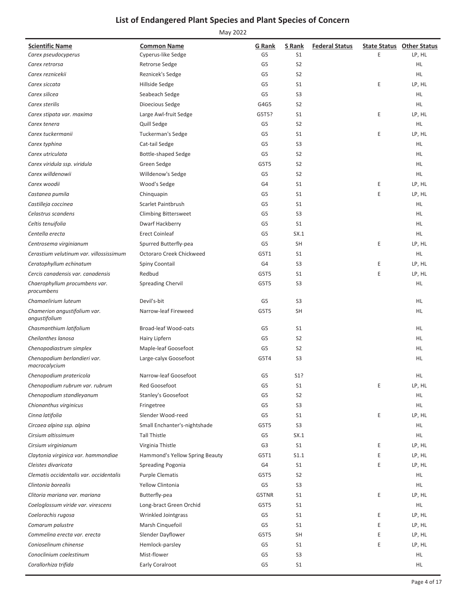| <b>Scientific Name</b>                        | <b>Common Name</b>             | G Rank         | S Rank           | <b>Federal Status</b> |   | <b>State Status Other Status</b> |
|-----------------------------------------------|--------------------------------|----------------|------------------|-----------------------|---|----------------------------------|
| Carex pseudocyperus                           | Cyperus-like Sedge             | G <sub>5</sub> | S <sub>1</sub>   |                       | E | LP, HL                           |
| Carex retrorsa                                | Retrorse Sedge                 | G5             | S <sub>2</sub>   |                       |   | HL.                              |
| Carex reznicekii                              | Reznicek's Sedge               | G <sub>5</sub> | S <sub>2</sub>   |                       |   | HL.                              |
| Carex siccata                                 | Hillside Sedge                 | G <sub>5</sub> | S <sub>1</sub>   |                       | Ε | LP, HL                           |
| Carex silicea                                 | Seabeach Sedge                 | G5             | S <sub>3</sub>   |                       |   | HL.                              |
| Carex sterilis                                | Dioecious Sedge                | G4G5           | S <sub>2</sub>   |                       |   | HL.                              |
| Carex stipata var. maxima                     | Large Awl-fruit Sedge          | G5T5?          | S <sub>1</sub>   |                       | E | LP, HL                           |
| Carex tenera                                  | Quill Sedge                    | G <sub>5</sub> | S <sub>2</sub>   |                       |   | HL.                              |
| Carex tuckermanii                             | <b>Tuckerman's Sedge</b>       | G <sub>5</sub> | S <sub>1</sub>   |                       | E | LP, HL                           |
| Carex typhina                                 | Cat-tail Sedge                 | G5             | S <sub>3</sub>   |                       |   | HL.                              |
| Carex utriculata                              | Bottle-shaped Sedge            | G <sub>5</sub> | S <sub>2</sub>   |                       |   | HL.                              |
| Carex viridula ssp. viridula                  | Green Sedge                    | G5T5           | S <sub>2</sub>   |                       |   | HL.                              |
| Carex willdenowii                             | Willdenow's Sedge              | G5             | S <sub>2</sub>   |                       |   | HL.                              |
| Carex woodii                                  | Wood's Sedge                   | G4             | S <sub>1</sub>   |                       | Ε | LP, HL                           |
| Castanea pumila                               | Chinquapin                     | G <sub>5</sub> | S <sub>1</sub>   |                       | Ε | LP, HL                           |
| Castilleja coccinea                           | Scarlet Paintbrush             | G <sub>5</sub> | S <sub>1</sub>   |                       |   | HL.                              |
| Celastrus scandens                            | <b>Climbing Bittersweet</b>    | G <sub>5</sub> | S <sub>3</sub>   |                       |   | HL.                              |
| Celtis tenuifolia                             | Dwarf Hackberry                | G <sub>5</sub> | S <sub>1</sub>   |                       |   | HL.                              |
| Centella erecta                               | <b>Erect Coinleaf</b>          | G5             | SX.1             |                       |   | HL.                              |
| Centrosema virginianum                        | Spurred Butterfly-pea          | G <sub>5</sub> | <b>SH</b>        |                       | E | LP, HL                           |
| Cerastium velutinum var. villossissimum       | Octoraro Creek Chickweed       | G5T1           | S <sub>1</sub>   |                       |   | HL.                              |
| Ceratophyllum echinatum                       | Spiny Coontail                 | G4             | S <sub>3</sub>   |                       | Ε | LP, HL                           |
| Cercis canadensis var. canadensis             | Redbud                         | G5T5           | S <sub>1</sub>   |                       | E | LP, HL                           |
| Chaerophyllum procumbens var.<br>procumbens   | <b>Spreading Chervil</b>       | G5T5           | S <sub>3</sub>   |                       |   | HL.                              |
| Chamaelirium luteum                           | Devil's-bit                    | G5             | S <sub>3</sub>   |                       |   | HL                               |
| Chamerion angustifolium var.<br>angustifolium | Narrow-leaf Fireweed           | G5T5           | SH               |                       |   | HL.                              |
| Chasmanthium latifolium                       | Broad-leaf Wood-oats           | G5             | S <sub>1</sub>   |                       |   | HL                               |
| Cheilanthes lanosa                            | Hairy Lipfern                  | G5             | S <sub>2</sub>   |                       |   | HL.                              |
| Chenopodiastrum simplex                       | Maple-leaf Goosefoot           | G5             | S <sub>2</sub>   |                       |   | HL.                              |
| Chenopodium berlandieri var.<br>macrocalycium | Large-calyx Goosefoot          | G5T4           | S <sub>3</sub>   |                       |   | HL                               |
| Chenopodium pratericola                       | Narrow-leaf Goosefoot          | G5             | S <sub>1</sub> ? |                       |   | <b>HL</b>                        |
| Chenopodium rubrum var. rubrum                | Red Goosefoot                  | G <sub>5</sub> | S <sub>1</sub>   |                       | Ε | LP, HL                           |
| Chenopodium standleyanum                      | Stanley's Goosefoot            | G5             | S <sub>2</sub>   |                       |   | <b>HL</b>                        |
| Chionanthus virginicus                        | Fringetree                     | G5             | S <sub>3</sub>   |                       |   | HL.                              |
| Cinna latifolia                               | Slender Wood-reed              | G5             | S <sub>1</sub>   |                       | Ε | LP, HL                           |
| Circaea alpina ssp. alpina                    | Small Enchanter's-nightshade   | G5T5           | S <sub>3</sub>   |                       |   | HL.                              |
| Cirsium altissimum                            | Tall Thistle                   | G5             | SX.1             |                       |   | HL.                              |
| Cirsium virginianum                           | Virginia Thistle               | G <sub>3</sub> | S <sub>1</sub>   |                       | Ε | LP, HL                           |
| Claytonia virginica var. hammondiae           | Hammond's Yellow Spring Beauty | G5T1           | S1.1             |                       | Ε | LP, HL                           |
| Cleistes divaricata                           | Spreading Pogonia              | G4             | S <sub>1</sub>   |                       | Ε | LP, HL                           |
| Clematis occidentalis var. occidentalis       | <b>Purple Clematis</b>         | G5T5           | S <sub>2</sub>   |                       |   | <b>HL</b>                        |
| Clintonia borealis                            | Yellow Clintonia               | G5             | S <sub>3</sub>   |                       |   | HL.                              |
| Clitoria mariana var. mariana                 | Butterfly-pea                  | G5TNR          | S <sub>1</sub>   |                       | Ε | LP, HL                           |
| Coeloglossum viride var. virescens            | Long-bract Green Orchid        | G5T5           | S <sub>1</sub>   |                       |   | <b>HL</b>                        |
| Coelorachis rugosa                            | Wrinkled Jointgrass            | G5             | S <sub>1</sub>   |                       | Ε | LP, HL                           |
| Comarum palustre                              | Marsh Cinquefoil               | G5             | S <sub>1</sub>   |                       | Ε | LP, HL                           |
| Commelina erecta var. erecta                  | Slender Dayflower              | G5T5           | SH               |                       | E | LP, HL                           |
| Conioselinum chinense                         | Hemlock-parsley                | G5             | S <sub>1</sub>   |                       | Ε | LP, HL                           |
| Conoclinium coelestinum                       | Mist-flower                    | G5             | S <sub>3</sub>   |                       |   | <b>HL</b>                        |
| Corallorhiza trifida                          | Early Coralroot                | G5             | S <sub>1</sub>   |                       |   | HL.                              |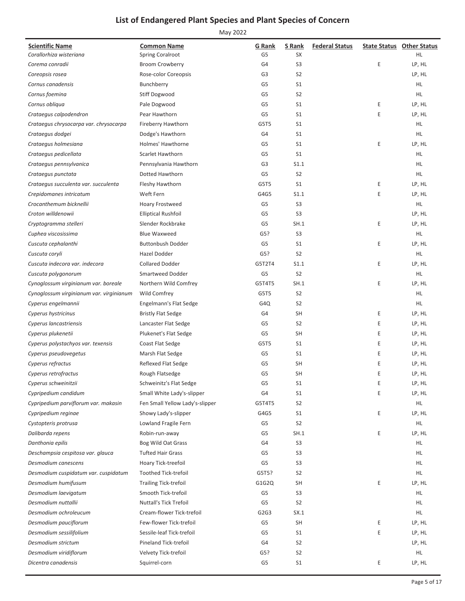| <b>Scientific Name</b><br>Corallorhiza wisteriana | <b>Common Name</b><br><b>Spring Coralroot</b> | <b>G</b> Rank<br>G5 | S Rank<br>SX   | <b>Federal Status</b> |   | <b>State Status Other Status</b><br><b>HL</b> |
|---------------------------------------------------|-----------------------------------------------|---------------------|----------------|-----------------------|---|-----------------------------------------------|
| Corema conradii                                   | <b>Broom Crowberry</b>                        | G4                  | S <sub>3</sub> |                       | Ε | LP, HL                                        |
| Coreopsis rosea                                   | Rose-color Coreopsis                          | G3                  | S <sub>2</sub> |                       |   | LP, HL                                        |
| Cornus canadensis                                 | Bunchberry                                    | G5                  | S1             |                       |   | HL.                                           |
| Cornus foemina                                    | Stiff Dogwood                                 | G <sub>5</sub>      | S <sub>2</sub> |                       |   | <b>HL</b>                                     |
| Cornus obliqua                                    | Pale Dogwood                                  | G <sub>5</sub>      | S <sub>1</sub> |                       | Ε | LP, HL                                        |
| Crataegus calpodendron                            | Pear Hawthorn                                 | G5                  | S <sub>1</sub> |                       | E | LP, HL                                        |
| Crataegus chrysocarpa var. chrysocarpa            | <b>Fireberry Hawthorn</b>                     | G5T5                | S <sub>1</sub> |                       |   | HL                                            |
| Crataegus dodgei                                  | Dodge's Hawthorn                              | G4                  | S <sub>1</sub> |                       |   | HL                                            |
| Crataegus holmesiana                              | Holmes' Hawthorne                             | G <sub>5</sub>      | S <sub>1</sub> |                       | Ε | LP, HL                                        |
| Crataegus pedicellata                             | Scarlet Hawthorn                              | G5                  | S <sub>1</sub> |                       |   | HL                                            |
| Crataegus pennsylvanica                           | Pennsylvania Hawthorn                         | G3                  | S1.1           |                       |   | HL.                                           |
| Crataegus punctata                                | Dotted Hawthorn                               | G <sub>5</sub>      | S <sub>2</sub> |                       |   | <b>HL</b>                                     |
| Crataegus succulenta var. succulenta              | Fleshy Hawthorn                               | G5T5                | S <sub>1</sub> |                       | Ε | LP, HL                                        |
| Crepidomanes intricatum                           | Weft Fern                                     | G4G5                | S1.1           |                       | E | LP, HL                                        |
| Crocanthemum bicknellii                           | <b>Hoary Frostweed</b>                        | G5                  | S <sub>3</sub> |                       |   | HL                                            |
| Croton willdenowii                                | <b>Elliptical Rushfoil</b>                    | G <sub>5</sub>      | S <sub>3</sub> |                       |   | LP, HL                                        |
| Cryptogramma stelleri                             | Slender Rockbrake                             | G5                  | SH.1           |                       | Ε | LP, HL                                        |
| Cuphea viscosissima                               | <b>Blue Waxweed</b>                           | G5?                 | S <sub>3</sub> |                       |   | HL.                                           |
| Cuscuta cephalanthi                               | <b>Buttonbush Dodder</b>                      | G5                  | S <sub>1</sub> |                       | Ε | LP, HL                                        |
| Cuscuta coryli                                    | Hazel Dodder                                  | G5?                 | S <sub>2</sub> |                       |   | <b>HL</b>                                     |
| Cuscuta indecora var. indecora                    | <b>Collared Dodder</b>                        | G5T2T4              | S1.1           |                       | Ε | LP, HL                                        |
| Cuscuta polygonorum                               | Smartweed Dodder                              | G5                  | S <sub>2</sub> |                       |   | HL                                            |
| Cynoglossum virginianum var. boreale              | Northern Wild Comfrey                         | G5T4T5              | SH.1           |                       | E | LP, HL                                        |
| Cynoglossum virginianum var. virginianum          | Wild Comfrey                                  | G5T5                | S <sub>2</sub> |                       |   | HL.                                           |
| Cyperus engelmannii                               | Engelmann's Flat Sedge                        | G4Q                 | S <sub>2</sub> |                       |   | HL                                            |
| Cyperus hystricinus                               | <b>Bristly Flat Sedge</b>                     | G4                  | <b>SH</b>      |                       | Ε | LP, HL                                        |
| Cyperus lancastriensis                            | Lancaster Flat Sedge                          | G5                  | S <sub>2</sub> |                       | Ε | LP, HL                                        |
| Cyperus plukenetii                                | Plukenet's Flat Sedge                         | G5                  | <b>SH</b>      |                       | E | LP, HL                                        |
| Cyperus polystachyos var. texensis                | Coast Flat Sedge                              | G5T5                | S <sub>1</sub> |                       | Ε | LP, HL                                        |
| Cyperus pseudovegetus                             | Marsh Flat Sedge                              | G5                  | S <sub>1</sub> |                       | Ε | LP, HL                                        |
| Cyperus refractus                                 | <b>Reflexed Flat Sedge</b>                    | G5                  | <b>SH</b>      |                       | Ε | LP, HL                                        |
| Cyperus retrofractus                              | Rough Flatsedge                               | G <sub>5</sub>      | <b>SH</b>      |                       | E | LP, HL                                        |
| Cyperus schweinitzii                              | Schweinitz's Flat Sedge                       | G5                  | S <sub>1</sub> |                       | Ε | LP, HL                                        |
| Cypripedium candidum                              | Small White Lady's-slipper                    | G4                  | S1             |                       | E | LP, HL                                        |
| Cypripedium parviflorum var. makasin              | Fen Small Yellow Lady's-slipper               | G5T4T5              | S <sub>2</sub> |                       |   | HL.                                           |
| Cypripedium reginae                               | Showy Lady's-slipper                          | G4G5                | S <sub>1</sub> |                       | Ε | LP, HL                                        |
| Cystopteris protrusa                              | Lowland Fragile Fern                          | G5                  | S <sub>2</sub> |                       |   | HL.                                           |
| Dalibarda repens                                  | Robin-run-away                                | G5                  | SH.1           |                       | Ε | LP, HL                                        |
| Danthonia epilis                                  | Bog Wild Oat Grass                            | G4                  | S <sub>3</sub> |                       |   | HL                                            |
| Deschampsia cespitosa var. glauca                 | <b>Tufted Hair Grass</b>                      | G5                  | S3             |                       |   | HL.                                           |
| Desmodium canescens                               | Hoary Tick-treefoil                           | G5                  | S <sub>3</sub> |                       |   | HL                                            |
| Desmodium cuspidatum var. cuspidatum              | <b>Toothed Tick-trefoil</b>                   | G5T5?               | S <sub>2</sub> |                       |   | HL.                                           |
| Desmodium humifusum                               | <b>Trailing Tick-trefoil</b>                  | G1G2Q               | <b>SH</b>      |                       | Ε | LP, HL                                        |
| Desmodium laevigatum                              | Smooth Tick-trefoil                           | G5                  | S <sub>3</sub> |                       |   | HL.                                           |
| Desmodium nuttallii                               | <b>Nuttall's Tick Trefoil</b>                 | G5                  | S <sub>2</sub> |                       |   | HL.                                           |
| Desmodium ochroleucum                             | Cream-flower Tick-trefoil                     | G2G3                | SX.1           |                       |   | HL                                            |
| Desmodium pauciflorum                             | Few-flower Tick-trefoil                       | G5                  | <b>SH</b>      |                       | Ε | LP, HL                                        |
| Desmodium sessilifolium                           | Sessile-leaf Tick-trefoil                     | G5                  | S <sub>1</sub> |                       | Ε | LP, HL                                        |
| Desmodium strictum                                | <b>Pineland Tick-trefoil</b>                  | G4                  | S <sub>2</sub> |                       |   | LP, HL                                        |
| Desmodium viridiflorum                            | Velvety Tick-trefoil                          | G5?                 | S <sub>2</sub> |                       |   | HL.                                           |
| Dicentra canadensis                               | Squirrel-corn                                 | G5                  | S1             |                       | Ε | LP, HL                                        |
|                                                   |                                               |                     |                |                       |   |                                               |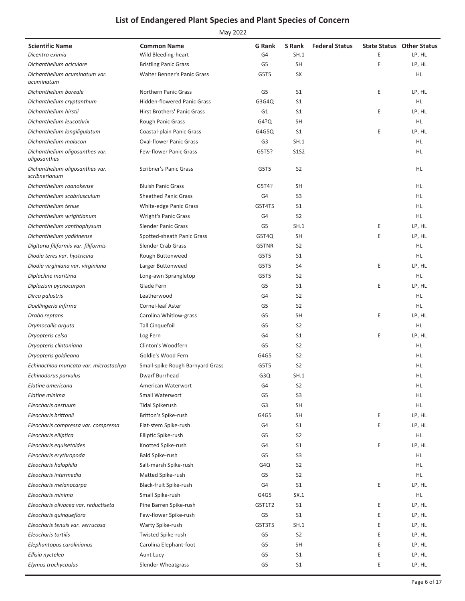| Wild Bleeding-heart<br>G4<br>SH.1<br>Ε<br>LP, HL<br>Dicentra eximia<br>E<br>G5<br><b>SH</b><br>LP, HL<br>Dichanthelium aciculare<br><b>Bristling Panic Grass</b><br>Dichanthelium acuminatum var.<br><b>Walter Benner's Panic Grass</b><br>G5T5<br>SX<br>HL.<br>acuminatum<br>E<br>G5<br>S <sub>1</sub><br>LP, HL<br>Dichanthelium boreale<br><b>Northern Panic Grass</b><br><b>Hidden-flowered Panic Grass</b><br>S <sub>1</sub><br>HL<br>Dichanthelium cryptanthum<br>G3G4Q<br>Dichanthelium hirstii<br><b>Hirst Brothers' Panic Grass</b><br>G1<br>S <sub>1</sub><br>Ε<br>LP, HL<br>G4?Q<br><b>SH</b><br>HL.<br>Dichanthelium leucothrix<br>Rough Panic Grass<br>E<br>S <sub>1</sub><br>LP, HL<br>Dichanthelium longiligulatum<br>Coastal-plain Panic Grass<br>G4G5Q<br>G <sub>3</sub><br>SH.1<br>Dichanthelium malacon<br><b>Oval-flower Panic Grass</b><br>HL<br>Dichanthelium oligosanthes var.<br><b>Few-flower Panic Grass</b><br>G5T5?<br><b>S1S2</b><br>HL<br>oligosanthes<br>S <sub>2</sub><br>G5T5<br>HL<br>Dichanthelium oligosanthes var.<br>Scribner's Panic Grass<br>scribnerianum<br>Dichanthelium roanokense<br><b>Bluish Panic Grass</b><br>G5T4?<br><b>SH</b><br>HL.<br>Dichanthelium scabriusculum<br><b>Sheathed Panic Grass</b><br>G4<br>S <sub>3</sub><br>HL<br>G5T4T5<br>S <sub>1</sub><br>HL.<br>Dichanthelium tenue<br>White-edge Panic Grass<br>S <sub>2</sub><br>HL<br>Dichanthelium wrightianum<br><b>Wright's Panic Grass</b><br>G4<br><b>Slender Panic Grass</b><br>G <sub>5</sub><br>SH.1<br>Ε<br>LP, HL<br>Dichanthelium xanthophysum<br>Dichanthelium yadkinense<br>Spotted-sheath Panic Grass<br><b>SH</b><br>Ε<br>LP, HL<br>G5T4Q<br>Slender Crab Grass<br>S <sub>2</sub><br>HL<br>Digitaria filiformis var. filiformis<br>G5TNR<br>S <sub>1</sub><br>HL.<br>Diodia teres var. hystricina<br>Rough Buttonweed<br>G5T5<br>G5T5<br>S4<br>Ε<br>LP, HL<br>Diodia virginiana var. virginiana<br>Larger Buttonweed<br>G5T5<br>S <sub>2</sub><br>HL<br>Diplachne maritima<br>Long-awn Sprangletop<br>Glade Fern<br>G <sub>5</sub><br>S <sub>1</sub><br>Ε<br>LP, HL<br>Diplazium pycnocarpon<br>G4<br>S <sub>2</sub><br>HL<br>Dirca palustris<br>Leatherwood<br>Cornel-leaf Aster<br>G <sub>5</sub><br>S <sub>2</sub><br>HL.<br>Doellingeria infirma<br>Carolina Whitlow-grass<br>G <sub>5</sub><br><b>SH</b><br>Ε<br>LP, HL<br>Draba reptans<br><b>Tall Cinquefoil</b><br>G <sub>5</sub><br>S <sub>2</sub><br>HL<br>Drymocallis arguta<br>Log Fern<br>G4<br>S <sub>1</sub><br>Ε<br>LP, HL<br>Dryopteris celsa<br>Clinton's Woodfern<br>G <sub>5</sub><br>S <sub>2</sub><br>HL.<br>Dryopteris clintoniana<br>S <sub>2</sub><br>HL.<br>Dryopteris goldieana<br>Goldie's Wood Fern<br>G4G5<br>Echinochloa muricata var. microstachya<br>Small-spike Rough Barnyard Grass<br>G5T5<br>S <sub>2</sub><br>HL<br>G3Q<br>SH.1<br>HL<br>Echinodorus parvulus<br>Dwarf Burrhead<br>G4<br>S <sub>2</sub><br>Elatine americana<br>American Waterwort<br>HL<br>Elatine minima<br>Small Waterwort<br>G5<br>S <sub>3</sub><br>HL<br><b>Tidal Spikerush</b><br>G3<br><b>SH</b><br>HL.<br>Eleocharis aestuum<br>Britton's Spike-rush<br>G4G5<br><b>SH</b><br>Ε<br>LP, HL<br>Eleocharis brittonii<br>Е<br>Flat-stem Spike-rush<br>G4<br>S1<br>LP, HL<br>Eleocharis compressa var. compressa<br>Elliptic Spike-rush<br>G5<br>S <sub>2</sub><br>HL.<br>Eleocharis elliptica<br>Eleocharis equisetoides<br>Knotted Spike-rush<br>G4<br>S <sub>1</sub><br>Ε<br>LP, HL<br>Eleocharis erythropoda<br><b>Bald Spike-rush</b><br>G5<br>S <sub>3</sub><br>HL.<br>Salt-marsh Spike-rush<br>S <sub>2</sub><br>HL.<br>Eleocharis halophila<br>G4Q<br>Eleocharis intermedia<br>Matted Spike-rush<br>G5<br>S <sub>2</sub><br>HL.<br>Е<br>Eleocharis melanocarpa<br>Black-fruit Spike-rush<br>G4<br>S1<br>LP, HL<br>Eleocharis minima<br>Small Spike-rush<br>G4G5<br>SX.1<br>HL.<br>Pine Barren Spike-rush<br>Ε<br>LP, HL<br>Eleocharis olivacea var. reductiseta<br>G5T1T2<br>S1<br>G <sub>5</sub><br>Few-flower Spike-rush<br>S1<br>Ε<br>LP, HL<br>Eleocharis quinqueflora<br>G5T3T5<br>SH.1<br>Ε<br>LP, HL<br>Eleocharis tenuis var. verrucosa<br>Warty Spike-rush<br>Twisted Spike-rush<br>G5<br>S <sub>2</sub><br>Ε<br>LP, HL<br>Eleocharis tortilis<br>E<br>Carolina Elephant-foot<br>G5<br>SH<br>Elephantopus carolinianus<br>LP, HL<br>Ellisia nyctelea<br>G5<br>S1<br>Ε<br>LP, HL<br>Aunt Lucy | <b>Scientific Name</b> | <b>Common Name</b> | G Rank | S Rank | <b>Federal Status</b> | <b>State Status Other Status</b> |
|-----------------------------------------------------------------------------------------------------------------------------------------------------------------------------------------------------------------------------------------------------------------------------------------------------------------------------------------------------------------------------------------------------------------------------------------------------------------------------------------------------------------------------------------------------------------------------------------------------------------------------------------------------------------------------------------------------------------------------------------------------------------------------------------------------------------------------------------------------------------------------------------------------------------------------------------------------------------------------------------------------------------------------------------------------------------------------------------------------------------------------------------------------------------------------------------------------------------------------------------------------------------------------------------------------------------------------------------------------------------------------------------------------------------------------------------------------------------------------------------------------------------------------------------------------------------------------------------------------------------------------------------------------------------------------------------------------------------------------------------------------------------------------------------------------------------------------------------------------------------------------------------------------------------------------------------------------------------------------------------------------------------------------------------------------------------------------------------------------------------------------------------------------------------------------------------------------------------------------------------------------------------------------------------------------------------------------------------------------------------------------------------------------------------------------------------------------------------------------------------------------------------------------------------------------------------------------------------------------------------------------------------------------------------------------------------------------------------------------------------------------------------------------------------------------------------------------------------------------------------------------------------------------------------------------------------------------------------------------------------------------------------------------------------------------------------------------------------------------------------------------------------------------------------------------------------------------------------------------------------------------------------------------------------------------------------------------------------------------------------------------------------------------------------------------------------------------------------------------------------------------------------------------------------------------------------------------------------------------------------------------------------------------------------------------------------------------------------------------------------------------------------------------------------------------------------------------------------------------------------------------------------------------------------------------------------------------------------------------------------------------------------------------------------------------------------------------------------------------------------------------------------------------------------------------------------------------------------------------------------------------------------------------------------------------------------------------------------------------------------------------------------------------|------------------------|--------------------|--------|--------|-----------------------|----------------------------------|
|                                                                                                                                                                                                                                                                                                                                                                                                                                                                                                                                                                                                                                                                                                                                                                                                                                                                                                                                                                                                                                                                                                                                                                                                                                                                                                                                                                                                                                                                                                                                                                                                                                                                                                                                                                                                                                                                                                                                                                                                                                                                                                                                                                                                                                                                                                                                                                                                                                                                                                                                                                                                                                                                                                                                                                                                                                                                                                                                                                                                                                                                                                                                                                                                                                                                                                                                                                                                                                                                                                                                                                                                                                                                                                                                                                                                                                                                                                                                                                                                                                                                                                                                                                                                                                                                                                                                                                                                     |                        |                    |        |        |                       |                                  |
|                                                                                                                                                                                                                                                                                                                                                                                                                                                                                                                                                                                                                                                                                                                                                                                                                                                                                                                                                                                                                                                                                                                                                                                                                                                                                                                                                                                                                                                                                                                                                                                                                                                                                                                                                                                                                                                                                                                                                                                                                                                                                                                                                                                                                                                                                                                                                                                                                                                                                                                                                                                                                                                                                                                                                                                                                                                                                                                                                                                                                                                                                                                                                                                                                                                                                                                                                                                                                                                                                                                                                                                                                                                                                                                                                                                                                                                                                                                                                                                                                                                                                                                                                                                                                                                                                                                                                                                                     |                        |                    |        |        |                       |                                  |
|                                                                                                                                                                                                                                                                                                                                                                                                                                                                                                                                                                                                                                                                                                                                                                                                                                                                                                                                                                                                                                                                                                                                                                                                                                                                                                                                                                                                                                                                                                                                                                                                                                                                                                                                                                                                                                                                                                                                                                                                                                                                                                                                                                                                                                                                                                                                                                                                                                                                                                                                                                                                                                                                                                                                                                                                                                                                                                                                                                                                                                                                                                                                                                                                                                                                                                                                                                                                                                                                                                                                                                                                                                                                                                                                                                                                                                                                                                                                                                                                                                                                                                                                                                                                                                                                                                                                                                                                     |                        |                    |        |        |                       |                                  |
|                                                                                                                                                                                                                                                                                                                                                                                                                                                                                                                                                                                                                                                                                                                                                                                                                                                                                                                                                                                                                                                                                                                                                                                                                                                                                                                                                                                                                                                                                                                                                                                                                                                                                                                                                                                                                                                                                                                                                                                                                                                                                                                                                                                                                                                                                                                                                                                                                                                                                                                                                                                                                                                                                                                                                                                                                                                                                                                                                                                                                                                                                                                                                                                                                                                                                                                                                                                                                                                                                                                                                                                                                                                                                                                                                                                                                                                                                                                                                                                                                                                                                                                                                                                                                                                                                                                                                                                                     |                        |                    |        |        |                       |                                  |
|                                                                                                                                                                                                                                                                                                                                                                                                                                                                                                                                                                                                                                                                                                                                                                                                                                                                                                                                                                                                                                                                                                                                                                                                                                                                                                                                                                                                                                                                                                                                                                                                                                                                                                                                                                                                                                                                                                                                                                                                                                                                                                                                                                                                                                                                                                                                                                                                                                                                                                                                                                                                                                                                                                                                                                                                                                                                                                                                                                                                                                                                                                                                                                                                                                                                                                                                                                                                                                                                                                                                                                                                                                                                                                                                                                                                                                                                                                                                                                                                                                                                                                                                                                                                                                                                                                                                                                                                     |                        |                    |        |        |                       |                                  |
|                                                                                                                                                                                                                                                                                                                                                                                                                                                                                                                                                                                                                                                                                                                                                                                                                                                                                                                                                                                                                                                                                                                                                                                                                                                                                                                                                                                                                                                                                                                                                                                                                                                                                                                                                                                                                                                                                                                                                                                                                                                                                                                                                                                                                                                                                                                                                                                                                                                                                                                                                                                                                                                                                                                                                                                                                                                                                                                                                                                                                                                                                                                                                                                                                                                                                                                                                                                                                                                                                                                                                                                                                                                                                                                                                                                                                                                                                                                                                                                                                                                                                                                                                                                                                                                                                                                                                                                                     |                        |                    |        |        |                       |                                  |
|                                                                                                                                                                                                                                                                                                                                                                                                                                                                                                                                                                                                                                                                                                                                                                                                                                                                                                                                                                                                                                                                                                                                                                                                                                                                                                                                                                                                                                                                                                                                                                                                                                                                                                                                                                                                                                                                                                                                                                                                                                                                                                                                                                                                                                                                                                                                                                                                                                                                                                                                                                                                                                                                                                                                                                                                                                                                                                                                                                                                                                                                                                                                                                                                                                                                                                                                                                                                                                                                                                                                                                                                                                                                                                                                                                                                                                                                                                                                                                                                                                                                                                                                                                                                                                                                                                                                                                                                     |                        |                    |        |        |                       |                                  |
|                                                                                                                                                                                                                                                                                                                                                                                                                                                                                                                                                                                                                                                                                                                                                                                                                                                                                                                                                                                                                                                                                                                                                                                                                                                                                                                                                                                                                                                                                                                                                                                                                                                                                                                                                                                                                                                                                                                                                                                                                                                                                                                                                                                                                                                                                                                                                                                                                                                                                                                                                                                                                                                                                                                                                                                                                                                                                                                                                                                                                                                                                                                                                                                                                                                                                                                                                                                                                                                                                                                                                                                                                                                                                                                                                                                                                                                                                                                                                                                                                                                                                                                                                                                                                                                                                                                                                                                                     |                        |                    |        |        |                       |                                  |
|                                                                                                                                                                                                                                                                                                                                                                                                                                                                                                                                                                                                                                                                                                                                                                                                                                                                                                                                                                                                                                                                                                                                                                                                                                                                                                                                                                                                                                                                                                                                                                                                                                                                                                                                                                                                                                                                                                                                                                                                                                                                                                                                                                                                                                                                                                                                                                                                                                                                                                                                                                                                                                                                                                                                                                                                                                                                                                                                                                                                                                                                                                                                                                                                                                                                                                                                                                                                                                                                                                                                                                                                                                                                                                                                                                                                                                                                                                                                                                                                                                                                                                                                                                                                                                                                                                                                                                                                     |                        |                    |        |        |                       |                                  |
|                                                                                                                                                                                                                                                                                                                                                                                                                                                                                                                                                                                                                                                                                                                                                                                                                                                                                                                                                                                                                                                                                                                                                                                                                                                                                                                                                                                                                                                                                                                                                                                                                                                                                                                                                                                                                                                                                                                                                                                                                                                                                                                                                                                                                                                                                                                                                                                                                                                                                                                                                                                                                                                                                                                                                                                                                                                                                                                                                                                                                                                                                                                                                                                                                                                                                                                                                                                                                                                                                                                                                                                                                                                                                                                                                                                                                                                                                                                                                                                                                                                                                                                                                                                                                                                                                                                                                                                                     |                        |                    |        |        |                       |                                  |
|                                                                                                                                                                                                                                                                                                                                                                                                                                                                                                                                                                                                                                                                                                                                                                                                                                                                                                                                                                                                                                                                                                                                                                                                                                                                                                                                                                                                                                                                                                                                                                                                                                                                                                                                                                                                                                                                                                                                                                                                                                                                                                                                                                                                                                                                                                                                                                                                                                                                                                                                                                                                                                                                                                                                                                                                                                                                                                                                                                                                                                                                                                                                                                                                                                                                                                                                                                                                                                                                                                                                                                                                                                                                                                                                                                                                                                                                                                                                                                                                                                                                                                                                                                                                                                                                                                                                                                                                     |                        |                    |        |        |                       |                                  |
|                                                                                                                                                                                                                                                                                                                                                                                                                                                                                                                                                                                                                                                                                                                                                                                                                                                                                                                                                                                                                                                                                                                                                                                                                                                                                                                                                                                                                                                                                                                                                                                                                                                                                                                                                                                                                                                                                                                                                                                                                                                                                                                                                                                                                                                                                                                                                                                                                                                                                                                                                                                                                                                                                                                                                                                                                                                                                                                                                                                                                                                                                                                                                                                                                                                                                                                                                                                                                                                                                                                                                                                                                                                                                                                                                                                                                                                                                                                                                                                                                                                                                                                                                                                                                                                                                                                                                                                                     |                        |                    |        |        |                       |                                  |
|                                                                                                                                                                                                                                                                                                                                                                                                                                                                                                                                                                                                                                                                                                                                                                                                                                                                                                                                                                                                                                                                                                                                                                                                                                                                                                                                                                                                                                                                                                                                                                                                                                                                                                                                                                                                                                                                                                                                                                                                                                                                                                                                                                                                                                                                                                                                                                                                                                                                                                                                                                                                                                                                                                                                                                                                                                                                                                                                                                                                                                                                                                                                                                                                                                                                                                                                                                                                                                                                                                                                                                                                                                                                                                                                                                                                                                                                                                                                                                                                                                                                                                                                                                                                                                                                                                                                                                                                     |                        |                    |        |        |                       |                                  |
|                                                                                                                                                                                                                                                                                                                                                                                                                                                                                                                                                                                                                                                                                                                                                                                                                                                                                                                                                                                                                                                                                                                                                                                                                                                                                                                                                                                                                                                                                                                                                                                                                                                                                                                                                                                                                                                                                                                                                                                                                                                                                                                                                                                                                                                                                                                                                                                                                                                                                                                                                                                                                                                                                                                                                                                                                                                                                                                                                                                                                                                                                                                                                                                                                                                                                                                                                                                                                                                                                                                                                                                                                                                                                                                                                                                                                                                                                                                                                                                                                                                                                                                                                                                                                                                                                                                                                                                                     |                        |                    |        |        |                       |                                  |
|                                                                                                                                                                                                                                                                                                                                                                                                                                                                                                                                                                                                                                                                                                                                                                                                                                                                                                                                                                                                                                                                                                                                                                                                                                                                                                                                                                                                                                                                                                                                                                                                                                                                                                                                                                                                                                                                                                                                                                                                                                                                                                                                                                                                                                                                                                                                                                                                                                                                                                                                                                                                                                                                                                                                                                                                                                                                                                                                                                                                                                                                                                                                                                                                                                                                                                                                                                                                                                                                                                                                                                                                                                                                                                                                                                                                                                                                                                                                                                                                                                                                                                                                                                                                                                                                                                                                                                                                     |                        |                    |        |        |                       |                                  |
|                                                                                                                                                                                                                                                                                                                                                                                                                                                                                                                                                                                                                                                                                                                                                                                                                                                                                                                                                                                                                                                                                                                                                                                                                                                                                                                                                                                                                                                                                                                                                                                                                                                                                                                                                                                                                                                                                                                                                                                                                                                                                                                                                                                                                                                                                                                                                                                                                                                                                                                                                                                                                                                                                                                                                                                                                                                                                                                                                                                                                                                                                                                                                                                                                                                                                                                                                                                                                                                                                                                                                                                                                                                                                                                                                                                                                                                                                                                                                                                                                                                                                                                                                                                                                                                                                                                                                                                                     |                        |                    |        |        |                       |                                  |
|                                                                                                                                                                                                                                                                                                                                                                                                                                                                                                                                                                                                                                                                                                                                                                                                                                                                                                                                                                                                                                                                                                                                                                                                                                                                                                                                                                                                                                                                                                                                                                                                                                                                                                                                                                                                                                                                                                                                                                                                                                                                                                                                                                                                                                                                                                                                                                                                                                                                                                                                                                                                                                                                                                                                                                                                                                                                                                                                                                                                                                                                                                                                                                                                                                                                                                                                                                                                                                                                                                                                                                                                                                                                                                                                                                                                                                                                                                                                                                                                                                                                                                                                                                                                                                                                                                                                                                                                     |                        |                    |        |        |                       |                                  |
|                                                                                                                                                                                                                                                                                                                                                                                                                                                                                                                                                                                                                                                                                                                                                                                                                                                                                                                                                                                                                                                                                                                                                                                                                                                                                                                                                                                                                                                                                                                                                                                                                                                                                                                                                                                                                                                                                                                                                                                                                                                                                                                                                                                                                                                                                                                                                                                                                                                                                                                                                                                                                                                                                                                                                                                                                                                                                                                                                                                                                                                                                                                                                                                                                                                                                                                                                                                                                                                                                                                                                                                                                                                                                                                                                                                                                                                                                                                                                                                                                                                                                                                                                                                                                                                                                                                                                                                                     |                        |                    |        |        |                       |                                  |
|                                                                                                                                                                                                                                                                                                                                                                                                                                                                                                                                                                                                                                                                                                                                                                                                                                                                                                                                                                                                                                                                                                                                                                                                                                                                                                                                                                                                                                                                                                                                                                                                                                                                                                                                                                                                                                                                                                                                                                                                                                                                                                                                                                                                                                                                                                                                                                                                                                                                                                                                                                                                                                                                                                                                                                                                                                                                                                                                                                                                                                                                                                                                                                                                                                                                                                                                                                                                                                                                                                                                                                                                                                                                                                                                                                                                                                                                                                                                                                                                                                                                                                                                                                                                                                                                                                                                                                                                     |                        |                    |        |        |                       |                                  |
|                                                                                                                                                                                                                                                                                                                                                                                                                                                                                                                                                                                                                                                                                                                                                                                                                                                                                                                                                                                                                                                                                                                                                                                                                                                                                                                                                                                                                                                                                                                                                                                                                                                                                                                                                                                                                                                                                                                                                                                                                                                                                                                                                                                                                                                                                                                                                                                                                                                                                                                                                                                                                                                                                                                                                                                                                                                                                                                                                                                                                                                                                                                                                                                                                                                                                                                                                                                                                                                                                                                                                                                                                                                                                                                                                                                                                                                                                                                                                                                                                                                                                                                                                                                                                                                                                                                                                                                                     |                        |                    |        |        |                       |                                  |
|                                                                                                                                                                                                                                                                                                                                                                                                                                                                                                                                                                                                                                                                                                                                                                                                                                                                                                                                                                                                                                                                                                                                                                                                                                                                                                                                                                                                                                                                                                                                                                                                                                                                                                                                                                                                                                                                                                                                                                                                                                                                                                                                                                                                                                                                                                                                                                                                                                                                                                                                                                                                                                                                                                                                                                                                                                                                                                                                                                                                                                                                                                                                                                                                                                                                                                                                                                                                                                                                                                                                                                                                                                                                                                                                                                                                                                                                                                                                                                                                                                                                                                                                                                                                                                                                                                                                                                                                     |                        |                    |        |        |                       |                                  |
|                                                                                                                                                                                                                                                                                                                                                                                                                                                                                                                                                                                                                                                                                                                                                                                                                                                                                                                                                                                                                                                                                                                                                                                                                                                                                                                                                                                                                                                                                                                                                                                                                                                                                                                                                                                                                                                                                                                                                                                                                                                                                                                                                                                                                                                                                                                                                                                                                                                                                                                                                                                                                                                                                                                                                                                                                                                                                                                                                                                                                                                                                                                                                                                                                                                                                                                                                                                                                                                                                                                                                                                                                                                                                                                                                                                                                                                                                                                                                                                                                                                                                                                                                                                                                                                                                                                                                                                                     |                        |                    |        |        |                       |                                  |
|                                                                                                                                                                                                                                                                                                                                                                                                                                                                                                                                                                                                                                                                                                                                                                                                                                                                                                                                                                                                                                                                                                                                                                                                                                                                                                                                                                                                                                                                                                                                                                                                                                                                                                                                                                                                                                                                                                                                                                                                                                                                                                                                                                                                                                                                                                                                                                                                                                                                                                                                                                                                                                                                                                                                                                                                                                                                                                                                                                                                                                                                                                                                                                                                                                                                                                                                                                                                                                                                                                                                                                                                                                                                                                                                                                                                                                                                                                                                                                                                                                                                                                                                                                                                                                                                                                                                                                                                     |                        |                    |        |        |                       |                                  |
|                                                                                                                                                                                                                                                                                                                                                                                                                                                                                                                                                                                                                                                                                                                                                                                                                                                                                                                                                                                                                                                                                                                                                                                                                                                                                                                                                                                                                                                                                                                                                                                                                                                                                                                                                                                                                                                                                                                                                                                                                                                                                                                                                                                                                                                                                                                                                                                                                                                                                                                                                                                                                                                                                                                                                                                                                                                                                                                                                                                                                                                                                                                                                                                                                                                                                                                                                                                                                                                                                                                                                                                                                                                                                                                                                                                                                                                                                                                                                                                                                                                                                                                                                                                                                                                                                                                                                                                                     |                        |                    |        |        |                       |                                  |
|                                                                                                                                                                                                                                                                                                                                                                                                                                                                                                                                                                                                                                                                                                                                                                                                                                                                                                                                                                                                                                                                                                                                                                                                                                                                                                                                                                                                                                                                                                                                                                                                                                                                                                                                                                                                                                                                                                                                                                                                                                                                                                                                                                                                                                                                                                                                                                                                                                                                                                                                                                                                                                                                                                                                                                                                                                                                                                                                                                                                                                                                                                                                                                                                                                                                                                                                                                                                                                                                                                                                                                                                                                                                                                                                                                                                                                                                                                                                                                                                                                                                                                                                                                                                                                                                                                                                                                                                     |                        |                    |        |        |                       |                                  |
|                                                                                                                                                                                                                                                                                                                                                                                                                                                                                                                                                                                                                                                                                                                                                                                                                                                                                                                                                                                                                                                                                                                                                                                                                                                                                                                                                                                                                                                                                                                                                                                                                                                                                                                                                                                                                                                                                                                                                                                                                                                                                                                                                                                                                                                                                                                                                                                                                                                                                                                                                                                                                                                                                                                                                                                                                                                                                                                                                                                                                                                                                                                                                                                                                                                                                                                                                                                                                                                                                                                                                                                                                                                                                                                                                                                                                                                                                                                                                                                                                                                                                                                                                                                                                                                                                                                                                                                                     |                        |                    |        |        |                       |                                  |
|                                                                                                                                                                                                                                                                                                                                                                                                                                                                                                                                                                                                                                                                                                                                                                                                                                                                                                                                                                                                                                                                                                                                                                                                                                                                                                                                                                                                                                                                                                                                                                                                                                                                                                                                                                                                                                                                                                                                                                                                                                                                                                                                                                                                                                                                                                                                                                                                                                                                                                                                                                                                                                                                                                                                                                                                                                                                                                                                                                                                                                                                                                                                                                                                                                                                                                                                                                                                                                                                                                                                                                                                                                                                                                                                                                                                                                                                                                                                                                                                                                                                                                                                                                                                                                                                                                                                                                                                     |                        |                    |        |        |                       |                                  |
|                                                                                                                                                                                                                                                                                                                                                                                                                                                                                                                                                                                                                                                                                                                                                                                                                                                                                                                                                                                                                                                                                                                                                                                                                                                                                                                                                                                                                                                                                                                                                                                                                                                                                                                                                                                                                                                                                                                                                                                                                                                                                                                                                                                                                                                                                                                                                                                                                                                                                                                                                                                                                                                                                                                                                                                                                                                                                                                                                                                                                                                                                                                                                                                                                                                                                                                                                                                                                                                                                                                                                                                                                                                                                                                                                                                                                                                                                                                                                                                                                                                                                                                                                                                                                                                                                                                                                                                                     |                        |                    |        |        |                       |                                  |
|                                                                                                                                                                                                                                                                                                                                                                                                                                                                                                                                                                                                                                                                                                                                                                                                                                                                                                                                                                                                                                                                                                                                                                                                                                                                                                                                                                                                                                                                                                                                                                                                                                                                                                                                                                                                                                                                                                                                                                                                                                                                                                                                                                                                                                                                                                                                                                                                                                                                                                                                                                                                                                                                                                                                                                                                                                                                                                                                                                                                                                                                                                                                                                                                                                                                                                                                                                                                                                                                                                                                                                                                                                                                                                                                                                                                                                                                                                                                                                                                                                                                                                                                                                                                                                                                                                                                                                                                     |                        |                    |        |        |                       |                                  |
|                                                                                                                                                                                                                                                                                                                                                                                                                                                                                                                                                                                                                                                                                                                                                                                                                                                                                                                                                                                                                                                                                                                                                                                                                                                                                                                                                                                                                                                                                                                                                                                                                                                                                                                                                                                                                                                                                                                                                                                                                                                                                                                                                                                                                                                                                                                                                                                                                                                                                                                                                                                                                                                                                                                                                                                                                                                                                                                                                                                                                                                                                                                                                                                                                                                                                                                                                                                                                                                                                                                                                                                                                                                                                                                                                                                                                                                                                                                                                                                                                                                                                                                                                                                                                                                                                                                                                                                                     |                        |                    |        |        |                       |                                  |
|                                                                                                                                                                                                                                                                                                                                                                                                                                                                                                                                                                                                                                                                                                                                                                                                                                                                                                                                                                                                                                                                                                                                                                                                                                                                                                                                                                                                                                                                                                                                                                                                                                                                                                                                                                                                                                                                                                                                                                                                                                                                                                                                                                                                                                                                                                                                                                                                                                                                                                                                                                                                                                                                                                                                                                                                                                                                                                                                                                                                                                                                                                                                                                                                                                                                                                                                                                                                                                                                                                                                                                                                                                                                                                                                                                                                                                                                                                                                                                                                                                                                                                                                                                                                                                                                                                                                                                                                     |                        |                    |        |        |                       |                                  |
|                                                                                                                                                                                                                                                                                                                                                                                                                                                                                                                                                                                                                                                                                                                                                                                                                                                                                                                                                                                                                                                                                                                                                                                                                                                                                                                                                                                                                                                                                                                                                                                                                                                                                                                                                                                                                                                                                                                                                                                                                                                                                                                                                                                                                                                                                                                                                                                                                                                                                                                                                                                                                                                                                                                                                                                                                                                                                                                                                                                                                                                                                                                                                                                                                                                                                                                                                                                                                                                                                                                                                                                                                                                                                                                                                                                                                                                                                                                                                                                                                                                                                                                                                                                                                                                                                                                                                                                                     |                        |                    |        |        |                       |                                  |
|                                                                                                                                                                                                                                                                                                                                                                                                                                                                                                                                                                                                                                                                                                                                                                                                                                                                                                                                                                                                                                                                                                                                                                                                                                                                                                                                                                                                                                                                                                                                                                                                                                                                                                                                                                                                                                                                                                                                                                                                                                                                                                                                                                                                                                                                                                                                                                                                                                                                                                                                                                                                                                                                                                                                                                                                                                                                                                                                                                                                                                                                                                                                                                                                                                                                                                                                                                                                                                                                                                                                                                                                                                                                                                                                                                                                                                                                                                                                                                                                                                                                                                                                                                                                                                                                                                                                                                                                     |                        |                    |        |        |                       |                                  |
|                                                                                                                                                                                                                                                                                                                                                                                                                                                                                                                                                                                                                                                                                                                                                                                                                                                                                                                                                                                                                                                                                                                                                                                                                                                                                                                                                                                                                                                                                                                                                                                                                                                                                                                                                                                                                                                                                                                                                                                                                                                                                                                                                                                                                                                                                                                                                                                                                                                                                                                                                                                                                                                                                                                                                                                                                                                                                                                                                                                                                                                                                                                                                                                                                                                                                                                                                                                                                                                                                                                                                                                                                                                                                                                                                                                                                                                                                                                                                                                                                                                                                                                                                                                                                                                                                                                                                                                                     |                        |                    |        |        |                       |                                  |
|                                                                                                                                                                                                                                                                                                                                                                                                                                                                                                                                                                                                                                                                                                                                                                                                                                                                                                                                                                                                                                                                                                                                                                                                                                                                                                                                                                                                                                                                                                                                                                                                                                                                                                                                                                                                                                                                                                                                                                                                                                                                                                                                                                                                                                                                                                                                                                                                                                                                                                                                                                                                                                                                                                                                                                                                                                                                                                                                                                                                                                                                                                                                                                                                                                                                                                                                                                                                                                                                                                                                                                                                                                                                                                                                                                                                                                                                                                                                                                                                                                                                                                                                                                                                                                                                                                                                                                                                     |                        |                    |        |        |                       |                                  |
|                                                                                                                                                                                                                                                                                                                                                                                                                                                                                                                                                                                                                                                                                                                                                                                                                                                                                                                                                                                                                                                                                                                                                                                                                                                                                                                                                                                                                                                                                                                                                                                                                                                                                                                                                                                                                                                                                                                                                                                                                                                                                                                                                                                                                                                                                                                                                                                                                                                                                                                                                                                                                                                                                                                                                                                                                                                                                                                                                                                                                                                                                                                                                                                                                                                                                                                                                                                                                                                                                                                                                                                                                                                                                                                                                                                                                                                                                                                                                                                                                                                                                                                                                                                                                                                                                                                                                                                                     |                        |                    |        |        |                       |                                  |
|                                                                                                                                                                                                                                                                                                                                                                                                                                                                                                                                                                                                                                                                                                                                                                                                                                                                                                                                                                                                                                                                                                                                                                                                                                                                                                                                                                                                                                                                                                                                                                                                                                                                                                                                                                                                                                                                                                                                                                                                                                                                                                                                                                                                                                                                                                                                                                                                                                                                                                                                                                                                                                                                                                                                                                                                                                                                                                                                                                                                                                                                                                                                                                                                                                                                                                                                                                                                                                                                                                                                                                                                                                                                                                                                                                                                                                                                                                                                                                                                                                                                                                                                                                                                                                                                                                                                                                                                     |                        |                    |        |        |                       |                                  |
|                                                                                                                                                                                                                                                                                                                                                                                                                                                                                                                                                                                                                                                                                                                                                                                                                                                                                                                                                                                                                                                                                                                                                                                                                                                                                                                                                                                                                                                                                                                                                                                                                                                                                                                                                                                                                                                                                                                                                                                                                                                                                                                                                                                                                                                                                                                                                                                                                                                                                                                                                                                                                                                                                                                                                                                                                                                                                                                                                                                                                                                                                                                                                                                                                                                                                                                                                                                                                                                                                                                                                                                                                                                                                                                                                                                                                                                                                                                                                                                                                                                                                                                                                                                                                                                                                                                                                                                                     |                        |                    |        |        |                       |                                  |
|                                                                                                                                                                                                                                                                                                                                                                                                                                                                                                                                                                                                                                                                                                                                                                                                                                                                                                                                                                                                                                                                                                                                                                                                                                                                                                                                                                                                                                                                                                                                                                                                                                                                                                                                                                                                                                                                                                                                                                                                                                                                                                                                                                                                                                                                                                                                                                                                                                                                                                                                                                                                                                                                                                                                                                                                                                                                                                                                                                                                                                                                                                                                                                                                                                                                                                                                                                                                                                                                                                                                                                                                                                                                                                                                                                                                                                                                                                                                                                                                                                                                                                                                                                                                                                                                                                                                                                                                     |                        |                    |        |        |                       |                                  |
|                                                                                                                                                                                                                                                                                                                                                                                                                                                                                                                                                                                                                                                                                                                                                                                                                                                                                                                                                                                                                                                                                                                                                                                                                                                                                                                                                                                                                                                                                                                                                                                                                                                                                                                                                                                                                                                                                                                                                                                                                                                                                                                                                                                                                                                                                                                                                                                                                                                                                                                                                                                                                                                                                                                                                                                                                                                                                                                                                                                                                                                                                                                                                                                                                                                                                                                                                                                                                                                                                                                                                                                                                                                                                                                                                                                                                                                                                                                                                                                                                                                                                                                                                                                                                                                                                                                                                                                                     |                        |                    |        |        |                       |                                  |
|                                                                                                                                                                                                                                                                                                                                                                                                                                                                                                                                                                                                                                                                                                                                                                                                                                                                                                                                                                                                                                                                                                                                                                                                                                                                                                                                                                                                                                                                                                                                                                                                                                                                                                                                                                                                                                                                                                                                                                                                                                                                                                                                                                                                                                                                                                                                                                                                                                                                                                                                                                                                                                                                                                                                                                                                                                                                                                                                                                                                                                                                                                                                                                                                                                                                                                                                                                                                                                                                                                                                                                                                                                                                                                                                                                                                                                                                                                                                                                                                                                                                                                                                                                                                                                                                                                                                                                                                     |                        |                    |        |        |                       |                                  |
|                                                                                                                                                                                                                                                                                                                                                                                                                                                                                                                                                                                                                                                                                                                                                                                                                                                                                                                                                                                                                                                                                                                                                                                                                                                                                                                                                                                                                                                                                                                                                                                                                                                                                                                                                                                                                                                                                                                                                                                                                                                                                                                                                                                                                                                                                                                                                                                                                                                                                                                                                                                                                                                                                                                                                                                                                                                                                                                                                                                                                                                                                                                                                                                                                                                                                                                                                                                                                                                                                                                                                                                                                                                                                                                                                                                                                                                                                                                                                                                                                                                                                                                                                                                                                                                                                                                                                                                                     |                        |                    |        |        |                       |                                  |
|                                                                                                                                                                                                                                                                                                                                                                                                                                                                                                                                                                                                                                                                                                                                                                                                                                                                                                                                                                                                                                                                                                                                                                                                                                                                                                                                                                                                                                                                                                                                                                                                                                                                                                                                                                                                                                                                                                                                                                                                                                                                                                                                                                                                                                                                                                                                                                                                                                                                                                                                                                                                                                                                                                                                                                                                                                                                                                                                                                                                                                                                                                                                                                                                                                                                                                                                                                                                                                                                                                                                                                                                                                                                                                                                                                                                                                                                                                                                                                                                                                                                                                                                                                                                                                                                                                                                                                                                     |                        |                    |        |        |                       |                                  |
|                                                                                                                                                                                                                                                                                                                                                                                                                                                                                                                                                                                                                                                                                                                                                                                                                                                                                                                                                                                                                                                                                                                                                                                                                                                                                                                                                                                                                                                                                                                                                                                                                                                                                                                                                                                                                                                                                                                                                                                                                                                                                                                                                                                                                                                                                                                                                                                                                                                                                                                                                                                                                                                                                                                                                                                                                                                                                                                                                                                                                                                                                                                                                                                                                                                                                                                                                                                                                                                                                                                                                                                                                                                                                                                                                                                                                                                                                                                                                                                                                                                                                                                                                                                                                                                                                                                                                                                                     |                        |                    |        |        |                       |                                  |
|                                                                                                                                                                                                                                                                                                                                                                                                                                                                                                                                                                                                                                                                                                                                                                                                                                                                                                                                                                                                                                                                                                                                                                                                                                                                                                                                                                                                                                                                                                                                                                                                                                                                                                                                                                                                                                                                                                                                                                                                                                                                                                                                                                                                                                                                                                                                                                                                                                                                                                                                                                                                                                                                                                                                                                                                                                                                                                                                                                                                                                                                                                                                                                                                                                                                                                                                                                                                                                                                                                                                                                                                                                                                                                                                                                                                                                                                                                                                                                                                                                                                                                                                                                                                                                                                                                                                                                                                     |                        |                    |        |        |                       |                                  |
|                                                                                                                                                                                                                                                                                                                                                                                                                                                                                                                                                                                                                                                                                                                                                                                                                                                                                                                                                                                                                                                                                                                                                                                                                                                                                                                                                                                                                                                                                                                                                                                                                                                                                                                                                                                                                                                                                                                                                                                                                                                                                                                                                                                                                                                                                                                                                                                                                                                                                                                                                                                                                                                                                                                                                                                                                                                                                                                                                                                                                                                                                                                                                                                                                                                                                                                                                                                                                                                                                                                                                                                                                                                                                                                                                                                                                                                                                                                                                                                                                                                                                                                                                                                                                                                                                                                                                                                                     |                        |                    |        |        |                       |                                  |
|                                                                                                                                                                                                                                                                                                                                                                                                                                                                                                                                                                                                                                                                                                                                                                                                                                                                                                                                                                                                                                                                                                                                                                                                                                                                                                                                                                                                                                                                                                                                                                                                                                                                                                                                                                                                                                                                                                                                                                                                                                                                                                                                                                                                                                                                                                                                                                                                                                                                                                                                                                                                                                                                                                                                                                                                                                                                                                                                                                                                                                                                                                                                                                                                                                                                                                                                                                                                                                                                                                                                                                                                                                                                                                                                                                                                                                                                                                                                                                                                                                                                                                                                                                                                                                                                                                                                                                                                     |                        |                    |        |        |                       |                                  |
|                                                                                                                                                                                                                                                                                                                                                                                                                                                                                                                                                                                                                                                                                                                                                                                                                                                                                                                                                                                                                                                                                                                                                                                                                                                                                                                                                                                                                                                                                                                                                                                                                                                                                                                                                                                                                                                                                                                                                                                                                                                                                                                                                                                                                                                                                                                                                                                                                                                                                                                                                                                                                                                                                                                                                                                                                                                                                                                                                                                                                                                                                                                                                                                                                                                                                                                                                                                                                                                                                                                                                                                                                                                                                                                                                                                                                                                                                                                                                                                                                                                                                                                                                                                                                                                                                                                                                                                                     |                        |                    |        |        |                       |                                  |
|                                                                                                                                                                                                                                                                                                                                                                                                                                                                                                                                                                                                                                                                                                                                                                                                                                                                                                                                                                                                                                                                                                                                                                                                                                                                                                                                                                                                                                                                                                                                                                                                                                                                                                                                                                                                                                                                                                                                                                                                                                                                                                                                                                                                                                                                                                                                                                                                                                                                                                                                                                                                                                                                                                                                                                                                                                                                                                                                                                                                                                                                                                                                                                                                                                                                                                                                                                                                                                                                                                                                                                                                                                                                                                                                                                                                                                                                                                                                                                                                                                                                                                                                                                                                                                                                                                                                                                                                     |                        |                    |        |        |                       |                                  |
| Elymus trachycaulus<br>Slender Wheatgrass<br>G5<br>S <sub>1</sub><br>Ε<br>LP, HL                                                                                                                                                                                                                                                                                                                                                                                                                                                                                                                                                                                                                                                                                                                                                                                                                                                                                                                                                                                                                                                                                                                                                                                                                                                                                                                                                                                                                                                                                                                                                                                                                                                                                                                                                                                                                                                                                                                                                                                                                                                                                                                                                                                                                                                                                                                                                                                                                                                                                                                                                                                                                                                                                                                                                                                                                                                                                                                                                                                                                                                                                                                                                                                                                                                                                                                                                                                                                                                                                                                                                                                                                                                                                                                                                                                                                                                                                                                                                                                                                                                                                                                                                                                                                                                                                                                    |                        |                    |        |        |                       |                                  |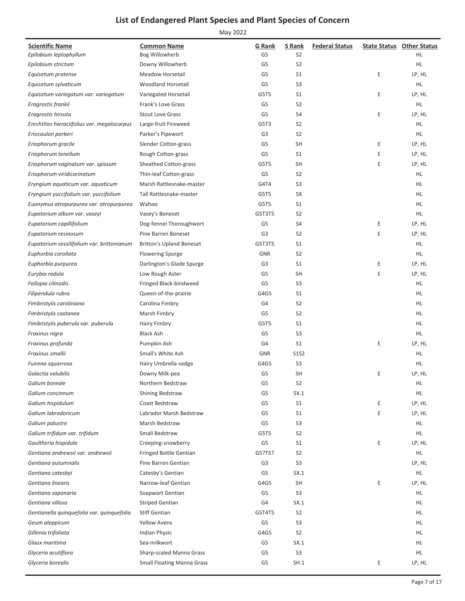| <b>Scientific Name</b>                      | <b>Common Name</b>                | <b>G</b> Rank  | S Rank         | <b>Federal Status</b> |   | <b>State Status Other Status</b> |
|---------------------------------------------|-----------------------------------|----------------|----------------|-----------------------|---|----------------------------------|
| Epilobium leptophyllum                      | Bog Willowherb                    | G5             | S <sub>2</sub> |                       |   | HL                               |
| Epilobium strictum                          | Downy Willowherb                  | G5             | S <sub>2</sub> |                       |   | HL.                              |
| Equisetum pratense                          | Meadow Horsetail                  | G5             | S <sub>1</sub> |                       | Ε | LP, HL                           |
| Equisetum sylvaticum                        | Woodland Horsetail                | G5             | S <sub>3</sub> |                       |   | HL.                              |
| Equisetum variegatum var. variegatum        | Variegated Horsetail              | G5T5           | S1             |                       | Ε | LP, HL                           |
| Eragrostis frankii                          | Frank's Love Grass                | G5             | S <sub>2</sub> |                       |   | HL                               |
| Eragrostis hirsuta                          | <b>Stout Love Grass</b>           | G5             | S4             |                       | Ε | LP, HL                           |
| Erechtites hieraciifolius var. megalocarpus | Large-fruit Fireweed              | G5T3           | S <sub>2</sub> |                       |   | HL.                              |
| Eriocaulon parkeri                          | Parker's Pipewort                 | G <sub>3</sub> | S <sub>2</sub> |                       |   | HL.                              |
| Eriophorum gracile                          | Slender Cotton-grass              | G5             | <b>SH</b>      |                       | Ε | LP, HL                           |
| Eriophorum tenellum                         | Rough Cotton-grass                | G5             | S <sub>1</sub> |                       | Ε | LP, HL                           |
| Eriophorum vaginatum var. spissum           | Sheathed Cotton-grass             | G5T5           | <b>SH</b>      |                       | Ε | LP, HL                           |
| Eriophorum viridicarinatum                  | Thin-leaf Cotton-grass            | G5             | S <sub>2</sub> |                       |   | HL                               |
| Eryngium aquaticum var. aquaticum           | Marsh Rattlesnake-master          | G4T4           | S <sub>3</sub> |                       |   | HL.                              |
| Eryngium yuccifolium var. yuccifolium       | Tall Rattlesnake-master           | G5T5           | SX             |                       |   | HL.                              |
| Euonymus atropurpurea var. atropurpurea     | Wahoo                             | G5T5           | S <sub>1</sub> |                       |   | HL.                              |
| Eupatorium album var. vaseyi                | Vasey's Boneset                   | G5T3T5         | S <sub>2</sub> |                       |   | HL                               |
| Eupatorium capillifolium                    | Dog-fennel Thoroughwort           | G5             | S4             |                       | Ε | LP, HL                           |
| Eupatorium resinosum                        | Pine Barren Boneset               | G3             | S <sub>2</sub> |                       | Ε | LP, HL                           |
| Eupatorium sessilifolium var. brittonianum  | <b>Britton's Upland Boneset</b>   | G5T3T5         | S <sub>1</sub> |                       |   | HL.                              |
| Euphorbia corollata                         | <b>Flowering Spurge</b>           | <b>GNR</b>     | S <sub>2</sub> |                       |   | HL.                              |
| Euphorbia purpurea                          | Darlington's Glade Spurge         | G3             | S <sub>1</sub> |                       | Ε | LP, HL                           |
| Eurybia radula                              | Low Rough Aster                   | G5             | <b>SH</b>      |                       | Ε | LP, HL                           |
| Fallopia cilinodis                          | Fringed Black-bindweed            | G5             | S <sub>3</sub> |                       |   | HL.                              |
| Filipendula rubra                           | Queen-of-the-prairie              | G4G5           | S1             |                       |   | HL                               |
| Fimbristylis caroliniana                    | Carolina Fimbry                   | G4             | S <sub>2</sub> |                       |   | HL                               |
| Fimbristylis castanea                       | Marsh Fimbry                      | G5             | S <sub>2</sub> |                       |   | HL.                              |
| Fimbristylis puberula var. puberula         | <b>Hairy Fimbry</b>               | G5T5           | S <sub>1</sub> |                       |   | HL                               |
| Fraxinus nigra                              | <b>Black Ash</b>                  | G5             | S <sub>3</sub> |                       |   | HL.                              |
| Fraxinus profunda                           | Pumpkin Ash                       | G4             | S <sub>1</sub> |                       | E | LP, HL                           |
| Fraxinus smallii                            | Small's White Ash                 | <b>GNR</b>     | <b>S1S2</b>    |                       |   | HL.                              |
| Fuirena squarrosa                           | Hairy Umbrella-sedge              | G4G5           | S <sub>3</sub> |                       |   | HL.                              |
| Galactia volubilis                          | Downy Milk-pea                    | G5             | SH             |                       | Ε | LP, HL                           |
| Galium boreale                              | Northern Bedstraw                 | G5             | S <sub>2</sub> |                       |   | HL                               |
| Galium concinnum                            | <b>Shining Bedstraw</b>           | G5             | SX.1           |                       |   | HL.                              |
| Galium hispidulum                           | Coast Bedstraw                    | G5             | S <sub>1</sub> |                       | Ε | LP, HL                           |
| Galium labradoricum                         | Labrador Marsh Bedstraw           | G5             | S1             |                       | E | LP, HL                           |
| Galium palustre                             | Marsh Bedstraw                    | G5             | S <sub>3</sub> |                       |   | <b>HL</b>                        |
| Galium trifidum var. trifidum               | Small Bedstraw                    | G5T5           | S <sub>2</sub> |                       |   | HL.                              |
| Gaultheria hispidula                        | Creeping-snowberry                | G5             | S <sub>1</sub> |                       | Ε | LP, HL                           |
| Gentiana andrewsii var. andrewsii           | <b>Fringed Bottle Gentian</b>     | G5?T5?         | S <sub>2</sub> |                       |   | <b>HL</b>                        |
| Gentiana autumnalis                         | Pine Barren Gentian               | G3             | S <sub>3</sub> |                       |   | LP, HL                           |
| Gentiana catesbyi                           | Catesby's Gentian                 | G5             | SX.1           |                       |   | HL.                              |
| Gentiana linearis                           | Narrow-leaf Gentian               | G4G5           | <b>SH</b>      |                       | Ε | LP, HL                           |
| Gentiana saponaria                          | Soapwort Gentian                  | G5             | S <sub>3</sub> |                       |   | HL.                              |
| Gentiana villosa                            | <b>Striped Gentian</b>            | G4             | SX.1           |                       |   | HL.                              |
| Gentianella quinquefolia var. quinquefolia  | <b>Stiff Gentian</b>              | G5T4T5         | S <sub>2</sub> |                       |   | HL.                              |
| Geum aleppicum                              | <b>Yellow Avens</b>               | G5             | S <sub>3</sub> |                       |   | HL.                              |
| Gillenia trifoliata                         | <b>Indian Physic</b>              | G4G5           | S <sub>2</sub> |                       |   | HL.                              |
| Glaux maritima                              | Sea-milkwort                      | G5             | SX.1           |                       |   | HL                               |
| Glyceria acutiflora                         | Sharp-scaled Manna Grass          | G5             | S <sub>3</sub> |                       |   | HL.                              |
| Glyceria borealis                           | <b>Small Floating Manna Grass</b> | G5             | SH.1           |                       | Ε | LP, HL                           |
|                                             |                                   |                |                |                       |   |                                  |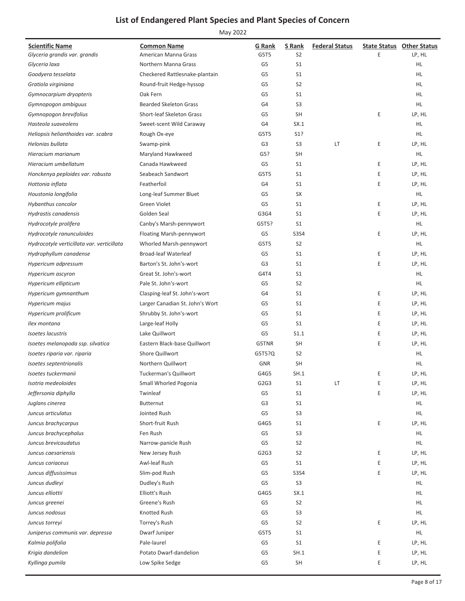| <b>Scientific Name</b>                     | <b>Common Name</b>              | <b>G</b> Rank  | S Rank         | <b>Federal Status</b> |   | <b>State Status Other Status</b> |
|--------------------------------------------|---------------------------------|----------------|----------------|-----------------------|---|----------------------------------|
| Glyceria grandis var. grandis              | American Manna Grass            | G5T5           | S2             |                       | E | LP, HL                           |
| Glyceria laxa                              | Northern Manna Grass            | G <sub>5</sub> | S <sub>1</sub> |                       |   | HL.                              |
| Goodyera tesselata                         | Checkered Rattlesnake-plantain  | G5             | S <sub>1</sub> |                       |   | HL                               |
| Gratiola virginiana                        | Round-fruit Hedge-hyssop        | G5             | S <sub>2</sub> |                       |   | HL                               |
| Gymnocarpium dryopteris                    | Oak Fern                        | G5             | S <sub>1</sub> |                       |   | HL.                              |
| Gymnopogon ambiguus                        | <b>Bearded Skeleton Grass</b>   | G4             | S <sub>3</sub> |                       |   | HL.                              |
| Gymnopogon brevifolius                     | Short-leaf Skeleton Grass       | G <sub>5</sub> | <b>SH</b>      |                       | Ε | LP, HL                           |
| Hasteola suaveolens                        | Sweet-scent Wild Caraway        | G4             | SX.1           |                       |   | HL                               |
| Heliopsis helianthoides var. scabra        | Rough Ox-eye                    | G5T5           | S1?            |                       |   | HL                               |
| Helonias bullata                           | Swamp-pink                      | G <sub>3</sub> | S <sub>3</sub> | LT                    | Ε | LP, HL                           |
| Hieracium marianum                         | Maryland Hawkweed               | G5?            | <b>SH</b>      |                       |   | HL                               |
| Hieracium umbellatum                       | Canada Hawkweed                 | G5             | S <sub>1</sub> |                       | Ε | LP, HL                           |
| Honckenya peploides var. robusta           | Seabeach Sandwort               | G5T5           | S <sub>1</sub> |                       | Ε | LP, HL                           |
| Hottonia inflata                           | Featherfoil                     | G4             | S <sub>1</sub> |                       | E | LP, HL                           |
| Houstonia longifolia                       | Long-leaf Summer Bluet          | G <sub>5</sub> | SX             |                       |   | HL                               |
| Hybanthus concolor                         | Green Violet                    | G5             | S <sub>1</sub> |                       | Ε | LP, HL                           |
| Hydrastis canadensis                       | Golden Seal                     | G3G4           | S <sub>1</sub> |                       | E | LP, HL                           |
| Hydrocotyle prolifera                      | Canby's Marsh-pennywort         | G5T5?          | S <sub>1</sub> |                       |   | HL                               |
| Hydrocotyle ranunculoides                  | Floating Marsh-pennywort        | G5             | <b>S3S4</b>    |                       | Ε | LP, HL                           |
| Hydrocotyle verticillata var. verticillata | Whorled Marsh-pennywort         | G5T5           | S <sub>2</sub> |                       |   | HL                               |
| Hydrophyllum canadense                     | <b>Broad-leaf Waterleaf</b>     | G5             | S <sub>1</sub> |                       | Ε | LP, HL                           |
| Hypericum adpressum                        | Barton's St. John's-wort        | G <sub>3</sub> | S <sub>1</sub> |                       | Ε | LP, HL                           |
| Hypericum ascyron                          | Great St. John's-wort           | G4T4           | S <sub>1</sub> |                       |   | HL                               |
| Hypericum ellipticum                       | Pale St. John's-wort            | G5             | S <sub>2</sub> |                       |   | <b>HL</b>                        |
| Hypericum gymnanthum                       | Clasping-leaf St. John's-wort   | G4             | S <sub>1</sub> |                       | E | LP, HL                           |
| Hypericum majus                            | Larger Canadian St. John's Wort | G <sub>5</sub> | S <sub>1</sub> |                       | E | LP, HL                           |
| Hypericum prolificum                       | Shrubby St. John's-wort         | G5             | S <sub>1</sub> |                       | Ε | LP, HL                           |
| Ilex montana                               | Large-leaf Holly                | G5             | S <sub>1</sub> |                       | Ε | LP, HL                           |
| <b>Isoetes lacustris</b>                   | Lake Quillwort                  | G5             | S1.1           |                       | E | LP, HL                           |
| Isoetes melanopoda ssp. silvatica          | Eastern Black-base Quillwort    | G5TNR          | <b>SH</b>      |                       | E | LP, HL                           |
| Isoetes riparia var. riparia               | Shore Quillwort                 | G5T5?Q         | S <sub>2</sub> |                       |   | HL                               |
| Isoetes septentrionalis                    | Northern Quillwort              | <b>GNR</b>     | <b>SH</b>      |                       |   | <b>HL</b>                        |
| Isoetes tuckermanii                        | <b>Tuckerman's Quillwort</b>    | G4G5           | SH.1           |                       | E | LP, HL                           |
| Isotria medeoloides                        | Small Whorled Pogonia           | G2G3           | S1             | LT                    | Ε | LP, HL                           |
| Jeffersonia diphylla                       | Twinleaf                        | G5             | S <sub>1</sub> |                       | E | LP, HL                           |
| Juglans cinerea                            | <b>Butternut</b>                | G3             | S <sub>1</sub> |                       |   | HL.                              |
| Juncus articulatus                         | Jointed Rush                    | G <sub>5</sub> | S <sub>3</sub> |                       |   | HL.                              |
| Juncus brachycarpus                        | Short-fruit Rush                | G4G5           | S <sub>1</sub> |                       | Е | LP, HL                           |
| Juncus brachycephalus                      | Fen Rush                        | G5             | S <sub>3</sub> |                       |   | HL.                              |
| Juncus brevicaudatus                       | Narrow-panicle Rush             | G5             | S <sub>2</sub> |                       |   | HL.                              |
| Juncus caesariensis                        | New Jersey Rush                 | G2G3           | S <sub>2</sub> |                       | Ε | LP, HL                           |
| Juncus coriaceus                           | Awl-leaf Rush                   | G5             | S <sub>1</sub> |                       | Ε | LP, HL                           |
| Juncus diffusissimus                       | Slim-pod Rush                   | G5             | S3S4           |                       | Ε | LP, HL                           |
| Juncus dudleyi                             | Dudley's Rush                   | G5             | S <sub>3</sub> |                       |   | HL.                              |
| Juncus elliottii                           | Elliott's Rush                  | G4G5           | SX.1           |                       |   | HL                               |
| Juncus greenei                             | Greene's Rush                   | G5             | S <sub>2</sub> |                       |   | HL.                              |
| Juncus nodosus                             | Knotted Rush                    | G5             | S <sub>3</sub> |                       |   | HL.                              |
| Juncus torreyi                             | Torrey's Rush                   | G5             | S <sub>2</sub> |                       | Ε | LP, HL                           |
| Juniperus communis var. depressa           | Dwarf Juniper                   | G5T5           | S <sub>1</sub> |                       |   | HL                               |
| Kalmia polifolia                           | Pale-laurel                     | G5             | S1             |                       | Ε | LP, HL                           |
| Krigia dandelion                           | Potato Dwarf-dandelion          | G5             | SH.1           |                       | Ε | LP, HL                           |
| Kyllinga pumila                            | Low Spike Sedge                 | G5             | <b>SH</b>      |                       | E | LP, HL                           |
|                                            |                                 |                |                |                       |   |                                  |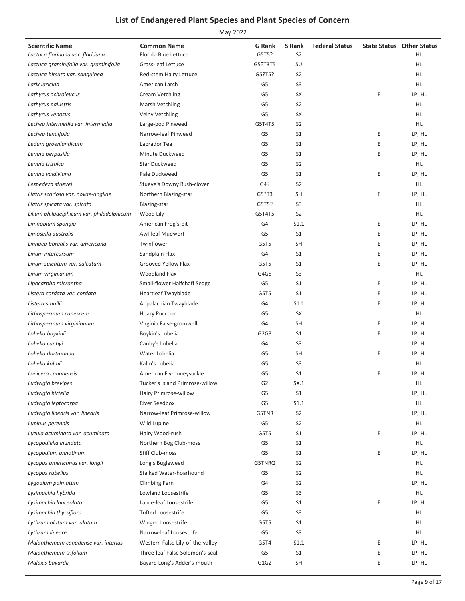| <b>Scientific Name</b>                    | <b>Common Name</b>               | G Rank         | S Rank         | <b>Federal Status</b> |   | <b>State Status Other Status</b> |
|-------------------------------------------|----------------------------------|----------------|----------------|-----------------------|---|----------------------------------|
| Lactuca floridana var. floridana          | Florida Blue Lettuce             | G5T5?          | S <sub>2</sub> |                       |   | HL.                              |
| Lactuca graminifolia var. graminifolia    | Grass-leaf Lettuce               | G5?T3T5        | SU             |                       |   | <b>HL</b>                        |
| Lactuca hirsuta var. sanguinea            | Red-stem Hairy Lettuce           | G5?T5?         | S <sub>2</sub> |                       |   | HL                               |
| Larix laricina                            | American Larch                   | G5             | S <sub>3</sub> |                       |   | HL.                              |
| Lathyrus ochroleucus                      | Cream Vetchling                  | G5             | SX             |                       | Ε | LP, HL                           |
| Lathyrus palustris                        | Marsh Vetchling                  | G5             | S <sub>2</sub> |                       |   | HL                               |
| Lathyrus venosus                          | Veiny Vetchling                  | G5             | <b>SX</b>      |                       |   | HL                               |
| Lechea intermedia var. intermedia         | Large-pod Pinweed                | G5T4T5         | S <sub>2</sub> |                       |   | HL.                              |
| Lechea tenuifolia                         | Narrow-leaf Pinweed              | G5             | S <sub>1</sub> |                       | Ε | LP, HL                           |
| Ledum groenlandicum                       | Labrador Tea                     | G5             | S <sub>1</sub> |                       | E | LP, HL                           |
| Lemna perpusilla                          | Minute Duckweed                  | G5             | S <sub>1</sub> |                       | E | LP, HL                           |
| Lemna trisulca                            | <b>Star Duckweed</b>             | G5             | S <sub>2</sub> |                       |   | HL.                              |
| Lemna valdiviana                          | Pale Duckweed                    | G5             | S <sub>1</sub> |                       | E | LP, HL                           |
| Lespedeza stuevei                         | Stueve's Downy Bush-clover       | G4?            | S <sub>2</sub> |                       |   | HL.                              |
| Liatris scariosa var. novae-angliae       | Northern Blazing-star            | G5?T3          | <b>SH</b>      |                       | E | LP, HL                           |
| Liatris spicata var. spicata              | <b>Blazing-star</b>              | G5T5?          | S <sub>3</sub> |                       |   | HL                               |
| Lilium philadelphicum var. philadelphicum | Wood Lily                        | G5T4T5         | S <sub>2</sub> |                       |   | HL.                              |
| Limnobium spongia                         | American Frog's-bit              | G4             | S1.1           |                       | Ε | LP, HL                           |
| Limosella australis                       | Awl-leaf Mudwort                 | G5             | S <sub>1</sub> |                       | E | LP, HL                           |
| Linnaea borealis var. americana           | Twinflower                       | G5T5           | <b>SH</b>      |                       | E | LP, HL                           |
| Linum intercursum                         | Sandplain Flax                   | G4             | S <sub>1</sub> |                       | E | LP, HL                           |
| Linum sulcatum var. sulcatum              | Grooved Yellow Flax              | G5T5           | S <sub>1</sub> |                       | E | LP, HL                           |
| Linum virginianum                         | Woodland Flax                    | G4G5           | S <sub>3</sub> |                       |   | HL                               |
| Lipocarpha micrantha                      | Small-flower Halfchaff Sedge     | G5             | S <sub>1</sub> |                       | E | LP, HL                           |
| Listera cordata var. cordata              | Heartleaf Twayblade              | G5T5           | S <sub>1</sub> |                       | E | LP, HL                           |
| Listera smallii                           | Appalachian Twayblade            | G4             | S1.1           |                       | E | LP, HL                           |
| Lithospermum canescens                    | Hoary Puccoon                    | G5             | SX             |                       |   | HL                               |
| Lithospermum virginianum                  | Virginia False-gromwell          | G4             | <b>SH</b>      |                       | Ε | LP, HL                           |
| Lobelia boykinii                          | Boykin's Lobelia                 | G2G3           | S <sub>1</sub> |                       | E | LP, HL                           |
| Lobelia canbyi                            | Canby's Lobelia                  | G4             | S <sub>3</sub> |                       |   | LP, HL                           |
| Lobelia dortmanna                         | Water Lobelia                    | G5             | <b>SH</b>      |                       | E | LP, HL                           |
| Lobelia kalmii                            | Kalm's Lobelia                   | G5             | S <sub>3</sub> |                       |   | HL.                              |
| Lonicera canadensis                       | American Fly-honeysuckle         | G5             | S1             |                       | Ε | LP, HL                           |
| Ludwigia brevipes                         | Tucker's Island Primrose-willow  | G <sub>2</sub> | SX.1           |                       |   | HL.                              |
| Ludwigia hirtella                         | Hairy Primrose-willow            | G5             | S <sub>1</sub> |                       |   | LP, HL                           |
| Ludwigia leptocarpa                       | <b>River Seedbox</b>             | G5             | S1.1           |                       |   | HL.                              |
| Ludwigia linearis var. linearis           | Narrow-leaf Primrose-willow      | G5TNR          | S <sub>2</sub> |                       |   | LP, HL                           |
| Lupinus perennis                          | Wild Lupine                      | G5             | S <sub>2</sub> |                       |   | HL.                              |
| Luzula acuminata var. acuminata           | Hairy Wood-rush                  | G5T5           | S <sub>1</sub> |                       | E | LP, HL                           |
| Lycopodiella inundata                     | Northern Bog Club-moss           | G5             | S <sub>1</sub> |                       |   | HL.                              |
| Lycopodium annotinum                      | Stiff Club-moss                  | G5             | S <sub>1</sub> |                       | E | LP, HL                           |
| Lycopus americanus var. longii            | Long's Bugleweed                 | G5TNRQ         | S <sub>2</sub> |                       |   | HL.                              |
| Lycopus rubellus                          | Stalked Water-hoarhound          | G5             | S <sub>2</sub> |                       |   | HL.                              |
| Lygodium palmatum                         | <b>Climbing Fern</b>             | G4             | S <sub>2</sub> |                       |   | LP, HL                           |
| Lysimachia hybrida                        | Lowland Loosestrife              | G5             | S <sub>3</sub> |                       |   | HL.                              |
| Lysimachia lanceolata                     | Lance-leaf Loosestrife           | G5             | S <sub>1</sub> |                       | Ε | LP, HL                           |
| Lysimachia thyrsiflora                    | <b>Tufted Loosestrife</b>        | G5             | S <sub>3</sub> |                       |   | HL.                              |
| Lythrum alatum var. alatum                | Winged Loosestrife               | G5T5           | S <sub>1</sub> |                       |   | HL.                              |
| Lythrum lineare                           | Narrow-leaf Loosestrife          | G5             | S <sub>3</sub> |                       |   | HL.                              |
| Maianthemum canadense var. interius       | Western False Lily-of-the-valley | G5T4           | S1.1           |                       | Ε | LP, HL                           |
| Maianthemum trifolium                     | Three-leaf False Solomon's-seal  | G5             | S <sub>1</sub> |                       | Ε | LP, HL                           |
| Malaxis bayardii                          | Bayard Long's Adder's-mouth      | G1G2           | <b>SH</b>      |                       | E | LP, HL                           |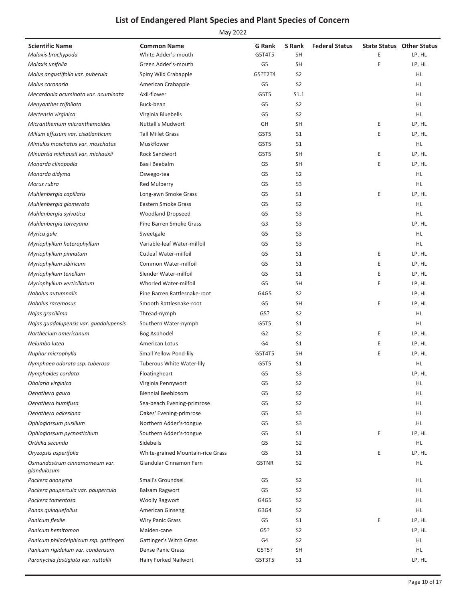| <b>Scientific Name</b>                               | <b>Common Name</b>                                         | G Rank         | S Rank         | <b>Federal Status</b> |   | <b>State Status Other Status</b> |
|------------------------------------------------------|------------------------------------------------------------|----------------|----------------|-----------------------|---|----------------------------------|
| Malaxis brachypoda                                   | White Adder's-mouth                                        | G5T4T5         | <b>SH</b>      |                       | E | LP, HL                           |
| Malaxis unifolia                                     | Green Adder's-mouth                                        | G <sub>5</sub> | <b>SH</b>      |                       | E | LP, HL                           |
| Malus angustifolia var. puberula                     | Spiny Wild Crabapple                                       | G5?T2T4        | S <sub>2</sub> |                       |   | HL                               |
| Malus coronaria                                      | American Crabapple                                         | G <sub>5</sub> | S <sub>2</sub> |                       |   | HL.                              |
| Mecardonia acuminata var. acuminata                  | Axil-flower                                                | G5T5           | S1.1           |                       |   | HL.                              |
| Menyanthes trifoliata                                | Buck-bean                                                  | G <sub>5</sub> | S <sub>2</sub> |                       |   | HL.                              |
| Mertensia virginica                                  | Virginia Bluebells                                         | G5             | S <sub>2</sub> |                       |   | HL.                              |
| Micranthemum micranthemoides                         | <b>Nuttall's Mudwort</b>                                   | GH             | <b>SH</b>      |                       | Ε | LP, HL                           |
| Milium effusum var. cisatlanticum                    | <b>Tall Millet Grass</b>                                   | G5T5           | S <sub>1</sub> |                       | E | LP, HL                           |
| Mimulus moschatus var. moschatus                     | Muskflower                                                 | G5T5           | S <sub>1</sub> |                       |   | HL                               |
| Minuartia michauxii var. michauxii                   | <b>Rock Sandwort</b>                                       | G5T5           | <b>SH</b>      |                       | Ε | LP, HL                           |
| Monarda clinopodia                                   | <b>Basil Beebalm</b>                                       | G5             | <b>SH</b>      |                       | E | LP, HL                           |
| Monarda didyma                                       | Oswego-tea                                                 | G <sub>5</sub> | S <sub>2</sub> |                       |   | HL                               |
| Morus rubra                                          | <b>Red Mulberry</b>                                        | G <sub>5</sub> | S <sub>3</sub> |                       |   | HL.                              |
| Muhlenbergia capillaris                              | Long-awn Smoke Grass                                       | G <sub>5</sub> | S <sub>1</sub> |                       | E | LP, HL                           |
| Muhlenbergia glomerata                               | Eastern Smoke Grass                                        | G <sub>5</sub> | S <sub>2</sub> |                       |   | HL.                              |
| Muhlenbergia sylvatica                               | <b>Woodland Dropseed</b>                                   | G <sub>5</sub> | S <sub>3</sub> |                       |   | HL.                              |
| Muhlenbergia torreyana                               | Pine Barren Smoke Grass                                    | G3             | S <sub>3</sub> |                       |   | LP, HL                           |
| Myrica gale                                          | Sweetgale                                                  | G <sub>5</sub> | S <sub>3</sub> |                       |   | HL.                              |
| Myriophyllum heterophyllum                           | Variable-leaf Water-milfoil                                | G <sub>5</sub> | S <sub>3</sub> |                       |   | HL.                              |
| Myriophyllum pinnatum                                | <b>Cutleaf Water-milfoil</b>                               | G5             | S <sub>1</sub> |                       | Ε | LP, HL                           |
| Myriophyllum sibiricum                               | Common Water-milfoil                                       | G <sub>5</sub> | S <sub>1</sub> |                       | Ε | LP, HL                           |
| Myriophyllum tenellum                                | Slender Water-milfoil                                      | G <sub>5</sub> | S <sub>1</sub> |                       | Ε | LP, HL                           |
| Myriophyllum verticillatum                           | Whorled Water-milfoil                                      | G <sub>5</sub> | <b>SH</b>      |                       | E | LP, HL                           |
| Nabalus autumnalis                                   | Pine Barren Rattlesnake-root                               | G4G5           | S <sub>2</sub> |                       |   | LP, HL                           |
| Nabalus racemosus                                    | Smooth Rattlesnake-root                                    | G <sub>5</sub> | <b>SH</b>      |                       | E | LP, HL                           |
| Najas gracillima                                     | Thread-nymph                                               | G5?            | S <sub>2</sub> |                       |   | HL.                              |
| Najas guadalupensis var. guadalupensis               | Southern Water-nymph                                       | G5T5           | S <sub>1</sub> |                       |   | HL.                              |
| Narthecium americanum                                | Bog Asphodel                                               | G <sub>2</sub> | S <sub>2</sub> |                       | Ε | LP, HL                           |
| Nelumbo lutea                                        | American Lotus                                             | G <sub>4</sub> | S <sub>1</sub> |                       | Ε | LP, HL                           |
|                                                      |                                                            | G5T4T5         | <b>SH</b>      |                       | Ε | LP, HL                           |
| Nuphar microphylla<br>Nymphaea odorata ssp. tuberosa | Small Yellow Pond-lily<br><b>Tuberous White Water-lily</b> | G5T5           | S <sub>1</sub> |                       |   | HL.                              |
|                                                      |                                                            | G <sub>5</sub> | S <sub>3</sub> |                       |   |                                  |
| Nymphoides cordata<br>Obolaria virginica             | Floatingheart                                              |                | S <sub>2</sub> |                       |   | LP, HL                           |
|                                                      | Virginia Pennywort                                         | G5             |                |                       |   | HL.                              |
| Oenothera gaura                                      | <b>Biennial Beeblosom</b>                                  | G5             | S <sub>2</sub> |                       |   | HL                               |
| Oenothera humifusa                                   | Sea-beach Evening-primrose                                 | G5             | S <sub>2</sub> |                       |   | HL.                              |
| Oenothera oakesiana                                  | Oakes' Evening-primrose                                    | G5             | S <sub>3</sub> |                       |   | HL.                              |
| Ophioglossum pusillum                                | Northern Adder's-tongue                                    | G5             | S <sub>3</sub> |                       |   | HL.                              |
| Ophioglossum pycnostichum                            | Southern Adder's-tongue                                    | G5             | S <sub>1</sub> |                       | Ε | LP, HL                           |
| Orthilia secunda                                     | Sidebells                                                  | G5             | S <sub>2</sub> |                       |   | HL.                              |
| Oryzopsis asperifolia                                | White-grained Mountain-rice Grass                          | G <sub>5</sub> | S <sub>1</sub> |                       | Ε | LP, HL                           |
| Osmundastrum cinnamomeum var.<br>glandulosum         | Glandular Cinnamon Fern                                    | G5TNR          | S <sub>2</sub> |                       |   | HL.                              |
| Packera anonyma                                      | Small's Groundsel                                          | G5             | S <sub>2</sub> |                       |   | HL                               |
| Packera paupercula var. paupercula                   | <b>Balsam Ragwort</b>                                      | G <sub>5</sub> | S <sub>2</sub> |                       |   | HL.                              |
| Packera tomentosa                                    | <b>Woolly Ragwort</b>                                      | G4G5           | S <sub>2</sub> |                       |   | HL.                              |
| Panax quinquefolius                                  | <b>American Ginseng</b>                                    | G3G4           | S <sub>2</sub> |                       |   | HL.                              |
| Panicum flexile                                      | <b>Wiry Panic Grass</b>                                    | G5             | S <sub>1</sub> |                       | Ε | LP, HL                           |
| Panicum hemitomon                                    | Maiden-cane                                                | G5?            | S <sub>2</sub> |                       |   | LP, HL                           |
| Panicum philadelphicum ssp. gattingeri               | Gattinger's Witch Grass                                    | G4             | S <sub>2</sub> |                       |   | HL.                              |
| Panicum rigidulum var. condensum                     | <b>Dense Panic Grass</b>                                   | G5T5?          | SH             |                       |   | HL.                              |
| Paronychia fastigiata var. nuttallii                 | Hairy Forked Nailwort                                      | G5T3T5         | S <sub>1</sub> |                       |   | LP, HL                           |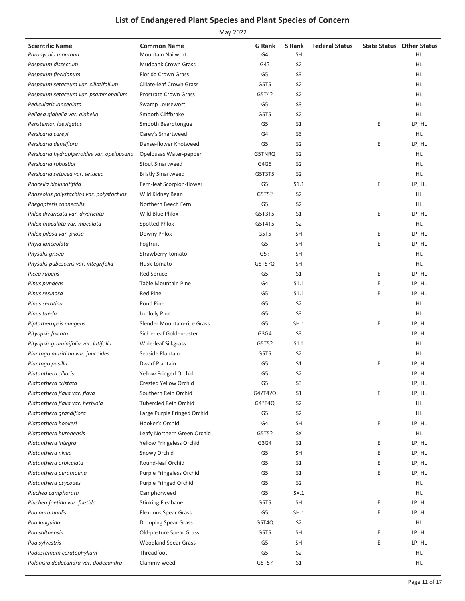| <b>Scientific Name</b>                     | <b>Common Name</b>           | G Rank         | S Rank         | <b>Federal Status</b> |   | <b>State Status</b> Other Status |
|--------------------------------------------|------------------------------|----------------|----------------|-----------------------|---|----------------------------------|
| Paronychia montana                         | <b>Mountain Nailwort</b>     | G4             | SH             |                       |   | HL                               |
| Paspalum dissectum                         | <b>Mudbank Crown Grass</b>   | G4?            | S <sub>2</sub> |                       |   | HL.                              |
| Paspalum floridanum                        | Florida Crown Grass          | G5             | S3             |                       |   | HL.                              |
| Paspalum setaceum var. ciliatifolium       | Ciliate-leaf Crown Grass     | G5T5           | S <sub>2</sub> |                       |   | HL                               |
| Paspalum setaceum var. psammophilum        | <b>Prostrate Crown Grass</b> | G5T4?          | S <sub>2</sub> |                       |   | HL.                              |
| Pedicularis lanceolata                     | Swamp Lousewort              | G <sub>5</sub> | S <sub>3</sub> |                       |   | HL.                              |
| Pellaea glabella var. glabella             | Smooth Cliffbrake            | G5T5           | S <sub>2</sub> |                       |   | HL.                              |
| Penstemon laevigatus                       | Smooth Beardtongue           | G5             | S <sub>1</sub> |                       | Ε | LP, HL                           |
| Persicaria careyi                          | Carey's Smartweed            | G4             | S3             |                       |   | HL.                              |
| Persicaria densiflora                      | Dense-flower Knotweed        | G5             | S <sub>2</sub> |                       | E | LP, HL                           |
| Persicaria hydropiperoides var. opelousana | Opelousas Water-pepper       | G5TNRQ         | S <sub>2</sub> |                       |   | HL.                              |
| Persicaria robustior                       | <b>Stout Smartweed</b>       | G4G5           | S <sub>2</sub> |                       |   | HL.                              |
| Persicaria setacea var. setacea            | <b>Bristly Smartweed</b>     | G5T3T5         | S <sub>2</sub> |                       |   | HL.                              |
| Phacelia bipinnatifida                     | Fern-leaf Scorpion-flower    | G5             | S1.1           |                       | Е | LP, HL                           |
| Phaseolus polystachios var. polystachios   | Wild Kidney Bean             | G5T5?          | S <sub>2</sub> |                       |   | HL.                              |
| Phegopteris connectilis                    | Northern Beech Fern          | G <sub>5</sub> | S <sub>2</sub> |                       |   | HL.                              |
| Phlox divaricata var. divaricata           | Wild Blue Phlox              | G5T3T5         | S <sub>1</sub> |                       | Ε | LP, HL                           |
| Phlox maculata var. maculata               | Spotted Phlox                | G5T4T5         | S <sub>2</sub> |                       |   | HL.                              |
| Phlox pilosa var. pilosa                   | Downy Phlox                  | G5T5           | <b>SH</b>      |                       | Ε | LP, HL                           |
| Phyla lanceolata                           | Fogfruit                     | G5             | <b>SH</b>      |                       | E | LP, HL                           |
| Physalis grisea                            | Strawberry-tomato            | G5?            | SH             |                       |   | HL.                              |
| Physalis pubescens var. integrifolia       | Husk-tomato                  | G5T5?Q         | <b>SH</b>      |                       |   | HL.                              |
| Picea rubens                               | <b>Red Spruce</b>            | G5             | S <sub>1</sub> |                       | Ε | LP, HL                           |
| Pinus pungens                              | <b>Table Mountain Pine</b>   | G4             | S1.1           |                       | E | LP, HL                           |
| Pinus resinosa                             | <b>Red Pine</b>              | G5             | S1.1           |                       | E | LP, HL                           |
| Pinus serotina                             | Pond Pine                    | G5             | S <sub>2</sub> |                       |   | HL                               |
| Pinus taeda                                | Loblolly Pine                | G5             | S <sub>3</sub> |                       |   | HL.                              |
| Piptatheropsis pungens                     | Slender Mountain-rice Grass  | G5             | SH.1           |                       | E | LP, HL                           |
| Pityopsis falcata                          | Sickle-leaf Golden-aster     | G3G4           | S <sub>3</sub> |                       |   | LP, HL                           |
| Pityopsis graminifolia var. latifolia      | Wide-leaf Silkgrass          | G5T5?          | S1.1           |                       |   | HL.                              |
| Plantago maritima var. juncoides           | Seaside Plantain             | G5T5           | S <sub>2</sub> |                       |   | HL.                              |
| Plantago pusilla                           | Dwarf Plantain               | G <sub>5</sub> | S <sub>1</sub> |                       | Ε | LP, HL                           |
| Platanthera ciliaris                       | Yellow Fringed Orchid        | G5             | S <sub>2</sub> |                       |   | LP, HL                           |
| Platanthera cristata                       | Crested Yellow Orchid        | G5             | S3             |                       |   | LP, HL                           |
| Platanthera flava var. flava               | Southern Rein Orchid         | G4?T4?Q        | S1             |                       | E | LP, HL                           |
| Platanthera flava var. herbiola            | <b>Tubercled Rein Orchid</b> | G4?T4Q         | S <sub>2</sub> |                       |   | HL.                              |
| Platanthera grandiflora                    | Large Purple Fringed Orchid  | G5             | S2             |                       |   | HL.                              |
| Platanthera hookeri                        | Hooker's Orchid              | G4             | <b>SH</b>      |                       | Е | LP, HL                           |
| Platanthera huronensis                     | Leafy Northern Green Orchid  | G5T5?          | SX             |                       |   | HL.                              |
| Platanthera integra                        | Yellow Fringeless Orchid     | G3G4           | S <sub>1</sub> |                       | Ε | LP, HL                           |
| Platanthera nivea                          | Snowy Orchid                 | G5             | <b>SH</b>      |                       | Ε | LP, HL                           |
| Platanthera orbiculata                     | Round-leaf Orchid            | G5             | S1             |                       | Ε | LP, HL                           |
| Platanthera peramoena                      | Purple Fringeless Orchid     | G5             | S <sub>1</sub> |                       | E | LP, HL                           |
| Platanthera psycodes                       | Purple Fringed Orchid        | G5             | S <sub>2</sub> |                       |   | HL.                              |
| Pluchea camphorata                         | Camphorweed                  | G5             | SX.1           |                       |   | HL.                              |
| Pluchea foetida var. foetida               | <b>Stinking Fleabane</b>     | G5T5           | SH             |                       | E | LP, HL                           |
| Poa autumnalis                             | <b>Flexuous Spear Grass</b>  | G5             | SH.1           |                       | Ε | LP, HL                           |
| Poa languida                               | <b>Drooping Spear Grass</b>  | G5T4Q          | S <sub>2</sub> |                       |   | HL.                              |
| Poa saltuensis                             | Old-pasture Spear Grass      | G5T5           | <b>SH</b>      |                       | Ε | LP, HL                           |
| Poa sylvestris                             | <b>Woodland Spear Grass</b>  | G5             | <b>SH</b>      |                       | Ε |                                  |
| Podostemum ceratophyllum                   | Threadfoot                   | G5             | S2             |                       |   | LP, HL<br>HL.                    |
| Polanisia dodecandra var. dodecandra       |                              |                |                |                       |   |                                  |
|                                            | Clammy-weed                  | G5T5?          | S1             |                       |   | HL.                              |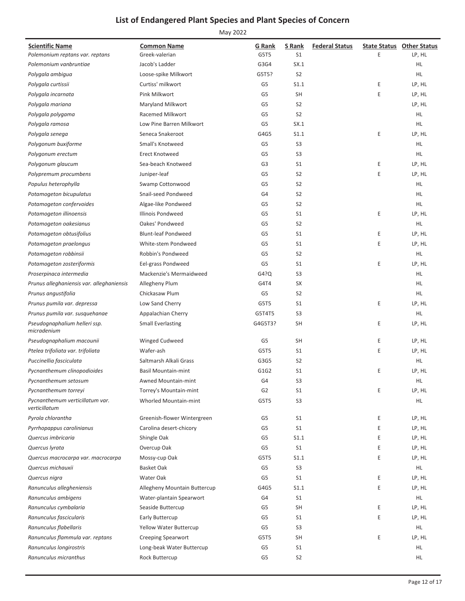| <b>Scientific Name</b><br>Polemonium reptans var. reptans | <b>Common Name</b><br>Greek-valerian | G Rank<br>G5T5 | S Rank<br>S <sub>1</sub> | <b>Federal Status</b> | E | <b>State Status Other Status</b><br>LP, HL |
|-----------------------------------------------------------|--------------------------------------|----------------|--------------------------|-----------------------|---|--------------------------------------------|
| Polemonium vanbruntiae                                    | Jacob's Ladder                       | G3G4           | SX.1                     |                       |   | HL.                                        |
| Polygala ambigua                                          | Loose-spike Milkwort                 | G5T5?          | S <sub>2</sub>           |                       |   | HL                                         |
| Polygala curtissii                                        | Curtiss' milkwort                    | G5             | S1.1                     |                       | E | LP, HL                                     |
| Polygala incarnata                                        | Pink Milkwort                        | G5             | <b>SH</b>                |                       | E | LP, HL                                     |
| Polygala mariana                                          | Maryland Milkwort                    | G <sub>5</sub> | S <sub>2</sub>           |                       |   | LP, HL                                     |
| Polygala polygama                                         | Racemed Milkwort                     | G <sub>5</sub> | S <sub>2</sub>           |                       |   | HL                                         |
| Polygala ramosa                                           | Low Pine Barren Milkwort             | G5             | SX.1                     |                       |   | HL.                                        |
| Polygala senega                                           | Seneca Snakeroot                     | G4G5           | S1.1                     |                       | E | LP, HL                                     |
| Polygonum buxiforme                                       | Small's Knotweed                     | G <sub>5</sub> | S <sub>3</sub>           |                       |   | HL.                                        |
| Polygonum erectum                                         | Erect Knotweed                       | G <sub>5</sub> | S <sub>3</sub>           |                       |   | HL.                                        |
| Polygonum glaucum                                         | Sea-beach Knotweed                   | G3             | S <sub>1</sub>           |                       | Ε | LP, HL                                     |
| Polypremum procumbens                                     | Juniper-leaf                         | G5             | S <sub>2</sub>           |                       | E | LP, HL                                     |
| Populus heterophylla                                      | Swamp Cottonwood                     | G <sub>5</sub> | S <sub>2</sub>           |                       |   | HL.                                        |
| Potamogeton bicupulatus                                   | Snail-seed Pondweed                  | G4             | S <sub>2</sub>           |                       |   | HL.                                        |
| Potamogeton confervoides                                  | Algae-like Pondweed                  | G5             | S <sub>2</sub>           |                       |   | HL                                         |
| Potamogeton illinoensis                                   | <b>Illinois Pondweed</b>             | G5             | S <sub>1</sub>           |                       | E | LP, HL                                     |
| Potamogeton oakesianus                                    | Oakes' Pondweed                      | G <sub>5</sub> | S <sub>2</sub>           |                       |   | HL                                         |
| Potamogeton obtusifolius                                  | <b>Blunt-leaf Pondweed</b>           | G <sub>5</sub> | S <sub>1</sub>           |                       | E | LP, HL                                     |
| Potamogeton praelongus                                    | White-stem Pondweed                  | G5             | S <sub>1</sub>           |                       | E | LP, HL                                     |
| Potamogeton robbinsii                                     | Robbin's Pondweed                    | G5             | S <sub>2</sub>           |                       |   | HL.                                        |
| Potamogeton zosteriformis                                 | Eel-grass Pondweed                   | G <sub>5</sub> | S <sub>1</sub>           |                       | E | LP, HL                                     |
| Proserpinaca intermedia                                   | Mackenzie's Mermaidweed              | G4?Q           | S <sub>3</sub>           |                       |   | HL.                                        |
| Prunus alleghaniensis var. alleghaniensis                 | Allegheny Plum                       | G4T4           | <b>SX</b>                |                       |   | HL                                         |
| Prunus angustifolia                                       | Chickasaw Plum                       | G5             | S <sub>2</sub>           |                       |   | HL                                         |
| Prunus pumila var. depressa                               | Low Sand Cherry                      | G5T5           | S <sub>1</sub>           |                       | Ε | LP, HL                                     |
| Prunus pumila var. susquehanae                            | Appalachian Cherry                   | G5T4T5         | S <sub>3</sub>           |                       |   | HL.                                        |
| Pseudognaphalium helleri ssp.<br>micradenium              | <b>Small Everlasting</b>             | G4G5T3?        | <b>SH</b>                |                       | E | LP, HL                                     |
| Pseudognaphalium macounii                                 | Winged Cudweed                       | G5             | <b>SH</b>                |                       | E | LP, HL                                     |
| Ptelea trifoliata var. trifoliata                         | Wafer-ash                            | G5T5           | S <sub>1</sub>           |                       | E | LP, HL                                     |
| Puccinellia fasciculata                                   | Saltmarsh Alkali Grass               | G3G5           | S <sub>2</sub>           |                       |   | HL.                                        |
| Pycnanthemum clinopodioides                               | <b>Basil Mountain-mint</b>           | G1G2           | S <sub>1</sub>           |                       | E | LP, HL                                     |
| Pycnanthemum setosum                                      | Awned Mountain-mint                  | G4             | S <sub>3</sub>           |                       |   | HL                                         |
| Pycnanthemum torreyi                                      | Torrey's Mountain-mint               | G <sub>2</sub> | S1                       |                       | E | LP, HL                                     |
| Pycnanthemum verticillatum var.<br>verticillatum          | Whorled Mountain-mint                | G5T5           | S <sub>3</sub>           |                       |   | HL.                                        |
| Pyrola chlorantha                                         | Greenish-flower Wintergreen          | G5             | S1                       |                       | E | LP, HL                                     |
| Pyrrhopappus carolinianus                                 | Carolina desert-chicory              | G <sub>5</sub> | S <sub>1</sub>           |                       | E | LP, HL                                     |
| Quercus imbricaria                                        | Shingle Oak                          | G5             | S1.1                     |                       | E | LP, HL                                     |
| Quercus lyrata                                            | Overcup Oak                          | G5             | S <sub>1</sub>           |                       | E | LP, HL                                     |
| Quercus macrocarpa var. macrocarpa                        | Mossy-cup Oak                        | G5T5           | S1.1                     |                       | E | LP, HL                                     |
| Quercus michauxii                                         | <b>Basket Oak</b>                    | G5             | S <sub>3</sub>           |                       |   | HL.                                        |
| Quercus nigra                                             | Water Oak                            | G5             | S <sub>1</sub>           |                       | E | LP, HL                                     |
| Ranunculus allegheniensis                                 | Allegheny Mountain Buttercup         | G4G5           | S1.1                     |                       | Ε | LP, HL                                     |
| Ranunculus ambigens                                       | Water-plantain Spearwort             | G4             | S <sub>1</sub>           |                       |   | HL.                                        |
| Ranunculus cymbalaria                                     | Seaside Buttercup                    | G5             | <b>SH</b>                |                       | E | LP, HL                                     |
| Ranunculus fascicularis                                   | Early Buttercup                      | G5             | S <sub>1</sub>           |                       | E | LP, HL                                     |
| Ranunculus flabellaris                                    | <b>Yellow Water Buttercup</b>        | G5             | S <sub>3</sub>           |                       |   | HL                                         |
| Ranunculus flammula var. reptans                          | <b>Creeping Spearwort</b>            | G5T5           | <b>SH</b>                |                       | Ε | LP, HL                                     |
| Ranunculus longirostris                                   | Long-beak Water Buttercup            | G5             | S <sub>1</sub>           |                       |   | HL.                                        |
| Ranunculus micranthus                                     | Rock Buttercup                       | G5             | S <sub>2</sub>           |                       |   | HL                                         |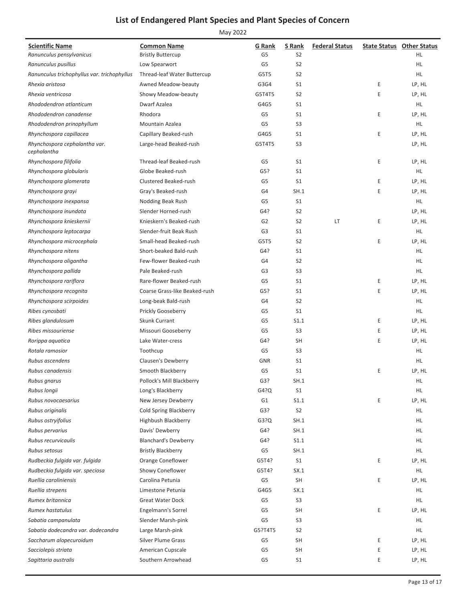| <b>Scientific Name</b>                       | <b>Common Name</b>            | G Rank         | S Rank         | <b>Federal Status</b> |   | <b>State Status Other Status</b> |
|----------------------------------------------|-------------------------------|----------------|----------------|-----------------------|---|----------------------------------|
| Ranunculus pensylvanicus                     | <b>Bristly Buttercup</b>      | G5             | S <sub>2</sub> |                       |   | HL.                              |
| Ranunculus pusillus                          | Low Spearwort                 | G <sub>5</sub> | S <sub>2</sub> |                       |   | HL                               |
| Ranunculus trichophyllus var. trichophyllus  | Thread-leaf Water Buttercup   | G5T5           | S <sub>2</sub> |                       |   | HL.                              |
| Rhexia aristosa                              | Awned Meadow-beauty           | G3G4           | S <sub>1</sub> |                       | Ε | LP, HL                           |
| Rhexia ventricosa                            | Showy Meadow-beauty           | G5T4T5         | S <sub>2</sub> |                       | Ε | LP, HL                           |
| Rhododendron atlanticum                      | Dwarf Azalea                  | G4G5           | S <sub>1</sub> |                       |   | HL.                              |
| Rhododendron canadense                       | Rhodora                       | G5             | S <sub>1</sub> |                       | Ε | LP, HL                           |
| Rhododendron prinophyllum                    | Mountain Azalea               | G5             | S <sub>3</sub> |                       |   | HL                               |
| Rhynchospora capillacea                      | Capillary Beaked-rush         | G4G5           | S <sub>1</sub> |                       | Ε | LP, HL                           |
| Rhynchospora cephalantha var.<br>cephalantha | Large-head Beaked-rush        | G5T4T5         | S <sub>3</sub> |                       |   | LP, HL                           |
| Rhynchospora filifolia                       | Thread-leaf Beaked-rush       | G5             | S <sub>1</sub> |                       | Ε | LP, HL                           |
| Rhynchospora globularis                      | Globe Beaked-rush             | G5?            | S <sub>1</sub> |                       |   | HL.                              |
| Rhynchospora glomerata                       | Clustered Beaked-rush         | G5             | S <sub>1</sub> |                       | Ε | LP, HL                           |
| Rhynchospora grayi                           | Gray's Beaked-rush            | G4             | SH.1           |                       | Ε | LP, HL                           |
| Rhynchospora inexpansa                       | Nodding Beak Rush             | G5             | S <sub>1</sub> |                       |   | HL.                              |
| Rhynchospora inundata                        | Slender Horned-rush           | G4?            | S <sub>2</sub> |                       |   | LP, HL                           |
| Rhynchospora knieskernii                     | Knieskern's Beaked-rush       | G <sub>2</sub> | S <sub>2</sub> | LT                    | Ε | LP, HL                           |
| Rhynchospora leptocarpa                      | Slender-fruit Beak Rush       | G <sub>3</sub> | S <sub>1</sub> |                       |   | HL.                              |
| Rhynchospora microcephala                    | Small-head Beaked-rush        | G5T5           | S <sub>2</sub> |                       | Ε | LP, HL                           |
| Rhynchospora nitens                          | Short-beaked Bald-rush        | G4?            | S <sub>1</sub> |                       |   | HL.                              |
| Rhynchospora oligantha                       | Few-flower Beaked-rush        | G4             | S <sub>2</sub> |                       |   | HL.                              |
| Rhynchospora pallida                         | Pale Beaked-rush              | G <sub>3</sub> | S <sub>3</sub> |                       |   | HL.                              |
| Rhynchospora rariflora                       | Rare-flower Beaked-rush       | G5             | S <sub>1</sub> |                       | Ε | LP, HL                           |
| Rhynchospora recognita                       | Coarse Grass-like Beaked-rush | G5?            | S <sub>1</sub> |                       | Ε | LP, HL                           |
| Rhynchospora scirpoides                      | Long-beak Bald-rush           | G4             | S <sub>2</sub> |                       |   | HL.                              |
| Ribes cynosbati                              | Prickly Gooseberry            | G5             | S <sub>1</sub> |                       |   | HL.                              |
| Ribes glandulosum                            | <b>Skunk Currant</b>          | G5             | S1.1           |                       | Ε | LP, HL                           |
| Ribes missouriense                           | Missouri Gooseberry           | G5             | S <sub>3</sub> |                       | Ε | LP, HL                           |
| Rorippa aquatica                             | Lake Water-cress              | G4?            | <b>SH</b>      |                       | Ε | LP, HL                           |
| Rotala ramosior                              | Toothcup                      | G5             | S <sub>3</sub> |                       |   | HL.                              |
| Rubus ascendens                              | Clausen's Dewberry            | <b>GNR</b>     | S1             |                       |   | HL.                              |
| Rubus canadensis                             | Smooth Blackberry             | G5             | S <sub>1</sub> |                       | Ε | LP, HL                           |
| Rubus gnarus                                 | Pollock's Mill Blackberry     | G3?            | SH.1           |                       |   | HL                               |
| Rubus longii                                 | Long's Blackberry             | G4?Q           | S <sub>1</sub> |                       |   | HL.                              |
| Rubus novocaesarius                          | New Jersey Dewberry           | G1             | S1.1           |                       | Ε | LP, HL                           |
| Rubus originalis                             | <b>Cold Spring Blackberry</b> | G3?            | S <sub>2</sub> |                       |   | HL.                              |
| Rubus ostryifolius                           | Highbush Blackberry           | G3?Q           | SH.1           |                       |   | HL.                              |
| Rubus pervarius                              | Davis' Dewberry               | G4?            | SH.1           |                       |   | HL.                              |
| Rubus recurvicaulis                          | <b>Blanchard's Dewberry</b>   | G4?            | S1.1           |                       |   | HL.                              |
| Rubus setosus                                | <b>Bristly Blackberry</b>     | G5             | SH.1           |                       |   | HL.                              |
| Rudbeckia fulgida var. fulgida               | Orange Coneflower             | G5T4?          | S <sub>1</sub> |                       | Ε | LP, HL                           |
| Rudbeckia fulgida var. speciosa              | Showy Coneflower              | G5T4?          | SX.1           |                       |   | HL.                              |
| Ruellia caroliniensis                        | Carolina Petunia              | G5             | SH             |                       | Ε | LP, HL                           |
| Ruellia strepens                             | Limestone Petunia             | G4G5           | SX.1           |                       |   | HL.                              |
| Rumex britannica                             | <b>Great Water Dock</b>       | G5             | S <sub>3</sub> |                       |   | HL.                              |
| Rumex hastatulus                             | Engelmann's Sorrel            | G5             | <b>SH</b>      |                       | Ε | LP, HL                           |
| Sabatia campanulata                          | Slender Marsh-pink            | G5             | S <sub>3</sub> |                       |   | HL.                              |
| Sabatia dodecandra var. dodecandra           | Large Marsh-pink              | G5?T4T5        | S <sub>2</sub> |                       |   | HL.                              |
| Saccharum alopecuroidum                      | <b>Silver Plume Grass</b>     | G5             | <b>SH</b>      |                       | Ε | LP, HL                           |
| Sacciolepis striata                          | American Cupscale             | G5             | <b>SH</b>      |                       | Ε | LP, HL                           |
| Sagittaria australis                         | Southern Arrowhead            | G5             | S <sub>1</sub> |                       | Ε | LP, HL                           |
|                                              |                               |                |                |                       |   |                                  |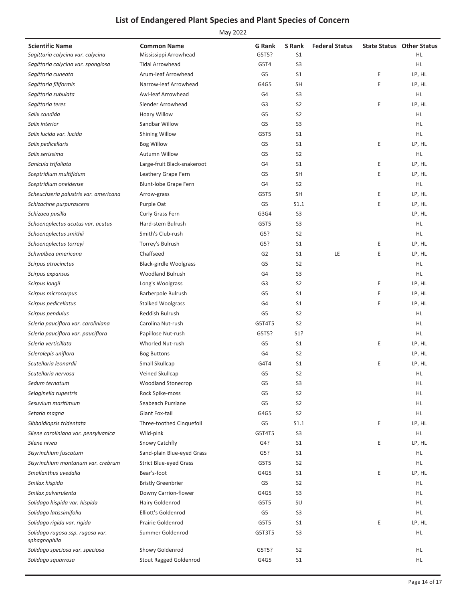| Sagittaria calycina var. calycina<br>Mississippi Arrowhead<br>G5T5?<br>S <sub>1</sub><br>HL.<br>S <sub>3</sub><br>HL.<br>Sagittaria calycina var. spongiosa<br><b>Tidal Arrowhead</b><br>G5T4<br>Arum-leaf Arrowhead<br>G5<br>S <sub>1</sub><br>Ε<br>LP, HL<br>Sagittaria cuneata<br>Narrow-leaf Arrowhead<br>G4G5<br>SH<br>E<br>LP, HL<br>Sagittaria filiformis<br>Awl-leaf Arrowhead<br>G4<br>S <sub>3</sub><br>HL.<br>Sagittaria subulata<br>E<br>Slender Arrowhead<br>G <sub>3</sub><br>S <sub>2</sub><br>LP, HL<br>Sagittaria teres<br>S <sub>2</sub><br>Salix candida<br>Hoary Willow<br>G <sub>5</sub><br>HL.<br>Salix interior<br>Sandbar Willow<br>G <sub>5</sub><br>S <sub>3</sub><br>HL.<br>S <sub>1</sub><br>HL.<br>Salix lucida var. lucida<br><b>Shining Willow</b><br>G5T5<br>E<br>Salix pedicellaris<br><b>Bog Willow</b><br>G <sub>5</sub><br>S <sub>1</sub><br>LP, HL<br>Salix serissima<br><b>Autumn Willow</b><br>G <sub>5</sub><br>S <sub>2</sub><br>HL.<br>Sanicula trifoliata<br>Large-fruit Black-snakeroot<br>G4<br>S <sub>1</sub><br>E<br>LP, HL<br>E<br><b>SH</b><br>LP, HL<br>Sceptridium multifidum<br>Leathery Grape Fern<br>G5<br>G4<br>S <sub>2</sub><br>HL.<br>Sceptridium oneidense<br>Blunt-lobe Grape Fern<br>Scheuchzeria palustris var. americana<br>G5T5<br><b>SH</b><br>Ε<br>LP, HL<br>Arrow-grass<br>Purple Oat<br>G5<br>S1.1<br>E<br>LP, HL<br>Schizachne purpurascens<br>Curly Grass Fern<br>G3G4<br>S <sub>3</sub><br>LP, HL<br>Schizaea pusilla<br>S <sub>3</sub><br>Hard-stem Bulrush<br>HL.<br>Schoenoplectus acutus var. acutus<br>G5T5<br>HL.<br>Schoenoplectus smithii<br>Smith's Club-rush<br>G5?<br>S <sub>2</sub><br>Schoenoplectus torreyi<br>Torrey's Bulrush<br>G5?<br>S <sub>1</sub><br>Ε<br>LP, HL<br>Chaffseed<br>E<br>Schwalbea americana<br>G <sub>2</sub><br>S <sub>1</sub><br>LE<br>LP, HL<br><b>Black-girdle Woolgrass</b><br>G <sub>5</sub><br>S <sub>2</sub><br>HL.<br>Scirpus atrocinctus<br><b>Woodland Bulrush</b><br>G4<br>S <sub>3</sub><br>HL.<br>Scirpus expansus<br>G <sub>3</sub><br>S <sub>2</sub><br>Ε<br>LP, HL<br>Scirpus longii<br>Long's Woolgrass<br>Barberpole Bulrush<br>G5<br>S <sub>1</sub><br>Ε<br>LP, HL<br>Scirpus microcarpus<br>E<br>Scirpus pedicellatus<br><b>Stalked Woolgrass</b><br>G4<br>S <sub>1</sub><br>LP, HL<br>Scirpus pendulus<br><b>Reddish Bulrush</b><br>G <sub>5</sub><br>S <sub>2</sub><br>HL.<br>Scleria pauciflora var. caroliniana<br>Carolina Nut-rush<br>G5T4T5<br>S <sub>2</sub><br>HL.<br>Scleria pauciflora var. pauciflora<br>Papillose Nut-rush<br>G5T5?<br>S1?<br>HL.<br>Scleria verticillata<br><b>Whorled Nut-rush</b><br>G <sub>5</sub><br>S <sub>1</sub><br>Ε<br>LP, HL<br>Sclerolepis uniflora<br><b>Bog Buttons</b><br>G4<br>S <sub>2</sub><br>LP, HL<br>Scutellaria leonardii<br>Small Skullcap<br>G4T4<br>S <sub>1</sub><br>E<br>LP, HL<br>Veined Skullcap<br>G <sub>5</sub><br>S <sub>2</sub><br>HL.<br>Scutellaria nervosa<br><b>Woodland Stonecrop</b><br>G <sub>5</sub><br>S <sub>3</sub><br>HL.<br>Sedum ternatum<br>Rock Spike-moss<br>G <sub>5</sub><br>S <sub>2</sub><br>HL.<br>Selaginella rupestris<br>Seabeach Purslane<br>G <sub>5</sub><br>S <sub>2</sub><br>HL.<br>Sesuvium maritimum<br>Giant Fox-tail<br>S <sub>2</sub><br>HL.<br>Setaria magna<br>G4G5<br>G <sub>5</sub><br>Three-toothed Cinquefoil<br>S1.1<br>Ε<br>LP, HL<br>Sibbaldiopsis tridentata<br>Silene caroliniana var. pensylvanica<br>G5T4T5<br>S <sub>3</sub><br>HL.<br>Wild-pink<br>G4?<br>S <sub>1</sub><br>E<br>LP, HL<br>Silene nivea<br>Snowy Catchfly<br>Sand-plain Blue-eyed Grass<br>G5?<br>S1<br>HL.<br>Sisyrinchium fuscatum<br>Strict Blue-eyed Grass<br>G5T5<br>S <sub>2</sub><br>HL.<br>Sisyrinchium montanum var. crebrum<br>Smallanthus uvedalia<br>Bear's-foot<br>G4G5<br>S <sub>1</sub><br>E<br>LP, HL<br>G5<br>S <sub>2</sub><br>HL<br>Smilax hispida<br><b>Bristly Greenbrier</b><br>Smilax pulverulenta<br>Downy Carrion-flower<br>G4G5<br>S <sub>3</sub><br>HL.<br>Solidago hispida var. hispida<br>G5T5<br>SU<br>Hairy Goldenrod<br>HL<br>Solidago latissimifolia<br>Elliott's Goldenrod<br>G <sub>5</sub><br>S <sub>3</sub><br>HL.<br>Solidago rigida var. rigida<br>Prairie Goldenrod<br>G5T5<br>S1<br>Ε<br>LP, HL<br>Summer Goldenrod<br>S <sub>3</sub><br>HL.<br>Solidago rugosa ssp. rugosa var.<br>G5T3T5<br>sphagnophila<br>Solidago speciosa var. speciosa<br>Showy Goldenrod<br>G5T5?<br>S <sub>2</sub><br>HL<br><b>Stout Ragged Goldenrod</b><br>G4G5<br>S1<br>HL.<br>Solidago squarrosa | <b>Scientific Name</b> | <b>Common Name</b> | G Rank | S Rank | <b>Federal Status</b> | <b>State Status Other Status</b> |
|-----------------------------------------------------------------------------------------------------------------------------------------------------------------------------------------------------------------------------------------------------------------------------------------------------------------------------------------------------------------------------------------------------------------------------------------------------------------------------------------------------------------------------------------------------------------------------------------------------------------------------------------------------------------------------------------------------------------------------------------------------------------------------------------------------------------------------------------------------------------------------------------------------------------------------------------------------------------------------------------------------------------------------------------------------------------------------------------------------------------------------------------------------------------------------------------------------------------------------------------------------------------------------------------------------------------------------------------------------------------------------------------------------------------------------------------------------------------------------------------------------------------------------------------------------------------------------------------------------------------------------------------------------------------------------------------------------------------------------------------------------------------------------------------------------------------------------------------------------------------------------------------------------------------------------------------------------------------------------------------------------------------------------------------------------------------------------------------------------------------------------------------------------------------------------------------------------------------------------------------------------------------------------------------------------------------------------------------------------------------------------------------------------------------------------------------------------------------------------------------------------------------------------------------------------------------------------------------------------------------------------------------------------------------------------------------------------------------------------------------------------------------------------------------------------------------------------------------------------------------------------------------------------------------------------------------------------------------------------------------------------------------------------------------------------------------------------------------------------------------------------------------------------------------------------------------------------------------------------------------------------------------------------------------------------------------------------------------------------------------------------------------------------------------------------------------------------------------------------------------------------------------------------------------------------------------------------------------------------------------------------------------------------------------------------------------------------------------------------------------------------------------------------------------------------------------------------------------------------------------------------------------------------------------------------------------------------------------------------------------------------------------------------------------------------------------------------------------------------------------------------------------------------------------------------------------------------------------------------------------------------------------------------------------------------------------------------------------------------------------------------------------------------------------------------------------------------------------------------------------------------------------------------------------|------------------------|--------------------|--------|--------|-----------------------|----------------------------------|
|                                                                                                                                                                                                                                                                                                                                                                                                                                                                                                                                                                                                                                                                                                                                                                                                                                                                                                                                                                                                                                                                                                                                                                                                                                                                                                                                                                                                                                                                                                                                                                                                                                                                                                                                                                                                                                                                                                                                                                                                                                                                                                                                                                                                                                                                                                                                                                                                                                                                                                                                                                                                                                                                                                                                                                                                                                                                                                                                                                                                                                                                                                                                                                                                                                                                                                                                                                                                                                                                                                                                                                                                                                                                                                                                                                                                                                                                                                                                                                                                                                                                                                                                                                                                                                                                                                                                                                                                                                                                                                                                         |                        |                    |        |        |                       |                                  |
|                                                                                                                                                                                                                                                                                                                                                                                                                                                                                                                                                                                                                                                                                                                                                                                                                                                                                                                                                                                                                                                                                                                                                                                                                                                                                                                                                                                                                                                                                                                                                                                                                                                                                                                                                                                                                                                                                                                                                                                                                                                                                                                                                                                                                                                                                                                                                                                                                                                                                                                                                                                                                                                                                                                                                                                                                                                                                                                                                                                                                                                                                                                                                                                                                                                                                                                                                                                                                                                                                                                                                                                                                                                                                                                                                                                                                                                                                                                                                                                                                                                                                                                                                                                                                                                                                                                                                                                                                                                                                                                                         |                        |                    |        |        |                       |                                  |
|                                                                                                                                                                                                                                                                                                                                                                                                                                                                                                                                                                                                                                                                                                                                                                                                                                                                                                                                                                                                                                                                                                                                                                                                                                                                                                                                                                                                                                                                                                                                                                                                                                                                                                                                                                                                                                                                                                                                                                                                                                                                                                                                                                                                                                                                                                                                                                                                                                                                                                                                                                                                                                                                                                                                                                                                                                                                                                                                                                                                                                                                                                                                                                                                                                                                                                                                                                                                                                                                                                                                                                                                                                                                                                                                                                                                                                                                                                                                                                                                                                                                                                                                                                                                                                                                                                                                                                                                                                                                                                                                         |                        |                    |        |        |                       |                                  |
|                                                                                                                                                                                                                                                                                                                                                                                                                                                                                                                                                                                                                                                                                                                                                                                                                                                                                                                                                                                                                                                                                                                                                                                                                                                                                                                                                                                                                                                                                                                                                                                                                                                                                                                                                                                                                                                                                                                                                                                                                                                                                                                                                                                                                                                                                                                                                                                                                                                                                                                                                                                                                                                                                                                                                                                                                                                                                                                                                                                                                                                                                                                                                                                                                                                                                                                                                                                                                                                                                                                                                                                                                                                                                                                                                                                                                                                                                                                                                                                                                                                                                                                                                                                                                                                                                                                                                                                                                                                                                                                                         |                        |                    |        |        |                       |                                  |
|                                                                                                                                                                                                                                                                                                                                                                                                                                                                                                                                                                                                                                                                                                                                                                                                                                                                                                                                                                                                                                                                                                                                                                                                                                                                                                                                                                                                                                                                                                                                                                                                                                                                                                                                                                                                                                                                                                                                                                                                                                                                                                                                                                                                                                                                                                                                                                                                                                                                                                                                                                                                                                                                                                                                                                                                                                                                                                                                                                                                                                                                                                                                                                                                                                                                                                                                                                                                                                                                                                                                                                                                                                                                                                                                                                                                                                                                                                                                                                                                                                                                                                                                                                                                                                                                                                                                                                                                                                                                                                                                         |                        |                    |        |        |                       |                                  |
|                                                                                                                                                                                                                                                                                                                                                                                                                                                                                                                                                                                                                                                                                                                                                                                                                                                                                                                                                                                                                                                                                                                                                                                                                                                                                                                                                                                                                                                                                                                                                                                                                                                                                                                                                                                                                                                                                                                                                                                                                                                                                                                                                                                                                                                                                                                                                                                                                                                                                                                                                                                                                                                                                                                                                                                                                                                                                                                                                                                                                                                                                                                                                                                                                                                                                                                                                                                                                                                                                                                                                                                                                                                                                                                                                                                                                                                                                                                                                                                                                                                                                                                                                                                                                                                                                                                                                                                                                                                                                                                                         |                        |                    |        |        |                       |                                  |
|                                                                                                                                                                                                                                                                                                                                                                                                                                                                                                                                                                                                                                                                                                                                                                                                                                                                                                                                                                                                                                                                                                                                                                                                                                                                                                                                                                                                                                                                                                                                                                                                                                                                                                                                                                                                                                                                                                                                                                                                                                                                                                                                                                                                                                                                                                                                                                                                                                                                                                                                                                                                                                                                                                                                                                                                                                                                                                                                                                                                                                                                                                                                                                                                                                                                                                                                                                                                                                                                                                                                                                                                                                                                                                                                                                                                                                                                                                                                                                                                                                                                                                                                                                                                                                                                                                                                                                                                                                                                                                                                         |                        |                    |        |        |                       |                                  |
|                                                                                                                                                                                                                                                                                                                                                                                                                                                                                                                                                                                                                                                                                                                                                                                                                                                                                                                                                                                                                                                                                                                                                                                                                                                                                                                                                                                                                                                                                                                                                                                                                                                                                                                                                                                                                                                                                                                                                                                                                                                                                                                                                                                                                                                                                                                                                                                                                                                                                                                                                                                                                                                                                                                                                                                                                                                                                                                                                                                                                                                                                                                                                                                                                                                                                                                                                                                                                                                                                                                                                                                                                                                                                                                                                                                                                                                                                                                                                                                                                                                                                                                                                                                                                                                                                                                                                                                                                                                                                                                                         |                        |                    |        |        |                       |                                  |
|                                                                                                                                                                                                                                                                                                                                                                                                                                                                                                                                                                                                                                                                                                                                                                                                                                                                                                                                                                                                                                                                                                                                                                                                                                                                                                                                                                                                                                                                                                                                                                                                                                                                                                                                                                                                                                                                                                                                                                                                                                                                                                                                                                                                                                                                                                                                                                                                                                                                                                                                                                                                                                                                                                                                                                                                                                                                                                                                                                                                                                                                                                                                                                                                                                                                                                                                                                                                                                                                                                                                                                                                                                                                                                                                                                                                                                                                                                                                                                                                                                                                                                                                                                                                                                                                                                                                                                                                                                                                                                                                         |                        |                    |        |        |                       |                                  |
|                                                                                                                                                                                                                                                                                                                                                                                                                                                                                                                                                                                                                                                                                                                                                                                                                                                                                                                                                                                                                                                                                                                                                                                                                                                                                                                                                                                                                                                                                                                                                                                                                                                                                                                                                                                                                                                                                                                                                                                                                                                                                                                                                                                                                                                                                                                                                                                                                                                                                                                                                                                                                                                                                                                                                                                                                                                                                                                                                                                                                                                                                                                                                                                                                                                                                                                                                                                                                                                                                                                                                                                                                                                                                                                                                                                                                                                                                                                                                                                                                                                                                                                                                                                                                                                                                                                                                                                                                                                                                                                                         |                        |                    |        |        |                       |                                  |
|                                                                                                                                                                                                                                                                                                                                                                                                                                                                                                                                                                                                                                                                                                                                                                                                                                                                                                                                                                                                                                                                                                                                                                                                                                                                                                                                                                                                                                                                                                                                                                                                                                                                                                                                                                                                                                                                                                                                                                                                                                                                                                                                                                                                                                                                                                                                                                                                                                                                                                                                                                                                                                                                                                                                                                                                                                                                                                                                                                                                                                                                                                                                                                                                                                                                                                                                                                                                                                                                                                                                                                                                                                                                                                                                                                                                                                                                                                                                                                                                                                                                                                                                                                                                                                                                                                                                                                                                                                                                                                                                         |                        |                    |        |        |                       |                                  |
|                                                                                                                                                                                                                                                                                                                                                                                                                                                                                                                                                                                                                                                                                                                                                                                                                                                                                                                                                                                                                                                                                                                                                                                                                                                                                                                                                                                                                                                                                                                                                                                                                                                                                                                                                                                                                                                                                                                                                                                                                                                                                                                                                                                                                                                                                                                                                                                                                                                                                                                                                                                                                                                                                                                                                                                                                                                                                                                                                                                                                                                                                                                                                                                                                                                                                                                                                                                                                                                                                                                                                                                                                                                                                                                                                                                                                                                                                                                                                                                                                                                                                                                                                                                                                                                                                                                                                                                                                                                                                                                                         |                        |                    |        |        |                       |                                  |
|                                                                                                                                                                                                                                                                                                                                                                                                                                                                                                                                                                                                                                                                                                                                                                                                                                                                                                                                                                                                                                                                                                                                                                                                                                                                                                                                                                                                                                                                                                                                                                                                                                                                                                                                                                                                                                                                                                                                                                                                                                                                                                                                                                                                                                                                                                                                                                                                                                                                                                                                                                                                                                                                                                                                                                                                                                                                                                                                                                                                                                                                                                                                                                                                                                                                                                                                                                                                                                                                                                                                                                                                                                                                                                                                                                                                                                                                                                                                                                                                                                                                                                                                                                                                                                                                                                                                                                                                                                                                                                                                         |                        |                    |        |        |                       |                                  |
|                                                                                                                                                                                                                                                                                                                                                                                                                                                                                                                                                                                                                                                                                                                                                                                                                                                                                                                                                                                                                                                                                                                                                                                                                                                                                                                                                                                                                                                                                                                                                                                                                                                                                                                                                                                                                                                                                                                                                                                                                                                                                                                                                                                                                                                                                                                                                                                                                                                                                                                                                                                                                                                                                                                                                                                                                                                                                                                                                                                                                                                                                                                                                                                                                                                                                                                                                                                                                                                                                                                                                                                                                                                                                                                                                                                                                                                                                                                                                                                                                                                                                                                                                                                                                                                                                                                                                                                                                                                                                                                                         |                        |                    |        |        |                       |                                  |
|                                                                                                                                                                                                                                                                                                                                                                                                                                                                                                                                                                                                                                                                                                                                                                                                                                                                                                                                                                                                                                                                                                                                                                                                                                                                                                                                                                                                                                                                                                                                                                                                                                                                                                                                                                                                                                                                                                                                                                                                                                                                                                                                                                                                                                                                                                                                                                                                                                                                                                                                                                                                                                                                                                                                                                                                                                                                                                                                                                                                                                                                                                                                                                                                                                                                                                                                                                                                                                                                                                                                                                                                                                                                                                                                                                                                                                                                                                                                                                                                                                                                                                                                                                                                                                                                                                                                                                                                                                                                                                                                         |                        |                    |        |        |                       |                                  |
|                                                                                                                                                                                                                                                                                                                                                                                                                                                                                                                                                                                                                                                                                                                                                                                                                                                                                                                                                                                                                                                                                                                                                                                                                                                                                                                                                                                                                                                                                                                                                                                                                                                                                                                                                                                                                                                                                                                                                                                                                                                                                                                                                                                                                                                                                                                                                                                                                                                                                                                                                                                                                                                                                                                                                                                                                                                                                                                                                                                                                                                                                                                                                                                                                                                                                                                                                                                                                                                                                                                                                                                                                                                                                                                                                                                                                                                                                                                                                                                                                                                                                                                                                                                                                                                                                                                                                                                                                                                                                                                                         |                        |                    |        |        |                       |                                  |
|                                                                                                                                                                                                                                                                                                                                                                                                                                                                                                                                                                                                                                                                                                                                                                                                                                                                                                                                                                                                                                                                                                                                                                                                                                                                                                                                                                                                                                                                                                                                                                                                                                                                                                                                                                                                                                                                                                                                                                                                                                                                                                                                                                                                                                                                                                                                                                                                                                                                                                                                                                                                                                                                                                                                                                                                                                                                                                                                                                                                                                                                                                                                                                                                                                                                                                                                                                                                                                                                                                                                                                                                                                                                                                                                                                                                                                                                                                                                                                                                                                                                                                                                                                                                                                                                                                                                                                                                                                                                                                                                         |                        |                    |        |        |                       |                                  |
|                                                                                                                                                                                                                                                                                                                                                                                                                                                                                                                                                                                                                                                                                                                                                                                                                                                                                                                                                                                                                                                                                                                                                                                                                                                                                                                                                                                                                                                                                                                                                                                                                                                                                                                                                                                                                                                                                                                                                                                                                                                                                                                                                                                                                                                                                                                                                                                                                                                                                                                                                                                                                                                                                                                                                                                                                                                                                                                                                                                                                                                                                                                                                                                                                                                                                                                                                                                                                                                                                                                                                                                                                                                                                                                                                                                                                                                                                                                                                                                                                                                                                                                                                                                                                                                                                                                                                                                                                                                                                                                                         |                        |                    |        |        |                       |                                  |
|                                                                                                                                                                                                                                                                                                                                                                                                                                                                                                                                                                                                                                                                                                                                                                                                                                                                                                                                                                                                                                                                                                                                                                                                                                                                                                                                                                                                                                                                                                                                                                                                                                                                                                                                                                                                                                                                                                                                                                                                                                                                                                                                                                                                                                                                                                                                                                                                                                                                                                                                                                                                                                                                                                                                                                                                                                                                                                                                                                                                                                                                                                                                                                                                                                                                                                                                                                                                                                                                                                                                                                                                                                                                                                                                                                                                                                                                                                                                                                                                                                                                                                                                                                                                                                                                                                                                                                                                                                                                                                                                         |                        |                    |        |        |                       |                                  |
|                                                                                                                                                                                                                                                                                                                                                                                                                                                                                                                                                                                                                                                                                                                                                                                                                                                                                                                                                                                                                                                                                                                                                                                                                                                                                                                                                                                                                                                                                                                                                                                                                                                                                                                                                                                                                                                                                                                                                                                                                                                                                                                                                                                                                                                                                                                                                                                                                                                                                                                                                                                                                                                                                                                                                                                                                                                                                                                                                                                                                                                                                                                                                                                                                                                                                                                                                                                                                                                                                                                                                                                                                                                                                                                                                                                                                                                                                                                                                                                                                                                                                                                                                                                                                                                                                                                                                                                                                                                                                                                                         |                        |                    |        |        |                       |                                  |
|                                                                                                                                                                                                                                                                                                                                                                                                                                                                                                                                                                                                                                                                                                                                                                                                                                                                                                                                                                                                                                                                                                                                                                                                                                                                                                                                                                                                                                                                                                                                                                                                                                                                                                                                                                                                                                                                                                                                                                                                                                                                                                                                                                                                                                                                                                                                                                                                                                                                                                                                                                                                                                                                                                                                                                                                                                                                                                                                                                                                                                                                                                                                                                                                                                                                                                                                                                                                                                                                                                                                                                                                                                                                                                                                                                                                                                                                                                                                                                                                                                                                                                                                                                                                                                                                                                                                                                                                                                                                                                                                         |                        |                    |        |        |                       |                                  |
|                                                                                                                                                                                                                                                                                                                                                                                                                                                                                                                                                                                                                                                                                                                                                                                                                                                                                                                                                                                                                                                                                                                                                                                                                                                                                                                                                                                                                                                                                                                                                                                                                                                                                                                                                                                                                                                                                                                                                                                                                                                                                                                                                                                                                                                                                                                                                                                                                                                                                                                                                                                                                                                                                                                                                                                                                                                                                                                                                                                                                                                                                                                                                                                                                                                                                                                                                                                                                                                                                                                                                                                                                                                                                                                                                                                                                                                                                                                                                                                                                                                                                                                                                                                                                                                                                                                                                                                                                                                                                                                                         |                        |                    |        |        |                       |                                  |
|                                                                                                                                                                                                                                                                                                                                                                                                                                                                                                                                                                                                                                                                                                                                                                                                                                                                                                                                                                                                                                                                                                                                                                                                                                                                                                                                                                                                                                                                                                                                                                                                                                                                                                                                                                                                                                                                                                                                                                                                                                                                                                                                                                                                                                                                                                                                                                                                                                                                                                                                                                                                                                                                                                                                                                                                                                                                                                                                                                                                                                                                                                                                                                                                                                                                                                                                                                                                                                                                                                                                                                                                                                                                                                                                                                                                                                                                                                                                                                                                                                                                                                                                                                                                                                                                                                                                                                                                                                                                                                                                         |                        |                    |        |        |                       |                                  |
|                                                                                                                                                                                                                                                                                                                                                                                                                                                                                                                                                                                                                                                                                                                                                                                                                                                                                                                                                                                                                                                                                                                                                                                                                                                                                                                                                                                                                                                                                                                                                                                                                                                                                                                                                                                                                                                                                                                                                                                                                                                                                                                                                                                                                                                                                                                                                                                                                                                                                                                                                                                                                                                                                                                                                                                                                                                                                                                                                                                                                                                                                                                                                                                                                                                                                                                                                                                                                                                                                                                                                                                                                                                                                                                                                                                                                                                                                                                                                                                                                                                                                                                                                                                                                                                                                                                                                                                                                                                                                                                                         |                        |                    |        |        |                       |                                  |
|                                                                                                                                                                                                                                                                                                                                                                                                                                                                                                                                                                                                                                                                                                                                                                                                                                                                                                                                                                                                                                                                                                                                                                                                                                                                                                                                                                                                                                                                                                                                                                                                                                                                                                                                                                                                                                                                                                                                                                                                                                                                                                                                                                                                                                                                                                                                                                                                                                                                                                                                                                                                                                                                                                                                                                                                                                                                                                                                                                                                                                                                                                                                                                                                                                                                                                                                                                                                                                                                                                                                                                                                                                                                                                                                                                                                                                                                                                                                                                                                                                                                                                                                                                                                                                                                                                                                                                                                                                                                                                                                         |                        |                    |        |        |                       |                                  |
|                                                                                                                                                                                                                                                                                                                                                                                                                                                                                                                                                                                                                                                                                                                                                                                                                                                                                                                                                                                                                                                                                                                                                                                                                                                                                                                                                                                                                                                                                                                                                                                                                                                                                                                                                                                                                                                                                                                                                                                                                                                                                                                                                                                                                                                                                                                                                                                                                                                                                                                                                                                                                                                                                                                                                                                                                                                                                                                                                                                                                                                                                                                                                                                                                                                                                                                                                                                                                                                                                                                                                                                                                                                                                                                                                                                                                                                                                                                                                                                                                                                                                                                                                                                                                                                                                                                                                                                                                                                                                                                                         |                        |                    |        |        |                       |                                  |
|                                                                                                                                                                                                                                                                                                                                                                                                                                                                                                                                                                                                                                                                                                                                                                                                                                                                                                                                                                                                                                                                                                                                                                                                                                                                                                                                                                                                                                                                                                                                                                                                                                                                                                                                                                                                                                                                                                                                                                                                                                                                                                                                                                                                                                                                                                                                                                                                                                                                                                                                                                                                                                                                                                                                                                                                                                                                                                                                                                                                                                                                                                                                                                                                                                                                                                                                                                                                                                                                                                                                                                                                                                                                                                                                                                                                                                                                                                                                                                                                                                                                                                                                                                                                                                                                                                                                                                                                                                                                                                                                         |                        |                    |        |        |                       |                                  |
|                                                                                                                                                                                                                                                                                                                                                                                                                                                                                                                                                                                                                                                                                                                                                                                                                                                                                                                                                                                                                                                                                                                                                                                                                                                                                                                                                                                                                                                                                                                                                                                                                                                                                                                                                                                                                                                                                                                                                                                                                                                                                                                                                                                                                                                                                                                                                                                                                                                                                                                                                                                                                                                                                                                                                                                                                                                                                                                                                                                                                                                                                                                                                                                                                                                                                                                                                                                                                                                                                                                                                                                                                                                                                                                                                                                                                                                                                                                                                                                                                                                                                                                                                                                                                                                                                                                                                                                                                                                                                                                                         |                        |                    |        |        |                       |                                  |
|                                                                                                                                                                                                                                                                                                                                                                                                                                                                                                                                                                                                                                                                                                                                                                                                                                                                                                                                                                                                                                                                                                                                                                                                                                                                                                                                                                                                                                                                                                                                                                                                                                                                                                                                                                                                                                                                                                                                                                                                                                                                                                                                                                                                                                                                                                                                                                                                                                                                                                                                                                                                                                                                                                                                                                                                                                                                                                                                                                                                                                                                                                                                                                                                                                                                                                                                                                                                                                                                                                                                                                                                                                                                                                                                                                                                                                                                                                                                                                                                                                                                                                                                                                                                                                                                                                                                                                                                                                                                                                                                         |                        |                    |        |        |                       |                                  |
|                                                                                                                                                                                                                                                                                                                                                                                                                                                                                                                                                                                                                                                                                                                                                                                                                                                                                                                                                                                                                                                                                                                                                                                                                                                                                                                                                                                                                                                                                                                                                                                                                                                                                                                                                                                                                                                                                                                                                                                                                                                                                                                                                                                                                                                                                                                                                                                                                                                                                                                                                                                                                                                                                                                                                                                                                                                                                                                                                                                                                                                                                                                                                                                                                                                                                                                                                                                                                                                                                                                                                                                                                                                                                                                                                                                                                                                                                                                                                                                                                                                                                                                                                                                                                                                                                                                                                                                                                                                                                                                                         |                        |                    |        |        |                       |                                  |
|                                                                                                                                                                                                                                                                                                                                                                                                                                                                                                                                                                                                                                                                                                                                                                                                                                                                                                                                                                                                                                                                                                                                                                                                                                                                                                                                                                                                                                                                                                                                                                                                                                                                                                                                                                                                                                                                                                                                                                                                                                                                                                                                                                                                                                                                                                                                                                                                                                                                                                                                                                                                                                                                                                                                                                                                                                                                                                                                                                                                                                                                                                                                                                                                                                                                                                                                                                                                                                                                                                                                                                                                                                                                                                                                                                                                                                                                                                                                                                                                                                                                                                                                                                                                                                                                                                                                                                                                                                                                                                                                         |                        |                    |        |        |                       |                                  |
|                                                                                                                                                                                                                                                                                                                                                                                                                                                                                                                                                                                                                                                                                                                                                                                                                                                                                                                                                                                                                                                                                                                                                                                                                                                                                                                                                                                                                                                                                                                                                                                                                                                                                                                                                                                                                                                                                                                                                                                                                                                                                                                                                                                                                                                                                                                                                                                                                                                                                                                                                                                                                                                                                                                                                                                                                                                                                                                                                                                                                                                                                                                                                                                                                                                                                                                                                                                                                                                                                                                                                                                                                                                                                                                                                                                                                                                                                                                                                                                                                                                                                                                                                                                                                                                                                                                                                                                                                                                                                                                                         |                        |                    |        |        |                       |                                  |
|                                                                                                                                                                                                                                                                                                                                                                                                                                                                                                                                                                                                                                                                                                                                                                                                                                                                                                                                                                                                                                                                                                                                                                                                                                                                                                                                                                                                                                                                                                                                                                                                                                                                                                                                                                                                                                                                                                                                                                                                                                                                                                                                                                                                                                                                                                                                                                                                                                                                                                                                                                                                                                                                                                                                                                                                                                                                                                                                                                                                                                                                                                                                                                                                                                                                                                                                                                                                                                                                                                                                                                                                                                                                                                                                                                                                                                                                                                                                                                                                                                                                                                                                                                                                                                                                                                                                                                                                                                                                                                                                         |                        |                    |        |        |                       |                                  |
|                                                                                                                                                                                                                                                                                                                                                                                                                                                                                                                                                                                                                                                                                                                                                                                                                                                                                                                                                                                                                                                                                                                                                                                                                                                                                                                                                                                                                                                                                                                                                                                                                                                                                                                                                                                                                                                                                                                                                                                                                                                                                                                                                                                                                                                                                                                                                                                                                                                                                                                                                                                                                                                                                                                                                                                                                                                                                                                                                                                                                                                                                                                                                                                                                                                                                                                                                                                                                                                                                                                                                                                                                                                                                                                                                                                                                                                                                                                                                                                                                                                                                                                                                                                                                                                                                                                                                                                                                                                                                                                                         |                        |                    |        |        |                       |                                  |
|                                                                                                                                                                                                                                                                                                                                                                                                                                                                                                                                                                                                                                                                                                                                                                                                                                                                                                                                                                                                                                                                                                                                                                                                                                                                                                                                                                                                                                                                                                                                                                                                                                                                                                                                                                                                                                                                                                                                                                                                                                                                                                                                                                                                                                                                                                                                                                                                                                                                                                                                                                                                                                                                                                                                                                                                                                                                                                                                                                                                                                                                                                                                                                                                                                                                                                                                                                                                                                                                                                                                                                                                                                                                                                                                                                                                                                                                                                                                                                                                                                                                                                                                                                                                                                                                                                                                                                                                                                                                                                                                         |                        |                    |        |        |                       |                                  |
|                                                                                                                                                                                                                                                                                                                                                                                                                                                                                                                                                                                                                                                                                                                                                                                                                                                                                                                                                                                                                                                                                                                                                                                                                                                                                                                                                                                                                                                                                                                                                                                                                                                                                                                                                                                                                                                                                                                                                                                                                                                                                                                                                                                                                                                                                                                                                                                                                                                                                                                                                                                                                                                                                                                                                                                                                                                                                                                                                                                                                                                                                                                                                                                                                                                                                                                                                                                                                                                                                                                                                                                                                                                                                                                                                                                                                                                                                                                                                                                                                                                                                                                                                                                                                                                                                                                                                                                                                                                                                                                                         |                        |                    |        |        |                       |                                  |
|                                                                                                                                                                                                                                                                                                                                                                                                                                                                                                                                                                                                                                                                                                                                                                                                                                                                                                                                                                                                                                                                                                                                                                                                                                                                                                                                                                                                                                                                                                                                                                                                                                                                                                                                                                                                                                                                                                                                                                                                                                                                                                                                                                                                                                                                                                                                                                                                                                                                                                                                                                                                                                                                                                                                                                                                                                                                                                                                                                                                                                                                                                                                                                                                                                                                                                                                                                                                                                                                                                                                                                                                                                                                                                                                                                                                                                                                                                                                                                                                                                                                                                                                                                                                                                                                                                                                                                                                                                                                                                                                         |                        |                    |        |        |                       |                                  |
|                                                                                                                                                                                                                                                                                                                                                                                                                                                                                                                                                                                                                                                                                                                                                                                                                                                                                                                                                                                                                                                                                                                                                                                                                                                                                                                                                                                                                                                                                                                                                                                                                                                                                                                                                                                                                                                                                                                                                                                                                                                                                                                                                                                                                                                                                                                                                                                                                                                                                                                                                                                                                                                                                                                                                                                                                                                                                                                                                                                                                                                                                                                                                                                                                                                                                                                                                                                                                                                                                                                                                                                                                                                                                                                                                                                                                                                                                                                                                                                                                                                                                                                                                                                                                                                                                                                                                                                                                                                                                                                                         |                        |                    |        |        |                       |                                  |
|                                                                                                                                                                                                                                                                                                                                                                                                                                                                                                                                                                                                                                                                                                                                                                                                                                                                                                                                                                                                                                                                                                                                                                                                                                                                                                                                                                                                                                                                                                                                                                                                                                                                                                                                                                                                                                                                                                                                                                                                                                                                                                                                                                                                                                                                                                                                                                                                                                                                                                                                                                                                                                                                                                                                                                                                                                                                                                                                                                                                                                                                                                                                                                                                                                                                                                                                                                                                                                                                                                                                                                                                                                                                                                                                                                                                                                                                                                                                                                                                                                                                                                                                                                                                                                                                                                                                                                                                                                                                                                                                         |                        |                    |        |        |                       |                                  |
|                                                                                                                                                                                                                                                                                                                                                                                                                                                                                                                                                                                                                                                                                                                                                                                                                                                                                                                                                                                                                                                                                                                                                                                                                                                                                                                                                                                                                                                                                                                                                                                                                                                                                                                                                                                                                                                                                                                                                                                                                                                                                                                                                                                                                                                                                                                                                                                                                                                                                                                                                                                                                                                                                                                                                                                                                                                                                                                                                                                                                                                                                                                                                                                                                                                                                                                                                                                                                                                                                                                                                                                                                                                                                                                                                                                                                                                                                                                                                                                                                                                                                                                                                                                                                                                                                                                                                                                                                                                                                                                                         |                        |                    |        |        |                       |                                  |
|                                                                                                                                                                                                                                                                                                                                                                                                                                                                                                                                                                                                                                                                                                                                                                                                                                                                                                                                                                                                                                                                                                                                                                                                                                                                                                                                                                                                                                                                                                                                                                                                                                                                                                                                                                                                                                                                                                                                                                                                                                                                                                                                                                                                                                                                                                                                                                                                                                                                                                                                                                                                                                                                                                                                                                                                                                                                                                                                                                                                                                                                                                                                                                                                                                                                                                                                                                                                                                                                                                                                                                                                                                                                                                                                                                                                                                                                                                                                                                                                                                                                                                                                                                                                                                                                                                                                                                                                                                                                                                                                         |                        |                    |        |        |                       |                                  |
|                                                                                                                                                                                                                                                                                                                                                                                                                                                                                                                                                                                                                                                                                                                                                                                                                                                                                                                                                                                                                                                                                                                                                                                                                                                                                                                                                                                                                                                                                                                                                                                                                                                                                                                                                                                                                                                                                                                                                                                                                                                                                                                                                                                                                                                                                                                                                                                                                                                                                                                                                                                                                                                                                                                                                                                                                                                                                                                                                                                                                                                                                                                                                                                                                                                                                                                                                                                                                                                                                                                                                                                                                                                                                                                                                                                                                                                                                                                                                                                                                                                                                                                                                                                                                                                                                                                                                                                                                                                                                                                                         |                        |                    |        |        |                       |                                  |
|                                                                                                                                                                                                                                                                                                                                                                                                                                                                                                                                                                                                                                                                                                                                                                                                                                                                                                                                                                                                                                                                                                                                                                                                                                                                                                                                                                                                                                                                                                                                                                                                                                                                                                                                                                                                                                                                                                                                                                                                                                                                                                                                                                                                                                                                                                                                                                                                                                                                                                                                                                                                                                                                                                                                                                                                                                                                                                                                                                                                                                                                                                                                                                                                                                                                                                                                                                                                                                                                                                                                                                                                                                                                                                                                                                                                                                                                                                                                                                                                                                                                                                                                                                                                                                                                                                                                                                                                                                                                                                                                         |                        |                    |        |        |                       |                                  |
|                                                                                                                                                                                                                                                                                                                                                                                                                                                                                                                                                                                                                                                                                                                                                                                                                                                                                                                                                                                                                                                                                                                                                                                                                                                                                                                                                                                                                                                                                                                                                                                                                                                                                                                                                                                                                                                                                                                                                                                                                                                                                                                                                                                                                                                                                                                                                                                                                                                                                                                                                                                                                                                                                                                                                                                                                                                                                                                                                                                                                                                                                                                                                                                                                                                                                                                                                                                                                                                                                                                                                                                                                                                                                                                                                                                                                                                                                                                                                                                                                                                                                                                                                                                                                                                                                                                                                                                                                                                                                                                                         |                        |                    |        |        |                       |                                  |
|                                                                                                                                                                                                                                                                                                                                                                                                                                                                                                                                                                                                                                                                                                                                                                                                                                                                                                                                                                                                                                                                                                                                                                                                                                                                                                                                                                                                                                                                                                                                                                                                                                                                                                                                                                                                                                                                                                                                                                                                                                                                                                                                                                                                                                                                                                                                                                                                                                                                                                                                                                                                                                                                                                                                                                                                                                                                                                                                                                                                                                                                                                                                                                                                                                                                                                                                                                                                                                                                                                                                                                                                                                                                                                                                                                                                                                                                                                                                                                                                                                                                                                                                                                                                                                                                                                                                                                                                                                                                                                                                         |                        |                    |        |        |                       |                                  |
|                                                                                                                                                                                                                                                                                                                                                                                                                                                                                                                                                                                                                                                                                                                                                                                                                                                                                                                                                                                                                                                                                                                                                                                                                                                                                                                                                                                                                                                                                                                                                                                                                                                                                                                                                                                                                                                                                                                                                                                                                                                                                                                                                                                                                                                                                                                                                                                                                                                                                                                                                                                                                                                                                                                                                                                                                                                                                                                                                                                                                                                                                                                                                                                                                                                                                                                                                                                                                                                                                                                                                                                                                                                                                                                                                                                                                                                                                                                                                                                                                                                                                                                                                                                                                                                                                                                                                                                                                                                                                                                                         |                        |                    |        |        |                       |                                  |
|                                                                                                                                                                                                                                                                                                                                                                                                                                                                                                                                                                                                                                                                                                                                                                                                                                                                                                                                                                                                                                                                                                                                                                                                                                                                                                                                                                                                                                                                                                                                                                                                                                                                                                                                                                                                                                                                                                                                                                                                                                                                                                                                                                                                                                                                                                                                                                                                                                                                                                                                                                                                                                                                                                                                                                                                                                                                                                                                                                                                                                                                                                                                                                                                                                                                                                                                                                                                                                                                                                                                                                                                                                                                                                                                                                                                                                                                                                                                                                                                                                                                                                                                                                                                                                                                                                                                                                                                                                                                                                                                         |                        |                    |        |        |                       |                                  |
|                                                                                                                                                                                                                                                                                                                                                                                                                                                                                                                                                                                                                                                                                                                                                                                                                                                                                                                                                                                                                                                                                                                                                                                                                                                                                                                                                                                                                                                                                                                                                                                                                                                                                                                                                                                                                                                                                                                                                                                                                                                                                                                                                                                                                                                                                                                                                                                                                                                                                                                                                                                                                                                                                                                                                                                                                                                                                                                                                                                                                                                                                                                                                                                                                                                                                                                                                                                                                                                                                                                                                                                                                                                                                                                                                                                                                                                                                                                                                                                                                                                                                                                                                                                                                                                                                                                                                                                                                                                                                                                                         |                        |                    |        |        |                       |                                  |
|                                                                                                                                                                                                                                                                                                                                                                                                                                                                                                                                                                                                                                                                                                                                                                                                                                                                                                                                                                                                                                                                                                                                                                                                                                                                                                                                                                                                                                                                                                                                                                                                                                                                                                                                                                                                                                                                                                                                                                                                                                                                                                                                                                                                                                                                                                                                                                                                                                                                                                                                                                                                                                                                                                                                                                                                                                                                                                                                                                                                                                                                                                                                                                                                                                                                                                                                                                                                                                                                                                                                                                                                                                                                                                                                                                                                                                                                                                                                                                                                                                                                                                                                                                                                                                                                                                                                                                                                                                                                                                                                         |                        |                    |        |        |                       |                                  |
|                                                                                                                                                                                                                                                                                                                                                                                                                                                                                                                                                                                                                                                                                                                                                                                                                                                                                                                                                                                                                                                                                                                                                                                                                                                                                                                                                                                                                                                                                                                                                                                                                                                                                                                                                                                                                                                                                                                                                                                                                                                                                                                                                                                                                                                                                                                                                                                                                                                                                                                                                                                                                                                                                                                                                                                                                                                                                                                                                                                                                                                                                                                                                                                                                                                                                                                                                                                                                                                                                                                                                                                                                                                                                                                                                                                                                                                                                                                                                                                                                                                                                                                                                                                                                                                                                                                                                                                                                                                                                                                                         |                        |                    |        |        |                       |                                  |
|                                                                                                                                                                                                                                                                                                                                                                                                                                                                                                                                                                                                                                                                                                                                                                                                                                                                                                                                                                                                                                                                                                                                                                                                                                                                                                                                                                                                                                                                                                                                                                                                                                                                                                                                                                                                                                                                                                                                                                                                                                                                                                                                                                                                                                                                                                                                                                                                                                                                                                                                                                                                                                                                                                                                                                                                                                                                                                                                                                                                                                                                                                                                                                                                                                                                                                                                                                                                                                                                                                                                                                                                                                                                                                                                                                                                                                                                                                                                                                                                                                                                                                                                                                                                                                                                                                                                                                                                                                                                                                                                         |                        |                    |        |        |                       |                                  |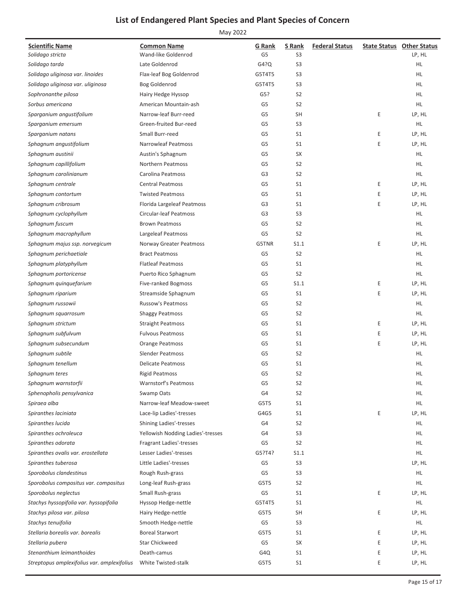| <b>Scientific Name</b>                                 | <b>Common Name</b>                            | G Rank         | S Rank               | <b>Federal Status</b> |   | <b>State Status Other Status</b> |
|--------------------------------------------------------|-----------------------------------------------|----------------|----------------------|-----------------------|---|----------------------------------|
| Solidago stricta                                       | Wand-like Goldenrod                           | G <sub>5</sub> | S <sub>3</sub>       |                       |   | LP, HL                           |
| Solidago tarda                                         | Late Goldenrod                                | G4?Q           | S <sub>3</sub>       |                       |   | HL                               |
| Solidago uliginosa var. linoides                       | Flax-leaf Bog Goldenrod                       | G5T4T5         | S <sub>3</sub>       |                       |   | HL.                              |
| Solidago uliginosa var. uliginosa                      | Bog Goldenrod                                 | G5T4T5         | S <sub>3</sub>       |                       |   | HL.                              |
| Sophronanthe pilosa                                    | Hairy Hedge Hyssop                            | G5?            | S <sub>2</sub>       |                       |   | HL.                              |
| Sorbus americana                                       | American Mountain-ash                         | G5             | S <sub>2</sub>       |                       |   | HL.                              |
| Sparganium angustifolium                               | Narrow-leaf Burr-reed                         | G <sub>5</sub> | <b>SH</b>            |                       | Е | LP, HL                           |
| Sparganium emersum                                     | Green-fruited Bur-reed                        | G <sub>5</sub> | S <sub>3</sub>       |                       |   | HL                               |
| Sparganium natans                                      | Small Burr-reed                               | G5             | S <sub>1</sub>       |                       | Ε | LP, HL                           |
| Sphagnum angustifolium                                 | <b>Narrowleaf Peatmoss</b>                    | G5             | S <sub>1</sub>       |                       | E | LP, HL                           |
| Sphagnum austinii                                      | Austin's Sphagnum                             | G <sub>5</sub> | SX                   |                       |   | HL.                              |
| Sphagnum capillifolium                                 | Northern Peatmoss                             | G <sub>5</sub> | S <sub>2</sub>       |                       |   | HL                               |
| Sphagnum carolinianum                                  | Carolina Peatmoss                             | G3             | S <sub>2</sub>       |                       |   | HL                               |
| Sphagnum centrale                                      | <b>Central Peatmoss</b>                       | G5             | S <sub>1</sub>       |                       | Ε | LP, HL                           |
| Sphagnum contortum                                     | <b>Twisted Peatmoss</b>                       | G5             | S <sub>1</sub>       |                       | Ε | LP, HL                           |
| Sphagnum cribrosum                                     | Florida Largeleaf Peatmoss                    | G <sub>3</sub> | S <sub>1</sub>       |                       | Ε | LP, HL                           |
| Sphagnum cyclophyllum                                  | <b>Circular-leaf Peatmoss</b>                 | G <sub>3</sub> | S <sub>3</sub>       |                       |   | HL                               |
| Sphagnum fuscum                                        | <b>Brown Peatmoss</b>                         | G5             | S <sub>2</sub>       |                       |   | HL                               |
| Sphagnum macrophyllum                                  | Largeleaf Peatmoss                            | G <sub>5</sub> | S <sub>2</sub>       |                       |   | <b>HL</b>                        |
| Sphagnum majus ssp. norvegicum                         | Norway Greater Peatmoss                       | G5TNR          | S1.1                 |                       | E | LP, HL                           |
| Sphagnum perichaetiale                                 | <b>Bract Peatmoss</b>                         | G <sub>5</sub> | S <sub>2</sub>       |                       |   | HL.                              |
| Sphagnum platyphyllum                                  | <b>Flatleaf Peatmoss</b>                      | G5             | S <sub>1</sub>       |                       |   | HL                               |
| Sphagnum portoricense                                  | Puerto Rico Sphagnum                          | G5             | S <sub>2</sub>       |                       |   | HL                               |
| Sphagnum quinquefarium                                 | Five-ranked Bogmoss                           | G <sub>5</sub> | S1.1                 |                       | Ε | LP, HL                           |
| Sphagnum riparium                                      | Streamside Sphagnum                           | G5             | S <sub>1</sub>       |                       | Ε | LP, HL                           |
| Sphagnum russowii                                      | <b>Russow's Peatmoss</b>                      | G5             | S <sub>2</sub>       |                       |   | HL.                              |
| Sphagnum squarrosum                                    | <b>Shaggy Peatmoss</b>                        | G <sub>5</sub> | S <sub>2</sub>       |                       |   | HL                               |
| Sphagnum strictum                                      | <b>Straight Peatmoss</b>                      | G <sub>5</sub> | S <sub>1</sub>       |                       | Ε | LP, HL                           |
| Sphagnum subfulvum                                     | <b>Fulvous Peatmoss</b>                       | G5             | S <sub>1</sub>       |                       | Ε | LP, HL                           |
| Sphagnum subsecundum                                   | Orange Peatmoss                               | G5             | S <sub>1</sub>       |                       | Ε | LP, HL                           |
| Sphagnum subtile                                       | <b>Slender Peatmoss</b>                       | G5             | S <sub>2</sub>       |                       |   | HL.                              |
| Sphagnum tenellum                                      | <b>Delicate Peatmoss</b>                      | G <sub>5</sub> | S <sub>1</sub>       |                       |   | HL.                              |
| Sphagnum teres                                         | <b>Rigid Peatmoss</b>                         | G <sub>5</sub> | S <sub>2</sub>       |                       |   | HL.                              |
| Sphagnum warnstorfii                                   | <b>Warnstorf's Peatmoss</b>                   | G5             | S <sub>2</sub>       |                       |   | HL                               |
| Sphenopholis pensylvanica                              | Swamp Oats                                    | G4             | S <sub>2</sub>       |                       |   | <b>HL</b>                        |
| Spiraea alba                                           | Narrow-leaf Meadow-sweet                      | G5T5           | S <sub>1</sub>       |                       |   | HL.                              |
| Spiranthes laciniata                                   | Lace-lip Ladies'-tresses                      | G4G5           | S1                   |                       | Ε | LP, HL                           |
| Spiranthes lucida                                      | <b>Shining Ladies'-tresses</b>                | G4             | S <sub>2</sub>       |                       |   | HL                               |
| Spiranthes ochroleuca                                  | Yellowish Nodding Ladies'-tresses             | G4             | S <sub>3</sub>       |                       |   | HL                               |
| Spiranthes odorata                                     | Fragrant Ladies'-tresses                      | G5             | S <sub>2</sub>       |                       |   | HL.                              |
| Spiranthes ovalis var. erostellata                     | Lesser Ladies'-tresses                        | G5?T4?         | S1.1                 |                       |   | HL.                              |
| Spiranthes tuberosa                                    | Little Ladies'-tresses                        | G5             | S <sub>3</sub>       |                       |   | LP, HL                           |
| Sporobolus clandestinus                                | Rough Rush-grass                              | G5             | S <sub>3</sub>       |                       |   | HL.                              |
| Sporobolus compositus var. compositus                  | Long-leaf Rush-grass                          | G5T5           | S <sub>2</sub>       |                       |   | HL.                              |
| Sporobolus neglectus                                   | Small Rush-grass                              | G5             | S <sub>1</sub>       |                       | Ε | LP, HL                           |
| Stachys hyssopifolia var. hyssopifolia                 |                                               | G5T4T5         |                      |                       |   | HL.                              |
| Stachys pilosa var. pilosa                             | Hyssop Hedge-nettle                           | G5T5           | S1<br><b>SH</b>      |                       | E | LP, HL                           |
|                                                        | Hairy Hedge-nettle                            |                |                      |                       |   |                                  |
| Stachys tenuifolia<br>Stellaria borealis var. borealis | Smooth Hedge-nettle<br><b>Boreal Starwort</b> | G5             | S <sub>3</sub><br>S1 |                       | Ε | HL.<br>LP, HL                    |
|                                                        |                                               | G5T5           |                      |                       |   |                                  |
| Stellaria pubera                                       | <b>Star Chickweed</b>                         | G5             | SX                   |                       | Ε | LP, HL                           |
| Stenanthium leimanthoides                              | Death-camus                                   | G4Q            | S1                   |                       | Ε | LP, HL                           |
| Streptopus amplexifolius var. amplexifolius            | White Twisted-stalk                           | G5T5           | S <sub>1</sub>       |                       | E | LP, HL                           |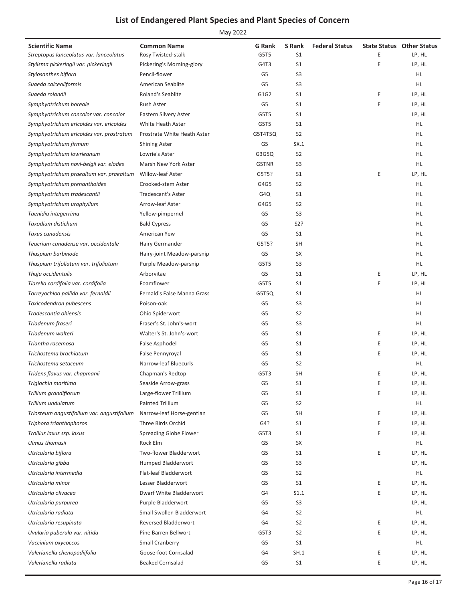| <b>Scientific Name</b>                     | <b>Common Name</b>                                       | G Rank   | S Rank                           | <b>Federal Status</b> |   | <b>State Status Other Status</b> |
|--------------------------------------------|----------------------------------------------------------|----------|----------------------------------|-----------------------|---|----------------------------------|
| Streptopus lanceolatus var. lanceolatus    | Rosy Twisted-stalk                                       | G5T5     | S1                               |                       | Ε | LP, HL                           |
| Stylisma pickeringii var. pickeringii      | Pickering's Morning-glory                                | G4T3     | S <sub>1</sub>                   |                       | Ε | LP, HL                           |
| Stylosanthes biflora                       | Pencil-flower                                            | G5       | S <sub>3</sub>                   |                       |   | HL                               |
| Suaeda calceoliformis                      | American Seablite                                        | G5       | S <sub>3</sub>                   |                       |   | HL                               |
| Suaeda rolandii                            | Roland's Seablite                                        | G1G2     | S1                               |                       | E | LP, HL                           |
| Symphyotrichum boreale                     | Rush Aster                                               | G5       | S1                               |                       | E | LP, HL                           |
| Symphyotrichum concolor var. concolor      | Eastern Silvery Aster                                    | G5T5     | S <sub>1</sub>                   |                       |   | LP, HL                           |
| Symphyotrichum ericoides var. ericoides    | White Heath Aster                                        | G5T5     | S <sub>1</sub>                   |                       |   | HL                               |
| Symphyotrichum ericoides var. prostratum   | Prostrate White Heath Aster                              | G5T4T5Q  | S <sub>2</sub>                   |                       |   | HL                               |
| Symphyotrichum firmum                      | <b>Shining Aster</b>                                     | G5       | SX.1                             |                       |   | HL                               |
| Symphyotrichum lowrieanum                  | Lowrie's Aster                                           | G3G5Q    | S <sub>2</sub>                   |                       |   | HL.                              |
| Symphyotrichum novi-belgii var. elodes     | Marsh New York Aster                                     | G5TNR    | S <sub>3</sub>                   |                       |   | HL.                              |
| Symphyotrichum praealtum var. praealtum    | Willow-leaf Aster                                        | G5T5?    | S <sub>1</sub>                   |                       | E | LP, HL                           |
| Symphyotrichum prenanthoides               | Crooked-stem Aster                                       | G4G5     | S <sub>2</sub>                   |                       |   | HL                               |
| Symphyotrichum tradescantii                | <b>Tradescant's Aster</b>                                | G4Q      | S <sub>1</sub>                   |                       |   | HL                               |
| Symphyotrichum urophyllum                  | Arrow-leaf Aster                                         | G4G5     | S <sub>2</sub>                   |                       |   | HL                               |
| Taenidia integerrima                       | Yellow-pimpernel                                         | G5       | S <sub>3</sub>                   |                       |   | HL.                              |
| Taxodium distichum                         | <b>Bald Cypress</b>                                      | G5       | S2?                              |                       |   | HL                               |
| Taxus canadensis                           | American Yew                                             | G5       | S <sub>1</sub>                   |                       |   | HL                               |
| Teucrium canadense var. occidentale        | Hairy Germander                                          | G5T5?    | <b>SH</b>                        |                       |   | HL                               |
| Thaspium barbinode                         | Hairy-joint Meadow-parsnip                               | G5       | SX                               |                       |   | HL                               |
| Thaspium trifoliatum var. trifoliatum      | Purple Meadow-parsnip                                    | G5T5     | S <sub>3</sub>                   |                       |   | HL                               |
| Thuja occidentalis                         | Arborvitae                                               | G5       | S <sub>1</sub>                   |                       | E | LP, HL                           |
| Tiarella cordifolia var. cordifolia        | Foamflower                                               | G5T5     | S <sub>1</sub>                   |                       | E | LP, HL                           |
| Torreyochloa pallida var. fernaldii        | Fernald's False Manna Grass                              | G5T5Q    | S <sub>1</sub>                   |                       |   | HL                               |
| Toxicodendron pubescens                    | Poison-oak                                               | G5       | S <sub>3</sub>                   |                       |   | HL                               |
| Tradescantia ohiensis                      | Ohio Spiderwort                                          | G5       | S <sub>2</sub>                   |                       |   | HL.                              |
| Triadenum fraseri                          | Fraser's St. John's-wort                                 | G5       | S <sub>3</sub>                   |                       |   | HL.                              |
| Triadenum walteri                          | Walter's St. John's-wort                                 | G5       | S <sub>1</sub>                   |                       | E | LP, HL                           |
| Triantha racemosa                          | False Asphodel                                           | G5       | S <sub>1</sub>                   |                       | Ε | LP, HL                           |
| Trichostema brachiatum                     | False Pennyroyal                                         | G5       | S <sub>1</sub>                   |                       | Ε | LP, HL                           |
| Trichostema setaceum                       | Narrow-leaf Bluecurls                                    | G5       | S <sub>2</sub>                   |                       |   | HL.                              |
| Tridens flavus var. chapmanii              | Chapman's Redtop                                         | G5T3     | <b>SH</b>                        |                       | Ε | LP, HL                           |
| Triglochin maritima                        | Seaside Arrow-grass                                      | G5       | S1                               |                       | Ε | LP, HL                           |
| Trillium grandiflorum                      | Large-flower Trillium                                    | G5       | S1                               |                       | E | LP, HL                           |
| Trillium undulatum                         | <b>Painted Trillium</b>                                  | G5       | S <sub>2</sub>                   |                       |   | HL.                              |
| Triosteum angustifolium var. angustifolium | Narrow-leaf Horse-gentian                                | G5       | <b>SH</b>                        |                       | E | LP, HL                           |
| Triphora trianthophoros                    | Three Birds Orchid                                       | G4?      | S1                               |                       | E | LP, HL                           |
| Trollius laxus ssp. laxus                  | Spreading Globe Flower                                   | G5T3     | S <sub>1</sub>                   |                       | E | LP, HL                           |
| Ulmus thomasii                             | Rock Elm                                                 | G5       | SX                               |                       |   | HL.                              |
| Utricularia biflora                        | Two-flower Bladderwort                                   | G5       | S <sub>1</sub>                   |                       | E | LP, HL                           |
| Utricularia gibba                          | Humped Bladderwort                                       | G5       | S <sub>3</sub>                   |                       |   | LP, HL                           |
| Utricularia intermedia                     | Flat-leaf Bladderwort                                    | G5       | S <sub>2</sub>                   |                       |   | HL.                              |
| Utricularia minor                          | Lesser Bladderwort                                       | G5       | S <sub>1</sub>                   |                       | E | LP, HL                           |
| Utricularia olivacea                       | Dwarf White Bladderwort                                  | G4       | S1.1                             |                       | E | LP, HL                           |
| Utricularia purpurea                       | Purple Bladderwort                                       | G5       | S <sub>3</sub>                   |                       |   | LP, HL                           |
|                                            |                                                          |          |                                  |                       |   |                                  |
| Utricularia radiata                        | Small Swollen Bladderwort<br><b>Reversed Bladderwort</b> | G4<br>G4 | S <sub>2</sub><br>S <sub>2</sub> |                       | E | HL.                              |
| Utricularia resupinata                     |                                                          |          |                                  |                       |   | LP, HL                           |
| Uvularia puberula var. nitida              | Pine Barren Bellwort                                     | G5T3     | S <sub>2</sub>                   |                       | E | LP, HL                           |
| Vaccinium oxycoccos                        | Small Cranberry                                          | G5       | S <sub>1</sub>                   |                       |   | HL.                              |
| Valerianella chenopodiifolia               | Goose-foot Cornsalad                                     | G4       | SH.1                             |                       | E | LP, HL                           |
| Valerianella radiata                       | <b>Beaked Cornsalad</b>                                  | G5       | S <sub>1</sub>                   |                       | Ε | LP, HL                           |